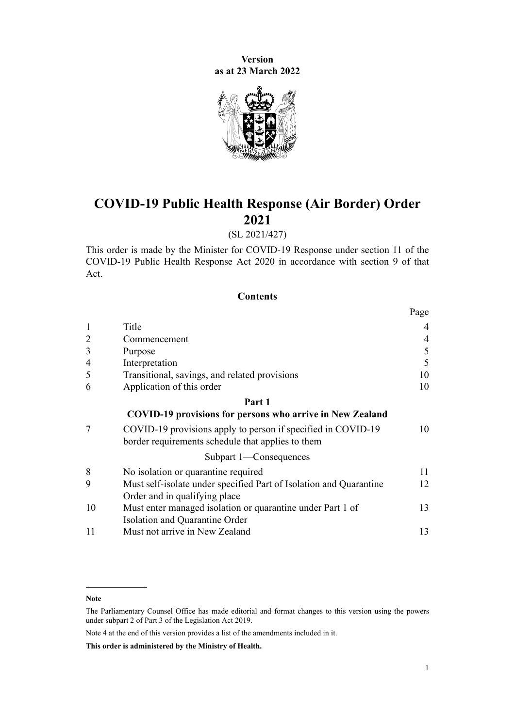**Version as at 23 March 2022**



# **COVID-19 Public Health Response (Air Border) Order 2021**

# (SL 2021/427)

This order is made by the Minister for COVID-19 Response under [section 11](http://legislation.govt.nz/pdflink.aspx?id=LMS344177) of the [COVID-19 Public Health Response Act 2020](http://legislation.govt.nz/pdflink.aspx?id=LMS344121) in accordance with [section 9](http://legislation.govt.nz/pdflink.aspx?id=LMS344175) of that Act.

## **Contents**

|                |                                                                                                                   | Page |
|----------------|-------------------------------------------------------------------------------------------------------------------|------|
| $\mathbf{1}$   | Title                                                                                                             | 4    |
| $\overline{2}$ | Commencement                                                                                                      | 4    |
| 3              | Purpose                                                                                                           | 5    |
| $\overline{4}$ | Interpretation                                                                                                    | 5    |
| 5              | Transitional, savings, and related provisions                                                                     | 10   |
| 6              | Application of this order                                                                                         | 10   |
|                | Part 1                                                                                                            |      |
|                | <b>COVID-19 provisions for persons who arrive in New Zealand</b>                                                  |      |
| 7              | COVID-19 provisions apply to person if specified in COVID-19<br>border requirements schedule that applies to them | 10   |
|                | Subpart 1-Consequences                                                                                            |      |
| 8              | No isolation or quarantine required                                                                               | 11   |
| 9              | Must self-isolate under specified Part of Isolation and Quarantine                                                | 12   |
|                | Order and in qualifying place                                                                                     |      |
| 10             | Must enter managed isolation or quarantine under Part 1 of                                                        | 13   |
|                | Isolation and Quarantine Order                                                                                    |      |
| 11             | Must not arrive in New Zealand                                                                                    | 13   |

Note 4 at the end of this version provides a list of the amendments included in it.

**This order is administered by the Ministry of Health.**

**Note**

The Parliamentary Counsel Office has made editorial and format changes to this version using the powers under [subpart 2](http://legislation.govt.nz/pdflink.aspx?id=DLM7298371) of Part 3 of the Legislation Act 2019.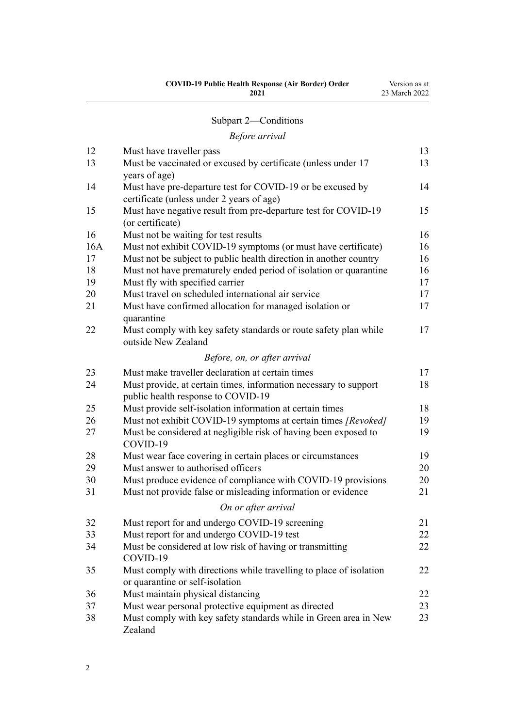| <b>COVID-19 Public Health Response (Air Border) Order</b> | Version as at |
|-----------------------------------------------------------|---------------|
| 2021                                                      | 23 March 2022 |
|                                                           |               |

# [Subpart 2—Conditions](#page-12-0)

# *[Before arrival](#page-12-0)*

| 12  | Must have traveller pass                                                                               | 13 |
|-----|--------------------------------------------------------------------------------------------------------|----|
| 13  | Must be vaccinated or excused by certificate (unless under 17                                          | 13 |
| 14  | years of age)<br>Must have pre-departure test for COVID-19 or be excused by                            | 14 |
|     | certificate (unless under 2 years of age)                                                              |    |
| 15  | Must have negative result from pre-departure test for COVID-19                                         | 15 |
|     | (or certificate)                                                                                       |    |
| 16  | Must not be waiting for test results                                                                   | 16 |
| 16A | Must not exhibit COVID-19 symptoms (or must have certificate)                                          | 16 |
| 17  | Must not be subject to public health direction in another country                                      | 16 |
| 18  | Must not have prematurely ended period of isolation or quarantine                                      | 16 |
| 19  | Must fly with specified carrier                                                                        | 17 |
| 20  | Must travel on scheduled international air service                                                     | 17 |
| 21  | Must have confirmed allocation for managed isolation or<br>quarantine                                  | 17 |
| 22  | Must comply with key safety standards or route safety plan while<br>outside New Zealand                | 17 |
|     | Before, on, or after arrival                                                                           |    |
| 23  | Must make traveller declaration at certain times                                                       | 17 |
| 24  | Must provide, at certain times, information necessary to support<br>public health response to COVID-19 | 18 |
| 25  | Must provide self-isolation information at certain times                                               | 18 |
| 26  | Must not exhibit COVID-19 symptoms at certain times [Revoked]                                          | 19 |
| 27  | Must be considered at negligible risk of having been exposed to<br>COVID-19                            | 19 |
| 28  | Must wear face covering in certain places or circumstances                                             | 19 |
| 29  | Must answer to authorised officers                                                                     | 20 |
| 30  | Must produce evidence of compliance with COVID-19 provisions                                           | 20 |
| 31  | Must not provide false or misleading information or evidence                                           | 21 |
|     | On or after arrival                                                                                    |    |
| 32  | Must report for and undergo COVID-19 screening                                                         | 21 |
| 33  | Must report for and undergo COVID-19 test                                                              | 22 |
| 34  | Must be considered at low risk of having or transmitting<br>COVID-19                                   | 22 |
| 35  | Must comply with directions while travelling to place of isolation<br>or quarantine or self-isolation  | 22 |
| 36  | Must maintain physical distancing                                                                      | 22 |
| 37  | Must wear personal protective equipment as directed                                                    | 23 |
| 38  | Must comply with key safety standards while in Green area in New<br>Zealand                            | 23 |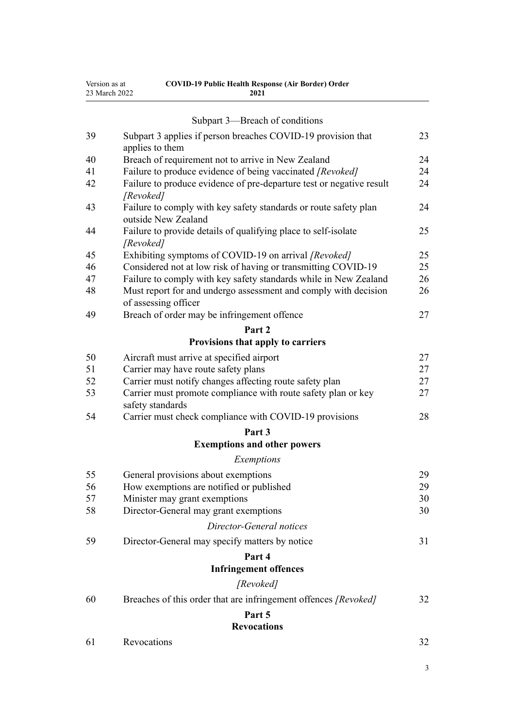| Version as at | <b>COVID-19 Public Health Response (Air Border) Order</b> |
|---------------|-----------------------------------------------------------|
| 23 March 2022 | 2021                                                      |

|    | Subpart 3—Breach of conditions                                                          |    |
|----|-----------------------------------------------------------------------------------------|----|
| 39 | Subpart 3 applies if person breaches COVID-19 provision that<br>applies to them         | 23 |
| 40 | Breach of requirement not to arrive in New Zealand                                      | 24 |
| 41 | Failure to produce evidence of being vaccinated [Revoked]                               | 24 |
| 42 | Failure to produce evidence of pre-departure test or negative result                    | 24 |
|    | [Revoked]                                                                               |    |
| 43 | Failure to comply with key safety standards or route safety plan<br>outside New Zealand | 24 |
| 44 | Failure to provide details of qualifying place to self-isolate<br>[Revoked]             | 25 |
| 45 | Exhibiting symptoms of COVID-19 on arrival [Revoked]                                    | 25 |
| 46 | Considered not at low risk of having or transmitting COVID-19                           | 25 |
| 47 | Failure to comply with key safety standards while in New Zealand                        | 26 |
| 48 | Must report for and undergo assessment and comply with decision<br>of assessing officer | 26 |
| 49 | Breach of order may be infringement offence                                             | 27 |
|    | Part 2                                                                                  |    |
|    | Provisions that apply to carriers                                                       |    |
| 50 | Aircraft must arrive at specified airport                                               | 27 |
| 51 | Carrier may have route safety plans                                                     | 27 |
| 52 | Carrier must notify changes affecting route safety plan                                 | 27 |
| 53 | Carrier must promote compliance with route safety plan or key<br>safety standards       | 27 |
| 54 | Carrier must check compliance with COVID-19 provisions                                  | 28 |
|    | Part 3                                                                                  |    |
|    | <b>Exemptions and other powers</b>                                                      |    |
|    | Exemptions                                                                              |    |
| 55 | General provisions about exemptions                                                     | 29 |
| 56 | How exemptions are notified or published                                                | 29 |
| 57 | Minister may grant exemptions                                                           | 30 |
| 58 | Director-General may grant exemptions                                                   | 30 |
|    | Director-General notices                                                                |    |
| 59 | Director-General may specify matters by notice                                          | 31 |
|    | Part 4                                                                                  |    |
|    | <b>Infringement offences</b>                                                            |    |
|    | [Revoked]                                                                               |    |
| 60 | Breaches of this order that are infringement offences [Revoked]                         | 32 |
|    | Part 5                                                                                  |    |
|    | <b>Revocations</b>                                                                      |    |
| 61 | Revocations                                                                             | 32 |
|    |                                                                                         |    |

3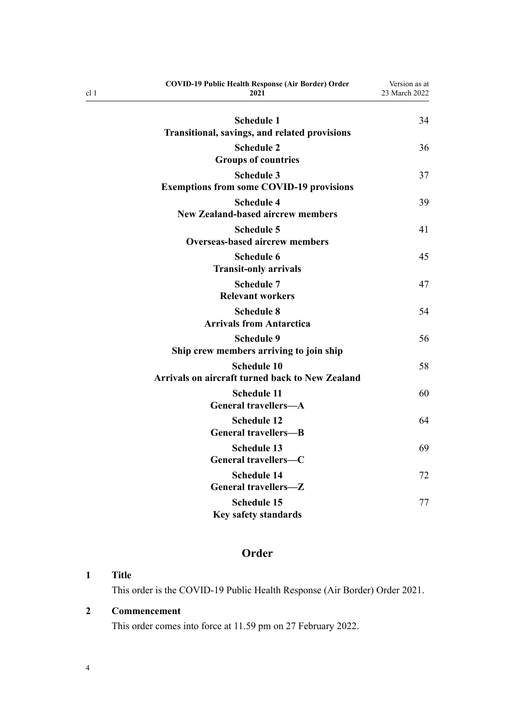| <b>COVID-19 Public Health Response (Air Border) Order</b><br>2021            | Version as at<br>23 March 2022 |
|------------------------------------------------------------------------------|--------------------------------|
| <b>Schedule 1</b>                                                            | 34                             |
| Transitional, savings, and related provisions                                |                                |
| <b>Schedule 2</b>                                                            | 36                             |
| <b>Groups of countries</b>                                                   |                                |
| <b>Schedule 3</b><br><b>Exemptions from some COVID-19 provisions</b>         | 37                             |
| <b>Schedule 4</b><br><b>New Zealand-based aircrew members</b>                | 39                             |
| <b>Schedule 5</b><br><b>Overseas-based aircrew members</b>                   | 41                             |
| <b>Schedule 6</b><br><b>Transit-only arrivals</b>                            | 45                             |
| <b>Schedule 7</b><br><b>Relevant workers</b>                                 | 47                             |
| <b>Schedule 8</b><br><b>Arrivals from Antarctica</b>                         | 54                             |
| <b>Schedule 9</b><br>Ship crew members arriving to join ship                 | 56                             |
| <b>Schedule 10</b><br><b>Arrivals on aircraft turned back to New Zealand</b> | 58                             |
| <b>Schedule 11</b><br><b>General travellers-A</b>                            | 60                             |
| <b>Schedule 12</b><br><b>General travellers-B</b>                            | 64                             |
| <b>Schedule 13</b><br>General travellers-C                                   | 69                             |
| <b>Schedule 14</b><br>General travellers-Z                                   | 72                             |
| <b>Schedule 15</b><br><b>Key safety standards</b>                            | 77                             |

# **Order**

# **1 Title**

<span id="page-3-0"></span>cl 1

This order is the COVID-19 Public Health Response (Air Border) Order 2021.

# **2 Commencement**

This order comes into force at 11.59 pm on 27 February 2022.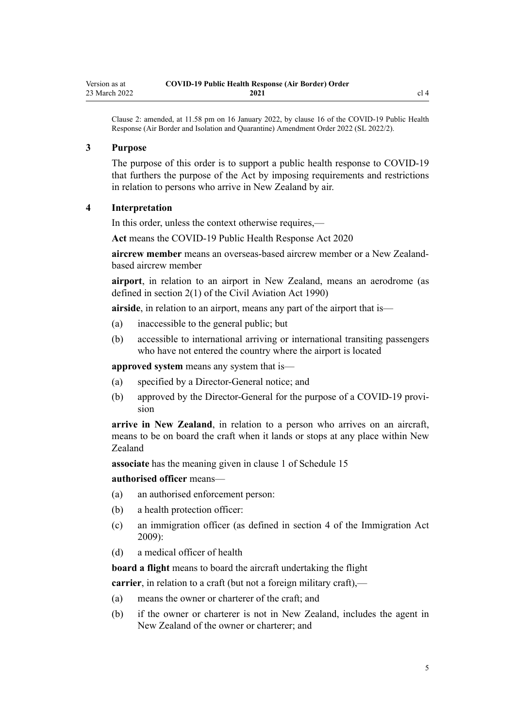<span id="page-4-0"></span>Clause 2: amended, at 11.58 pm on 16 January 2022, by [clause 16](http://legislation.govt.nz/pdflink.aspx?id=LMS629294) of the COVID-19 Public Health Response (Air Border and Isolation and Quarantine) Amendment Order 2022 (SL 2022/2).

#### **3 Purpose**

The purpose of this order is to support a public health response to COVID-19 that furthers the purpose of the Act by imposing requirements and restrictions in relation to persons who arrive in New Zealand by air.

### **4 Interpretation**

In this order, unless the context otherwise requires,—

**Act** means the [COVID-19 Public Health Response Act 2020](http://legislation.govt.nz/pdflink.aspx?id=LMS344121)

**aircrew member** means an overseas-based aircrew member or a New Zealandbased aircrew member

**airport**, in relation to an airport in New Zealand, means an aerodrome (as defined in [section 2\(1\)](http://legislation.govt.nz/pdflink.aspx?id=DLM214692) of the Civil Aviation Act 1990)

**airside**, in relation to an airport, means any part of the airport that is—

- (a) inaccessible to the general public; but
- (b) accessible to international arriving or international transiting passengers who have not entered the country where the airport is located

**approved system** means any system that is—

- (a) specified by a Director-General notice; and
- (b) approved by the Director-General for the purpose of a COVID-19 provision

**arrive in New Zealand**, in relation to a person who arrives on an aircraft, means to be on board the craft when it lands or stops at any place within New Zealand

**associate** has the meaning given in [clause 1](#page-76-0) of Schedule 15

**authorised officer** means—

- (a) an authorised enforcement person:
- (b) a health protection officer:
- (c) an immigration officer (as defined in [section 4](http://legislation.govt.nz/pdflink.aspx?id=DLM1440311) of the Immigration Act 2009):
- (d) a medical officer of health

**board a flight** means to board the aircraft undertaking the flight

**carrier**, in relation to a craft (but not a foreign military craft),—

- (a) means the owner or charterer of the craft; and
- (b) if the owner or charterer is not in New Zealand, includes the agent in New Zealand of the owner or charterer; and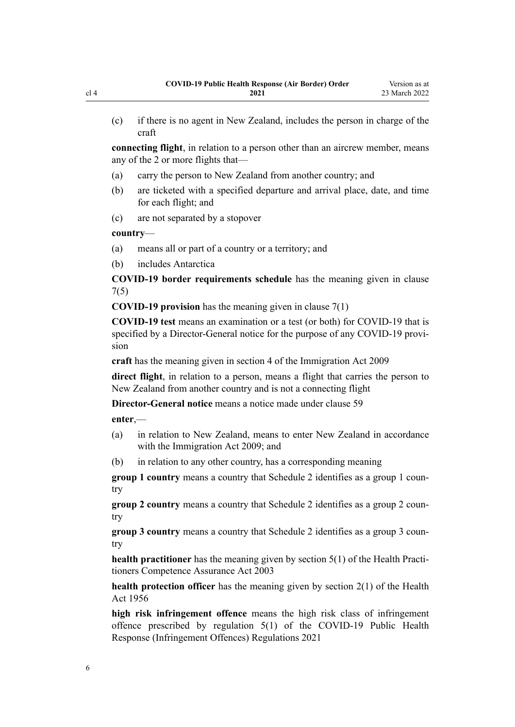(c) if there is no agent in New Zealand, includes the person in charge of the craft

**connecting flight**, in relation to a person other than an aircrew member, means any of the 2 or more flights that—

- (a) carry the person to New Zealand from another country; and
- (b) are ticketed with a specified departure and arrival place, date, and time for each flight; and
- (c) are not separated by a stopover

#### **country**—

- (a) means all or part of a country or a territory; and
- (b) includes Antarctica

**COVID-19 border requirements schedule** has the meaning given in [clause](#page-9-0) [7\(5\)](#page-9-0)

**COVID-19 provision** has the meaning given in [clause 7\(1\)](#page-9-0)

**COVID-19 test** means an examination or a test (or both) for COVID-19 that is specified by a Director-General notice for the purpose of any COVID-19 provision

**craft** has the meaning given in [section 4](http://legislation.govt.nz/pdflink.aspx?id=DLM1440311) of the Immigration Act 2009

**direct flight**, in relation to a person, means a flight that carries the person to New Zealand from another country and is not a connecting flight

**Director-General notice** means a notice made under [clause 59](#page-30-0)

**enter**,—

- (a) in relation to New Zealand, means to enter New Zealand in accordance with the [Immigration Act 2009](http://legislation.govt.nz/pdflink.aspx?id=DLM1440300); and
- (b) in relation to any other country, has a corresponding meaning

**group 1 country** means a country that [Schedule 2](#page-35-0) identifies as a group 1 country

**group 2 country** means a country that [Schedule 2](#page-35-0) identifies as a group 2 country

**group 3 country** means a country that [Schedule 2](#page-35-0) identifies as a group 3 country

**health practitioner** has the meaning given by [section 5\(1\)](http://legislation.govt.nz/pdflink.aspx?id=DLM203321) of the Health Practitioners Competence Assurance Act 2003

**health protection officer** has the meaning given by [section 2\(1\)](http://legislation.govt.nz/pdflink.aspx?id=DLM305845) of the Health Act 1956

**high risk infringement offence** means the high risk class of infringement offence prescribed by [regulation 5\(1\)](http://legislation.govt.nz/pdflink.aspx?id=LMS600713) of the COVID-19 Public Health Response (Infringement Offences) Regulations 2021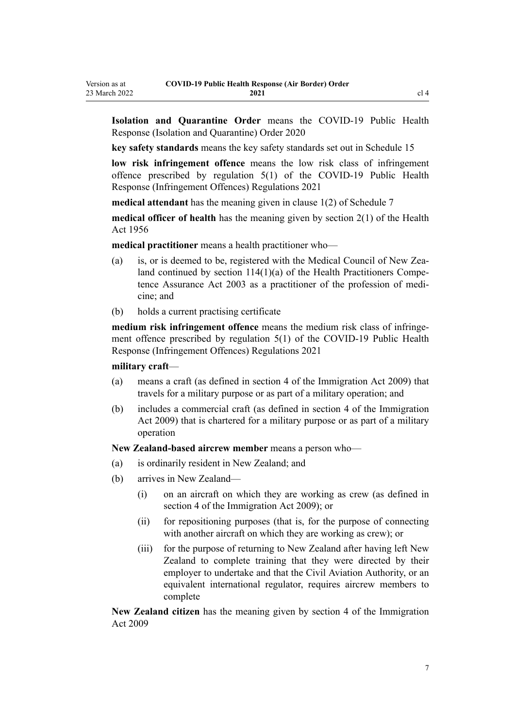**Isolation and Quarantine Order** means the [COVID-19 Public Health](http://legislation.govt.nz/pdflink.aspx?id=LMS401666) [Response \(Isolation and Quarantine\) Order 2020](http://legislation.govt.nz/pdflink.aspx?id=LMS401666)

**key safety standards** means the key safety standards set out in [Schedule 15](#page-76-0)

**low risk infringement offence** means the low risk class of infringement offence prescribed by [regulation 5\(1\)](http://legislation.govt.nz/pdflink.aspx?id=LMS600713) of the COVID-19 Public Health Response (Infringement Offences) Regulations 2021

**medical attendant** has the meaning given in [clause 1\(2\)](#page-46-0) of Schedule 7

**medical officer of health** has the meaning given by [section 2\(1\)](http://legislation.govt.nz/pdflink.aspx?id=DLM305845) of the Health Act 1956

**medical practitioner** means a health practitioner who—

- (a) is, or is deemed to be, registered with the Medical Council of New Zealand continued by section  $114(1)(a)$  of the Health Practitioners Competence Assurance Act 2003 as a practitioner of the profession of medi‐ cine; and
- (b) holds a current practising certificate

**medium risk infringement offence** means the medium risk class of infringement offence prescribed by [regulation 5\(1\)](http://legislation.govt.nz/pdflink.aspx?id=LMS600713) of the COVID-19 Public Health Response (Infringement Offences) Regulations 2021

#### **military craft**—

Version as at

- (a) means a craft (as defined in [section 4](http://legislation.govt.nz/pdflink.aspx?id=DLM1440311) of the Immigration Act 2009) that travels for a military purpose or as part of a military operation; and
- (b) includes a commercial craft (as defined in [section 4](http://legislation.govt.nz/pdflink.aspx?id=DLM1440311) of the Immigration Act 2009) that is chartered for a military purpose or as part of a military operation

**New Zealand-based aircrew member** means a person who—

- (a) is ordinarily resident in New Zealand; and
- (b) arrives in New Zealand—
	- (i) on an aircraft on which they are working as crew (as defined in [section 4](http://legislation.govt.nz/pdflink.aspx?id=DLM1440311) of the Immigration Act 2009); or
	- (ii) for repositioning purposes (that is, for the purpose of connecting with another aircraft on which they are working as crew); or
	- (iii) for the purpose of returning to New Zealand after having left New Zealand to complete training that they were directed by their employer to undertake and that the Civil Aviation Authority, or an equivalent international regulator, requires aircrew members to complete

**New Zealand citizen** has the meaning given by [section 4](http://legislation.govt.nz/pdflink.aspx?id=DLM1440311) of the Immigration Act 2009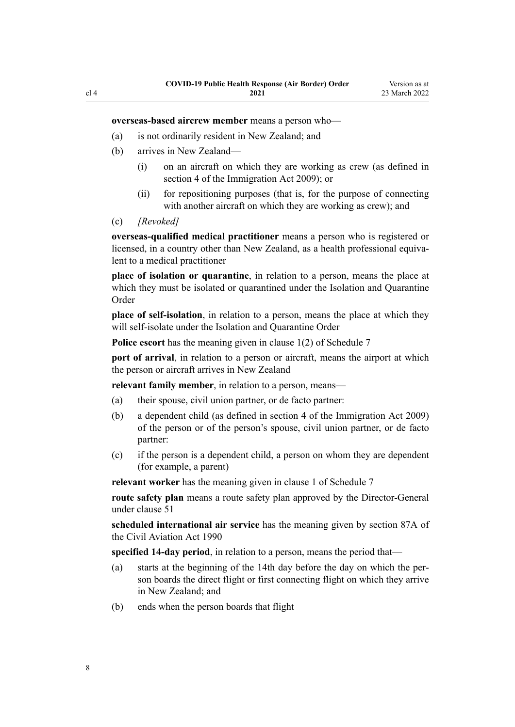**overseas-based aircrew member** means a person who—

- (a) is not ordinarily resident in New Zealand; and
- (b) arrives in New Zealand—
	- (i) on an aircraft on which they are working as crew (as defined in [section 4](http://legislation.govt.nz/pdflink.aspx?id=DLM1440311) of the Immigration Act 2009); or
	- (ii) for repositioning purposes (that is, for the purpose of connecting with another aircraft on which they are working as crew); and
- (c) *[Revoked]*

**overseas-qualified medical practitioner** means a person who is registered or licensed, in a country other than New Zealand, as a health professional equivalent to a medical practitioner

**place of isolation or quarantine**, in relation to a person, means the place at which they must be isolated or quarantined under the Isolation and Quarantine Order

**place of self-isolation**, in relation to a person, means the place at which they will self-isolate under the Isolation and Quarantine Order

**Police escort** has the meaning given in [clause 1\(2\)](#page-46-0) of Schedule 7

**port of arrival**, in relation to a person or aircraft, means the airport at which the person or aircraft arrives in New Zealand

**relevant family member**, in relation to a person, means—

- (a) their spouse, civil union partner, or de facto partner:
- (b) a dependent child (as defined in [section 4](http://legislation.govt.nz/pdflink.aspx?id=DLM1440311) of the Immigration Act 2009) of the person or of the person's spouse, civil union partner, or de facto partner:
- (c) if the person is a dependent child, a person on whom they are dependent (for example, a parent)

**relevant worker** has the meaning given in [clause 1](#page-46-0) of Schedule 7

**route safety plan** means a route safety plan approved by the Director-General under [clause 51](#page-26-0)

**scheduled international air service** has the meaning given by [section 87A](http://legislation.govt.nz/pdflink.aspx?id=DLM217812) of the Civil Aviation Act 1990

**specified 14-day period**, in relation to a person, means the period that—

- (a) starts at the beginning of the 14th day before the day on which the per‐ son boards the direct flight or first connecting flight on which they arrive in New Zealand; and
- (b) ends when the person boards that flight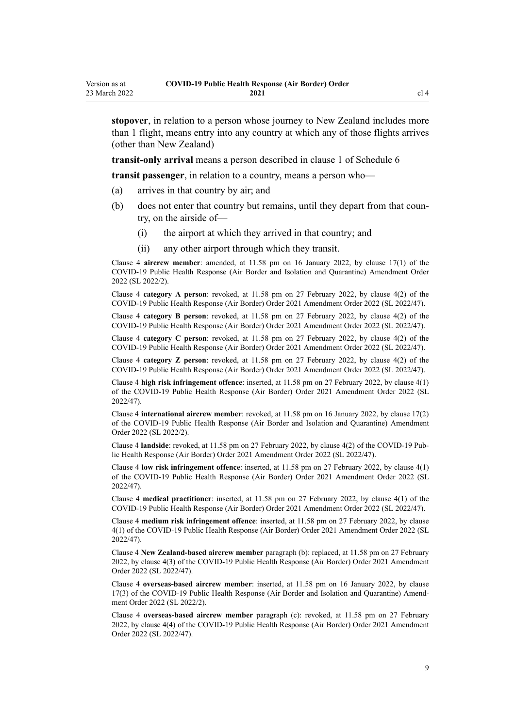**stopover**, in relation to a person whose journey to New Zealand includes more than 1 flight, means entry into any country at which any of those flights arrives (other than New Zealand)

**transit-only arrival** means a person described in [clause 1](#page-44-0) of Schedule 6

**transit passenger**, in relation to a country, means a person who—

- (a) arrives in that country by air; and
- (b) does not enter that country but remains, until they depart from that coun‐ try, on the airside of—
	- (i) the airport at which they arrived in that country; and
	- (ii) any other airport through which they transit.

Clause 4 **aircrew member**: amended, at 11.58 pm on 16 January 2022, by [clause 17\(1\)](http://legislation.govt.nz/pdflink.aspx?id=LMS629299) of the COVID-19 Public Health Response (Air Border and Isolation and Quarantine) Amendment Order 2022 (SL 2022/2).

Clause 4 **category A person**: revoked, at 11.58 pm on 27 February 2022, by [clause 4\(2\)](http://legislation.govt.nz/pdflink.aspx?id=LMS650823) of the COVID-19 Public Health Response (Air Border) Order 2021 Amendment Order 2022 (SL 2022/47).

Clause 4 **category B person**: revoked, at 11.58 pm on 27 February 2022, by [clause 4\(2\)](http://legislation.govt.nz/pdflink.aspx?id=LMS650823) of the COVID-19 Public Health Response (Air Border) Order 2021 Amendment Order 2022 (SL 2022/47).

Clause 4 **category C person**: revoked, at 11.58 pm on 27 February 2022, by [clause 4\(2\)](http://legislation.govt.nz/pdflink.aspx?id=LMS650823) of the COVID-19 Public Health Response (Air Border) Order 2021 Amendment Order 2022 (SL 2022/47).

Clause 4 **category Z person**: revoked, at 11.58 pm on 27 February 2022, by [clause 4\(2\)](http://legislation.govt.nz/pdflink.aspx?id=LMS650823) of the COVID-19 Public Health Response (Air Border) Order 2021 Amendment Order 2022 (SL 2022/47).

Clause 4 **high risk infringement offence**: inserted, at 11.58 pm on 27 February 2022, by [clause 4\(1\)](http://legislation.govt.nz/pdflink.aspx?id=LMS650823) of the COVID-19 Public Health Response (Air Border) Order 2021 Amendment Order 2022 (SL 2022/47).

Clause 4 **international aircrew member**: revoked, at 11.58 pm on 16 January 2022, by [clause 17\(2\)](http://legislation.govt.nz/pdflink.aspx?id=LMS629299) of the COVID-19 Public Health Response (Air Border and Isolation and Quarantine) Amendment Order 2022 (SL 2022/2).

Clause 4 **landside**: revoked, at 11.58 pm on 27 February 2022, by [clause 4\(2\)](http://legislation.govt.nz/pdflink.aspx?id=LMS650823) of the COVID-19 Pub‐ lic Health Response (Air Border) Order 2021 Amendment Order 2022 (SL 2022/47).

Clause 4 **low risk infringement offence**: inserted, at 11.58 pm on 27 February 2022, by [clause 4\(1\)](http://legislation.govt.nz/pdflink.aspx?id=LMS650823) of the COVID-19 Public Health Response (Air Border) Order 2021 Amendment Order 2022 (SL 2022/47).

Clause 4 **medical practitioner**: inserted, at 11.58 pm on 27 February 2022, by [clause 4\(1\)](http://legislation.govt.nz/pdflink.aspx?id=LMS650823) of the COVID-19 Public Health Response (Air Border) Order 2021 Amendment Order 2022 (SL 2022/47).

Clause 4 **medium risk infringement offence**: inserted, at 11.58 pm on 27 February 2022, by [clause](http://legislation.govt.nz/pdflink.aspx?id=LMS650823) [4\(1\)](http://legislation.govt.nz/pdflink.aspx?id=LMS650823) of the COVID-19 Public Health Response (Air Border) Order 2021 Amendment Order 2022 (SL 2022/47).

Clause 4 **New Zealand-based aircrew member** paragraph (b): replaced, at 11.58 pm on 27 February 2022, by [clause 4\(3\)](http://legislation.govt.nz/pdflink.aspx?id=LMS650823) of the COVID-19 Public Health Response (Air Border) Order 2021 Amendment Order 2022 (SL 2022/47).

Clause 4 **overseas-based aircrew member**: inserted, at 11.58 pm on 16 January 2022, by [clause](http://legislation.govt.nz/pdflink.aspx?id=LMS629299) [17\(3\)](http://legislation.govt.nz/pdflink.aspx?id=LMS629299) of the COVID-19 Public Health Response (Air Border and Isolation and Quarantine) Amend‐ ment Order 2022 (SL 2022/2).

Clause 4 **overseas-based aircrew member** paragraph (c): revoked, at 11.58 pm on 27 February 2022, by [clause 4\(4\)](http://legislation.govt.nz/pdflink.aspx?id=LMS650823) of the COVID-19 Public Health Response (Air Border) Order 2021 Amendment Order 2022 (SL 2022/47).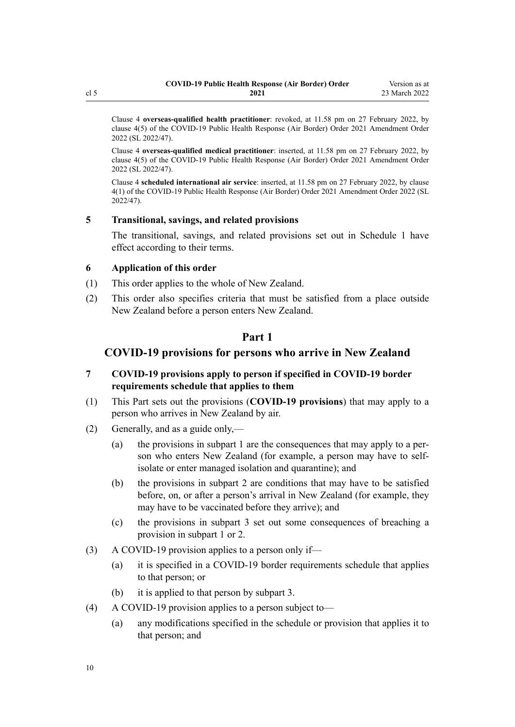<span id="page-9-0"></span>Clause 4 **overseas-qualified health practitioner**: revoked, at 11.58 pm on 27 February 2022, by [clause 4\(5\)](http://legislation.govt.nz/pdflink.aspx?id=LMS650823) of the COVID-19 Public Health Response (Air Border) Order 2021 Amendment Order 2022 (SL 2022/47).

Clause 4 **overseas-qualified medical practitioner**: inserted, at 11.58 pm on 27 February 2022, by [clause 4\(5\)](http://legislation.govt.nz/pdflink.aspx?id=LMS650823) of the COVID-19 Public Health Response (Air Border) Order 2021 Amendment Order 2022 (SL 2022/47).

Clause 4 **scheduled international air service**: inserted, at 11.58 pm on 27 February 2022, by [clause](http://legislation.govt.nz/pdflink.aspx?id=LMS650823) [4\(1\)](http://legislation.govt.nz/pdflink.aspx?id=LMS650823) of the COVID-19 Public Health Response (Air Border) Order 2021 Amendment Order 2022 (SL 2022/47).

#### **5 Transitional, savings, and related provisions**

The transitional, savings, and related provisions set out in [Schedule 1](#page-33-0) have effect according to their terms.

#### **6 Application of this order**

- (1) This order applies to the whole of New Zealand.
- (2) This order also specifies criteria that must be satisfied from a place outside New Zealand before a person enters New Zealand.

## **Part 1**

## **COVID-19 provisions for persons who arrive in New Zealand**

- **7 COVID-19 provisions apply to person if specified in COVID-19 border requirements schedule that applies to them**
- (1) This Part sets out the provisions (**COVID-19 provisions**) that may apply to a person who arrives in New Zealand by air.
- (2) Generally, and as a guide only,—
	- (a) the provisions in [subpart 1](#page-10-0) are the consequences that may apply to a per‐ son who enters New Zealand (for example, a person may have to selfisolate or enter managed isolation and quarantine); and
	- (b) the provisions in [subpart 2](#page-12-0) are conditions that may have to be satisfied before, on, or after a person's arrival in New Zealand (for example, they may have to be vaccinated before they arrive); and
	- (c) the provisions in [subpart 3](#page-22-0) set out some consequences of breaching a provision in [subpart 1](#page-10-0) or [2.](#page-12-0)
- (3) A COVID-19 provision applies to a person only if—
	- (a) it is specified in a COVID-19 border requirements schedule that applies to that person; or
	- (b) it is applied to that person by [subpart 3](#page-22-0).
- (4) A COVID-19 provision applies to a person subject to—
	- (a) any modifications specified in the schedule or provision that applies it to that person; and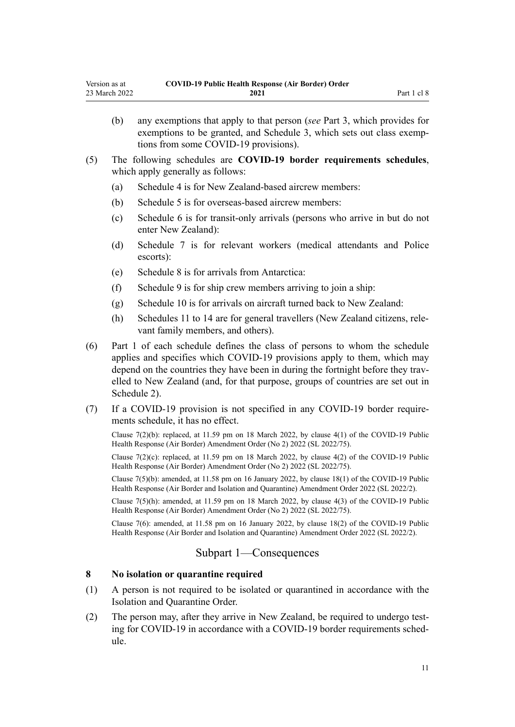- <span id="page-10-0"></span>(b) any exemptions that apply to that person (*see* [Part 3,](#page-28-0) which provides for exemptions to be granted, and [Schedule 3](#page-36-0), which sets out class exemptions from some COVID-19 provisions).
- (5) The following schedules are **COVID-19 border requirements schedules**, which apply generally as follows:
	- (a) [Schedule 4](#page-38-0) is for New Zealand-based aircrew members:
	- (b) [Schedule 5](#page-40-0) is for overseas-based aircrew members:
	- (c) [Schedule 6](#page-44-0) is for transit-only arrivals (persons who arrive in but do not enter New Zealand):
	- (d) [Schedule 7](#page-46-0) is for relevant workers (medical attendants and Police escorts):
	- (e) [Schedule 8](#page-53-0) is for arrivals from Antarctica:
	- (f) [Schedule 9](#page-55-0) is for ship crew members arriving to join a ship:
	- (g) [Schedule 10](#page-57-0) is for arrivals on aircraft turned back to New Zealand:
	- (h) [Schedules 11 to 14](#page-59-0) are for general travellers (New Zealand citizens, rele‐ vant family members, and others).
- (6) Part 1 of each schedule defines the class of persons to whom the schedule applies and specifies which COVID-19 provisions apply to them, which may depend on the countries they have been in during the fortnight before they travelled to New Zealand (and, for that purpose, groups of countries are set out in [Schedule 2\)](#page-35-0).
- (7) If a COVID-19 provision is not specified in any COVID-19 border require‐ ments schedule, it has no effect.

Clause  $7(2)(b)$ : replaced, at 11.59 pm on 18 March 2022, by clause  $4(1)$  of the COVID-19 Public Health Response (Air Border) Amendment Order (No 2) 2022 (SL 2022/75).

Clause  $7(2)(c)$ : replaced, at 11.59 pm on 18 March 2022, by clause  $4(2)$  of the COVID-19 Public Health Response (Air Border) Amendment Order (No 2) 2022 (SL 2022/75).

Clause 7(5)(b): amended, at 11.58 pm on 16 January 2022, by [clause 18\(1\)](http://legislation.govt.nz/pdflink.aspx?id=LMS629300) of the COVID-19 Public Health Response (Air Border and Isolation and Quarantine) Amendment Order 2022 (SL 2022/2).

Clause 7(5)(h): amended, at 11.59 pm on 18 March 2022, by [clause 4\(3\)](http://legislation.govt.nz/pdflink.aspx?id=LMS664426) of the COVID-19 Public Health Response (Air Border) Amendment Order (No 2) 2022 (SL 2022/75).

Clause 7(6): amended, at 11.58 pm on 16 January 2022, by [clause 18\(2\)](http://legislation.govt.nz/pdflink.aspx?id=LMS629300) of the COVID-19 Public Health Response (Air Border and Isolation and Quarantine) Amendment Order 2022 (SL 2022/2).

## Subpart 1—Consequences

## **8 No isolation or quarantine required**

- (1) A person is not required to be isolated or quarantined in accordance with the Isolation and Quarantine Order.
- (2) The person may, after they arrive in New Zealand, be required to undergo test‐ ing for COVID-19 in accordance with a COVID-19 border requirements schedule.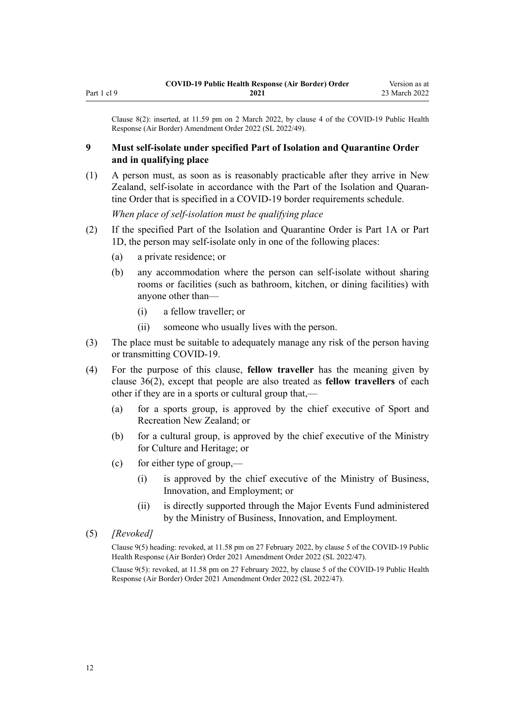<span id="page-11-0"></span>Clause 8(2): inserted, at 11.59 pm on 2 March 2022, by [clause 4](http://legislation.govt.nz/pdflink.aspx?id=LMS653777) of the COVID-19 Public Health Response (Air Border) Amendment Order 2022 (SL 2022/49).

## **9 Must self-isolate under specified Part of Isolation and Quarantine Order and in qualifying place**

(1) A person must, as soon as is reasonably practicable after they arrive in New Zealand, self-isolate in accordance with the Part of the Isolation and Quaran‐ tine Order that is specified in a COVID-19 border requirements schedule.

*When place of self-isolation must be qualifying place*

- (2) If the specified Part of the Isolation and Quarantine Order is [Part 1A](http://legislation.govt.nz/pdflink.aspx?id=LMS415267) or [Part](http://legislation.govt.nz/pdflink.aspx?id=LMS652452) [1D](http://legislation.govt.nz/pdflink.aspx?id=LMS652452), the person may self-isolate only in one of the following places:
	- (a) a private residence; or
	- (b) any accommodation where the person can self-isolate without sharing rooms or facilities (such as bathroom, kitchen, or dining facilities) with anyone other than—
		- (i) a fellow traveller; or
		- (ii) someone who usually lives with the person.
- (3) The place must be suitable to adequately manage any risk of the person having or transmitting COVID-19.
- (4) For the purpose of this clause, **fellow traveller** has the meaning given by [clause 36\(2\)](#page-21-0), except that people are also treated as **fellow travellers** of each other if they are in a sports or cultural group that,—
	- (a) for a sports group, is approved by the chief executive of Sport and Recreation New Zealand; or
	- (b) for a cultural group, is approved by the chief executive of the Ministry for Culture and Heritage; or
	- (c) for either type of group,—
		- (i) is approved by the chief executive of the Ministry of Business, Innovation, and Employment; or
		- (ii) is directly supported through the Major Events Fund administered by the Ministry of Business, Innovation, and Employment.
- (5) *[Revoked]*

Clause 9(5) heading: revoked, at 11.58 pm on 27 February 2022, by [clause 5](http://legislation.govt.nz/pdflink.aspx?id=LMS650824) of the COVID-19 Public Health Response (Air Border) Order 2021 Amendment Order 2022 (SL 2022/47).

Clause 9(5): revoked, at 11.58 pm on 27 February 2022, by [clause 5](http://legislation.govt.nz/pdflink.aspx?id=LMS650824) of the COVID-19 Public Health Response (Air Border) Order 2021 Amendment Order 2022 (SL 2022/47).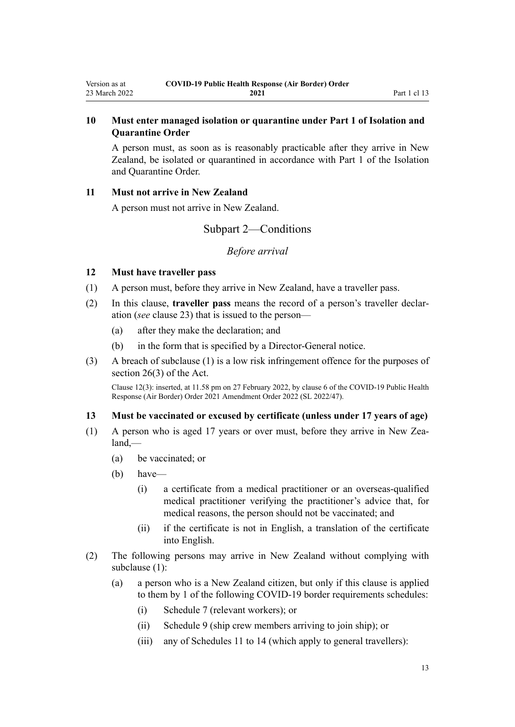## <span id="page-12-0"></span>**10 Must enter managed isolation or quarantine under Part 1 of Isolation and Quarantine Order**

A person must, as soon as is reasonably practicable after they arrive in New Zealand, be isolated or quarantined in accordance with [Part 1](http://legislation.govt.nz/pdflink.aspx?id=LMS401726) of the Isolation and Quarantine Order.

#### **11 Must not arrive in New Zealand**

A person must not arrive in New Zealand.

## Subpart 2—Conditions

## *Before arrival*

## **12 Must have traveller pass**

- (1) A person must, before they arrive in New Zealand, have a traveller pass.
- (2) In this clause, **traveller pass** means the record of a person's traveller declar‐ ation (*see* [clause 23\)](#page-16-0) that is issued to the person—
	- (a) after they make the declaration; and
	- (b) in the form that is specified by a Director-General notice.
- (3) A breach of subclause (1) is a low risk infringement offence for the purposes of [section 26\(3\)](http://legislation.govt.nz/pdflink.aspx?id=LMS344200) of the Act.

Clause 12(3): inserted, at 11.58 pm on 27 February 2022, by [clause 6](http://legislation.govt.nz/pdflink.aspx?id=LMS650825) of the COVID-19 Public Health Response (Air Border) Order 2021 Amendment Order 2022 (SL 2022/47).

## **13 Must be vaccinated or excused by certificate (unless under 17 years of age)**

- (1) A person who is aged 17 years or over must, before they arrive in New Zea‐ land,—
	- (a) be vaccinated; or
	- (b) have—
		- (i) a certificate from a medical practitioner or an overseas-qualified medical practitioner verifying the practitioner's advice that, for medical reasons, the person should not be vaccinated; and
		- (ii) if the certificate is not in English, a translation of the certificate into English.
- (2) The following persons may arrive in New Zealand without complying with subclause (1):
	- (a) a person who is a New Zealand citizen, but only if this clause is applied to them by 1 of the following COVID-19 border requirements schedules:
		- (i) [Schedule 7](#page-46-0) (relevant workers); or
		- (ii) [Schedule 9](#page-55-0) (ship crew members arriving to join ship); or
		- (iii) any of [Schedules 11 to 14](#page-59-0) (which apply to general travellers):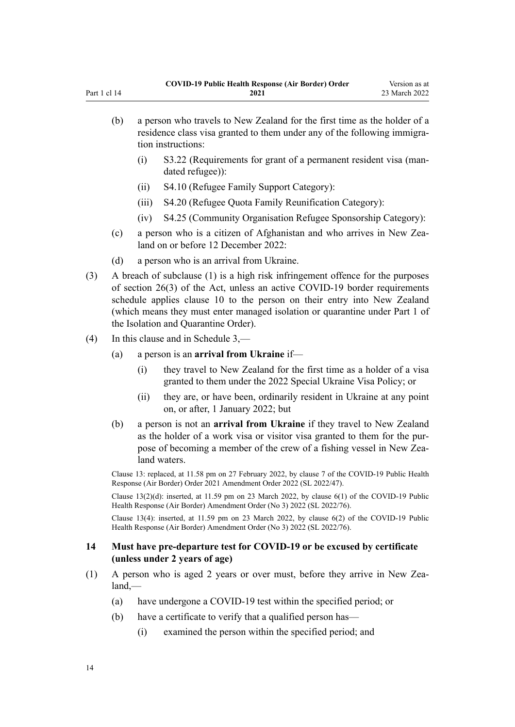<span id="page-13-0"></span>

| (b) | a person who travels to New Zealand for the first time as the holder of a<br>residence class visa granted to them under any of the following immigra-<br>tion instructions: |                                                                                      |  |
|-----|-----------------------------------------------------------------------------------------------------------------------------------------------------------------------------|--------------------------------------------------------------------------------------|--|
|     |                                                                                                                                                                             | S3.22 (Requirements for grant of a permanent resident visa (man-<br>dated refugee)): |  |

- (ii) S4.10 (Refugee Family Support Category):
- (iii) S4.20 (Refugee Quota Family Reunification Category):
- (iv) S4.25 (Community Organisation Refugee Sponsorship Category):
- (c) a person who is a citizen of Afghanistan and who arrives in New Zealand on or before 12 December 2022:
- (d) a person who is an arrival from Ukraine.
- (3) A breach of subclause (1) is a high risk infringement offence for the purposes of [section 26\(3\)](http://legislation.govt.nz/pdflink.aspx?id=LMS344200) of the Act, unless an active COVID-19 border requirements schedule applies [clause 10](#page-12-0) to the person on their entry into New Zealand (which means they must enter managed isolation or quarantine under [Part 1](http://legislation.govt.nz/pdflink.aspx?id=LMS401726) of the Isolation and Quarantine Order).
- (4) In this clause and in [Schedule 3,](#page-36-0)
	- (a) a person is an **arrival from Ukraine** if—
		- (i) they travel to New Zealand for the first time as a holder of a visa granted to them under the 2022 Special Ukraine Visa Policy; or
		- (ii) they are, or have been, ordinarily resident in Ukraine at any point on, or after, 1 January 2022; but
	- (b) a person is not an **arrival from Ukraine** if they travel to New Zealand as the holder of a work visa or visitor visa granted to them for the pur‐ pose of becoming a member of the crew of a fishing vessel in New Zealand waters.

Clause 13: replaced, at 11.58 pm on 27 February 2022, by [clause 7](http://legislation.govt.nz/pdflink.aspx?id=LMS650827) of the COVID-19 Public Health Response (Air Border) Order 2021 Amendment Order 2022 (SL 2022/47).

Clause 13(2)(d): inserted, at 11.59 pm on 23 March 2022, by [clause 6\(1\)](http://legislation.govt.nz/pdflink.aspx?id=LMS665923) of the COVID-19 Public Health Response (Air Border) Amendment Order (No 3) 2022 (SL 2022/76).

Clause 13(4): inserted, at 11.59 pm on 23 March 2022, by [clause 6\(2\)](http://legislation.govt.nz/pdflink.aspx?id=LMS665923) of the COVID-19 Public Health Response (Air Border) Amendment Order (No 3) 2022 (SL 2022/76).

## **14 Must have pre-departure test for COVID-19 or be excused by certificate (unless under 2 years of age)**

- (1) A person who is aged 2 years or over must, before they arrive in New Zea‐ land,—
	- (a) have undergone a COVID-19 test within the specified period; or
	- (b) have a certificate to verify that a qualified person has—
		- (i) examined the person within the specified period; and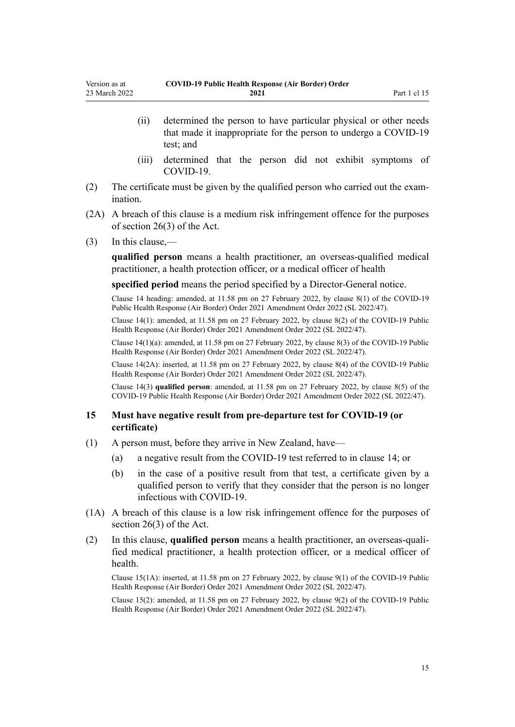- <span id="page-14-0"></span>(ii) determined the person to have particular physical or other needs that made it inappropriate for the person to undergo a COVID-19 test; and
- (iii) determined that the person did not exhibit symptoms of COVID-19.
- (2) The certificate must be given by the qualified person who carried out the exam‐ ination.
- (2A) A breach of this clause is a medium risk infringement offence for the purposes of [section 26\(3\)](http://legislation.govt.nz/pdflink.aspx?id=LMS344200) of the Act.
- (3) In this clause,—

**qualified person** means a health practitioner, an overseas-qualified medical practitioner, a health protection officer, or a medical officer of health

**specified period** means the period specified by a Director-General notice.

Clause 14 heading: amended, at 11.58 pm on 27 February 2022, by [clause 8\(1\)](http://legislation.govt.nz/pdflink.aspx?id=LMS650829) of the COVID-19 Public Health Response (Air Border) Order 2021 Amendment Order 2022 (SL 2022/47).

Clause 14(1): amended, at 11.58 pm on 27 February 2022, by [clause 8\(2\)](http://legislation.govt.nz/pdflink.aspx?id=LMS650829) of the COVID-19 Public Health Response (Air Border) Order 2021 Amendment Order 2022 (SL 2022/47).

Clause 14(1)(a): amended, at 11.58 pm on 27 February 2022, by [clause 8\(3\)](http://legislation.govt.nz/pdflink.aspx?id=LMS650829) of the COVID-19 Public Health Response (Air Border) Order 2021 Amendment Order 2022 (SL 2022/47).

Clause 14(2A): inserted, at 11.58 pm on 27 February 2022, by [clause 8\(4\)](http://legislation.govt.nz/pdflink.aspx?id=LMS650829) of the COVID-19 Public Health Response (Air Border) Order 2021 Amendment Order 2022 (SL 2022/47).

Clause 14(3) **qualified person**: amended, at 11.58 pm on 27 February 2022, by [clause 8\(5\)](http://legislation.govt.nz/pdflink.aspx?id=LMS650829) of the COVID-19 Public Health Response (Air Border) Order 2021 Amendment Order 2022 (SL 2022/47).

#### **15 Must have negative result from pre-departure test for COVID-19 (or certificate)**

- (1) A person must, before they arrive in New Zealand, have—
	- (a) a negative result from the COVID-19 test referred to in [clause 14](#page-13-0); or
	- (b) in the case of a positive result from that test, a certificate given by a qualified person to verify that they consider that the person is no longer infectious with COVID-19.
- (1A) A breach of this clause is a low risk infringement offence for the purposes of [section 26\(3\)](http://legislation.govt.nz/pdflink.aspx?id=LMS344200) of the Act.
- (2) In this clause, **qualified person** means a health practitioner, an overseas-quali‐ fied medical practitioner, a health protection officer, or a medical officer of health.

Clause 15(1A): inserted, at 11.58 pm on 27 February 2022, by [clause 9\(1\)](http://legislation.govt.nz/pdflink.aspx?id=LMS650830) of the COVID-19 Public Health Response (Air Border) Order 2021 Amendment Order 2022 (SL 2022/47).

Clause 15(2): amended, at 11.58 pm on 27 February 2022, by [clause 9\(2\)](http://legislation.govt.nz/pdflink.aspx?id=LMS650830) of the COVID-19 Public Health Response (Air Border) Order 2021 Amendment Order 2022 (SL 2022/47).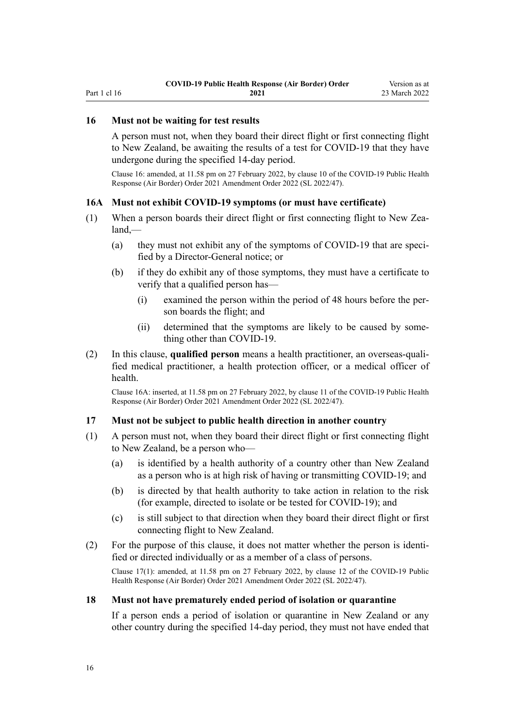# <span id="page-15-0"></span>**16 Must not be waiting for test results**

A person must not, when they board their direct flight or first connecting flight to New Zealand, be awaiting the results of a test for COVID-19 that they have undergone during the specified 14-day period.

Clause 16: amended, at 11.58 pm on 27 February 2022, by [clause 10](http://legislation.govt.nz/pdflink.aspx?id=LMS650831) of the COVID-19 Public Health Response (Air Border) Order 2021 Amendment Order 2022 (SL 2022/47).

#### **16A Must not exhibit COVID-19 symptoms (or must have certificate)**

- (1) When a person boards their direct flight or first connecting flight to New Zealand,—
	- (a) they must not exhibit any of the symptoms of COVID-19 that are specified by a Director-General notice; or
	- (b) if they do exhibit any of those symptoms, they must have a certificate to verify that a qualified person has—
		- (i) examined the person within the period of 48 hours before the per‐ son boards the flight; and
		- (ii) determined that the symptoms are likely to be caused by something other than COVID-19.
- (2) In this clause, **qualified person** means a health practitioner, an overseas-quali‐ fied medical practitioner, a health protection officer, or a medical officer of health.

Clause 16A: inserted, at 11.58 pm on 27 February 2022, by [clause 11](http://legislation.govt.nz/pdflink.aspx?id=LMS650834) of the COVID-19 Public Health Response (Air Border) Order 2021 Amendment Order 2022 (SL 2022/47).

#### **17 Must not be subject to public health direction in another country**

- (1) A person must not, when they board their direct flight or first connecting flight to New Zealand, be a person who—
	- (a) is identified by a health authority of a country other than New Zealand as a person who is at high risk of having or transmitting COVID-19; and
	- (b) is directed by that health authority to take action in relation to the risk (for example, directed to isolate or be tested for COVID-19); and
	- (c) is still subject to that direction when they board their direct flight or first connecting flight to New Zealand.
- $(2)$  For the purpose of this clause, it does not matter whether the person is identified or directed individually or as a member of a class of persons.

Clause 17(1): amended, at 11.58 pm on 27 February 2022, by [clause 12](http://legislation.govt.nz/pdflink.aspx?id=LMS650835) of the COVID-19 Public Health Response (Air Border) Order 2021 Amendment Order 2022 (SL 2022/47).

#### **18 Must not have prematurely ended period of isolation or quarantine**

If a person ends a period of isolation or quarantine in New Zealand or any other country during the specified 14-day period, they must not have ended that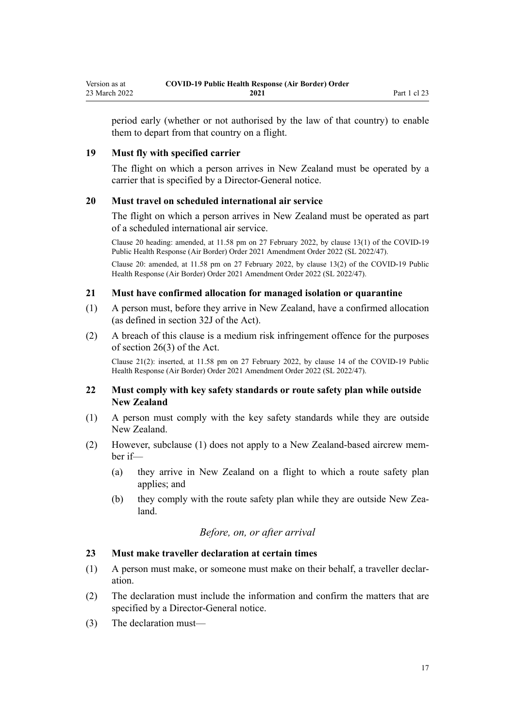<span id="page-16-0"></span>period early (whether or not authorised by the law of that country) to enable them to depart from that country on a flight.

#### **19 Must fly with specified carrier**

The flight on which a person arrives in New Zealand must be operated by a carrier that is specified by a Director-General notice.

#### **20 Must travel on scheduled international air service**

The flight on which a person arrives in New Zealand must be operated as part of a scheduled international air service.

Clause 20 heading: amended, at 11.58 pm on 27 February 2022, by [clause 13\(1\)](http://legislation.govt.nz/pdflink.aspx?id=LMS650836) of the COVID-19 Public Health Response (Air Border) Order 2021 Amendment Order 2022 (SL 2022/47).

Clause 20: amended, at 11.58 pm on 27 February 2022, by [clause 13\(2\)](http://legislation.govt.nz/pdflink.aspx?id=LMS650836) of the COVID-19 Public Health Response (Air Border) Order 2021 Amendment Order 2022 (SL 2022/47).

#### **21 Must have confirmed allocation for managed isolation or quarantine**

- (1) A person must, before they arrive in New Zealand, have a confirmed allocation (as defined in [section 32J](http://legislation.govt.nz/pdflink.aspx?id=LMS600936) of the Act).
- (2) A breach of this clause is a medium risk infringement offence for the purposes of [section 26\(3\)](http://legislation.govt.nz/pdflink.aspx?id=LMS344200) of the Act.

Clause 21(2): inserted, at 11.58 pm on 27 February 2022, by [clause 14](http://legislation.govt.nz/pdflink.aspx?id=LMS650837) of the COVID-19 Public Health Response (Air Border) Order 2021 Amendment Order 2022 (SL 2022/47).

#### **22 Must comply with key safety standards or route safety plan while outside New Zealand**

- (1) A person must comply with the key safety standards while they are outside New Zealand.
- (2) However, subclause (1) does not apply to a New Zealand-based aircrew mem‐ ber if—
	- (a) they arrive in New Zealand on a flight to which a route safety plan applies; and
	- (b) they comply with the route safety plan while they are outside New Zea– land.

## *Before, on, or after arrival*

#### **23 Must make traveller declaration at certain times**

- (1) A person must make, or someone must make on their behalf, a traveller declar‐ ation.
- (2) The declaration must include the information and confirm the matters that are specified by a Director-General notice.
- (3) The declaration must—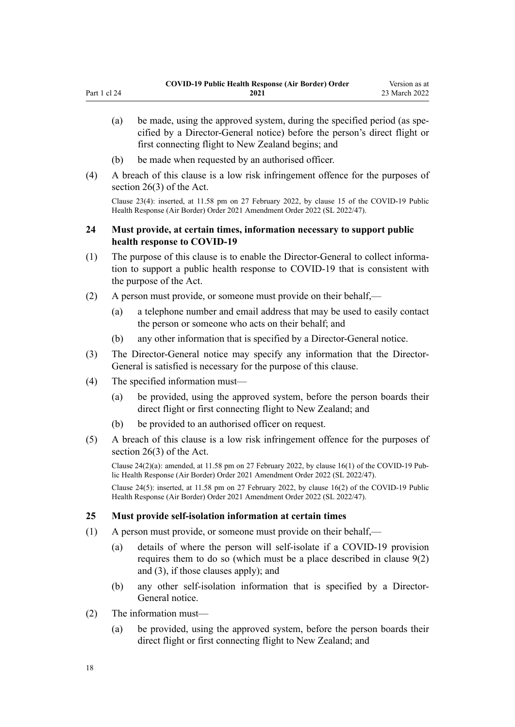- <span id="page-17-0"></span>(a) be made, using the approved system, during the specified period (as spe‐ cified by a Director-General notice) before the person's direct flight or first connecting flight to New Zealand begins; and
- (b) be made when requested by an authorised officer.
- (4) A breach of this clause is a low risk infringement offence for the purposes of [section 26\(3\)](http://legislation.govt.nz/pdflink.aspx?id=LMS344200) of the Act.

Clause 23(4): inserted, at 11.58 pm on 27 February 2022, by [clause 15](http://legislation.govt.nz/pdflink.aspx?id=LMS650838) of the COVID-19 Public Health Response (Air Border) Order 2021 Amendment Order 2022 (SL 2022/47).

## **24 Must provide, at certain times, information necessary to support public health response to COVID-19**

- (1) The purpose of this clause is to enable the Director-General to collect informa‐ tion to support a public health response to COVID-19 that is consistent with the purpose of the Act.
- (2) A person must provide, or someone must provide on their behalf,—
	- (a) a telephone number and email address that may be used to easily contact the person or someone who acts on their behalf; and
	- (b) any other information that is specified by a Director-General notice.
- (3) The Director-General notice may specify any information that the Director-General is satisfied is necessary for the purpose of this clause.
- (4) The specified information must—
	- (a) be provided, using the approved system, before the person boards their direct flight or first connecting flight to New Zealand; and
	- (b) be provided to an authorised officer on request.
- (5) A breach of this clause is a low risk infringement offence for the purposes of [section 26\(3\)](http://legislation.govt.nz/pdflink.aspx?id=LMS344200) of the Act.

Clause  $24(2)(a)$ : amended, at 11.58 pm on 27 February 2022, by [clause 16\(1\)](http://legislation.govt.nz/pdflink.aspx?id=LMS650839) of the COVID-19 Public Health Response (Air Border) Order 2021 Amendment Order 2022 (SL 2022/47).

Clause 24(5): inserted, at 11.58 pm on 27 February 2022, by [clause 16\(2\)](http://legislation.govt.nz/pdflink.aspx?id=LMS650839) of the COVID-19 Public Health Response (Air Border) Order 2021 Amendment Order 2022 (SL 2022/47).

### **25 Must provide self-isolation information at certain times**

- (1) A person must provide, or someone must provide on their behalf,—
	- (a) details of where the person will self-isolate if a COVID-19 provision requires them to do so (which must be a place described in [clause 9\(2\)](#page-11-0) [and \(3\)](#page-11-0), if those clauses apply); and
	- (b) any other self-isolation information that is specified by a Director-General notice.
- (2) The information must—
	- (a) be provided, using the approved system, before the person boards their direct flight or first connecting flight to New Zealand; and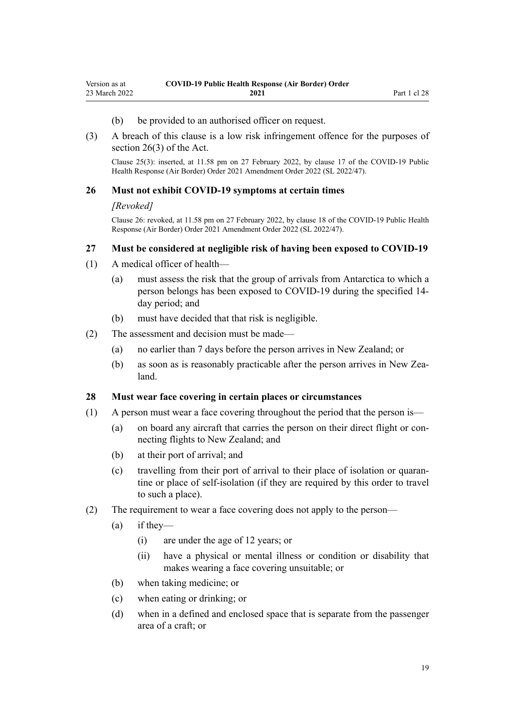- (b) be provided to an authorised officer on request.
- <span id="page-18-0"></span>(3) A breach of this clause is a low risk infringement offence for the purposes of [section 26\(3\)](http://legislation.govt.nz/pdflink.aspx?id=LMS344200) of the Act.

Clause 25(3): inserted, at 11.58 pm on 27 February 2022, by [clause 17](http://legislation.govt.nz/pdflink.aspx?id=LMS650840) of the COVID-19 Public Health Response (Air Border) Order 2021 Amendment Order 2022 (SL 2022/47).

#### **26 Must not exhibit COVID-19 symptoms at certain times**

#### *[Revoked]*

Clause 26: revoked, at 11.58 pm on 27 February 2022, by [clause 18](http://legislation.govt.nz/pdflink.aspx?id=LMS650841) of the COVID-19 Public Health Response (Air Border) Order 2021 Amendment Order 2022 (SL 2022/47).

#### **27 Must be considered at negligible risk of having been exposed to COVID-19**

- (1) A medical officer of health—
	- (a) must assess the risk that the group of arrivals from Antarctica to which a person belongs has been exposed to COVID-19 during the specified 14 day period; and
	- (b) must have decided that that risk is negligible.
- (2) The assessment and decision must be made—
	- (a) no earlier than 7 days before the person arrives in New Zealand; or
	- (b) as soon as is reasonably practicable after the person arrives in New Zealand.

#### **28 Must wear face covering in certain places or circumstances**

- (1) A person must wear a face covering throughout the period that the person is—
	- (a) on board any aircraft that carries the person on their direct flight or con‐ necting flights to New Zealand; and
	- (b) at their port of arrival; and
	- (c) travelling from their port of arrival to their place of isolation or quaran‐ tine or place of self-isolation (if they are required by this order to travel to such a place).
- (2) The requirement to wear a face covering does not apply to the person—
	- $(a)$  if they—
		- (i) are under the age of 12 years; or
		- (ii) have a physical or mental illness or condition or disability that makes wearing a face covering unsuitable; or
	- (b) when taking medicine; or
	- (c) when eating or drinking; or
	- (d) when in a defined and enclosed space that is separate from the passenger area of a craft; or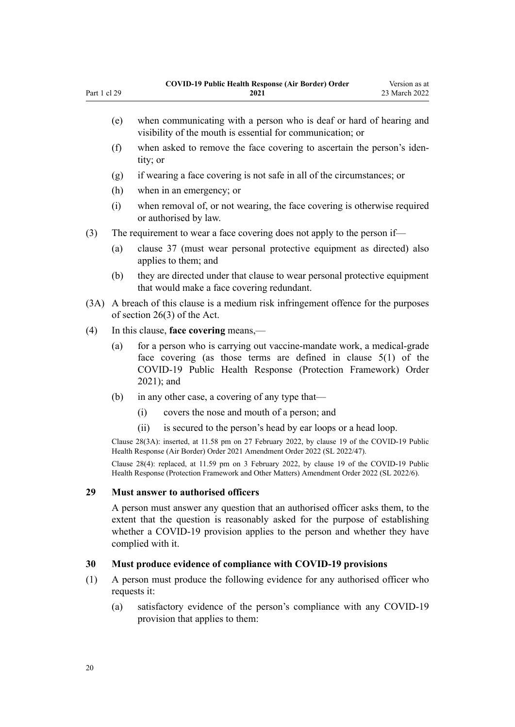- <span id="page-19-0"></span>(e) when communicating with a person who is deaf or hard of hearing and visibility of the mouth is essential for communication; or (f) when asked to remove the face covering to ascertain the person's iden‐
- tity; or
- (g) if wearing a face covering is not safe in all of the circumstances; or
- (h) when in an emergency; or
- (i) when removal of, or not wearing, the face covering is otherwise required or authorised by law.

(3) The requirement to wear a face covering does not apply to the person if—

- (a) [clause 37](#page-22-0) (must wear personal protective equipment as directed) also applies to them; and
- (b) they are directed under that clause to wear personal protective equipment that would make a face covering redundant.
- (3A) A breach of this clause is a medium risk infringement offence for the purposes of [section 26\(3\)](http://legislation.govt.nz/pdflink.aspx?id=LMS344200) of the Act.
- (4) In this clause, **face covering** means,—
	- (a) for a person who is carrying out vaccine-mandate work, a medical-grade face covering (as those terms are defined in [clause 5\(1\)](http://legislation.govt.nz/pdflink.aspx?id=LMS573241) of the COVID-19 Public Health Response (Protection Framework) Order 2021); and
	- (b) in any other case, a covering of any type that—
		- (i) covers the nose and mouth of a person; and
		- (ii) is secured to the person's head by ear loops or a head loop.

Clause 28(3A): inserted, at 11.58 pm on 27 February 2022, by [clause 19](http://legislation.govt.nz/pdflink.aspx?id=LMS650842) of the COVID-19 Public Health Response (Air Border) Order 2021 Amendment Order 2022 (SL 2022/47).

Clause 28(4): replaced, at 11.59 pm on 3 February 2022, by [clause 19](http://legislation.govt.nz/pdflink.aspx?id=LMS638352) of the COVID-19 Public Health Response (Protection Framework and Other Matters) Amendment Order 2022 (SL 2022/6).

#### **29 Must answer to authorised officers**

A person must answer any question that an authorised officer asks them, to the extent that the question is reasonably asked for the purpose of establishing whether a COVID-19 provision applies to the person and whether they have complied with it.

#### **30 Must produce evidence of compliance with COVID-19 provisions**

- (1) A person must produce the following evidence for any authorised officer who requests it:
	- (a) satisfactory evidence of the person's compliance with any COVID-19 provision that applies to them: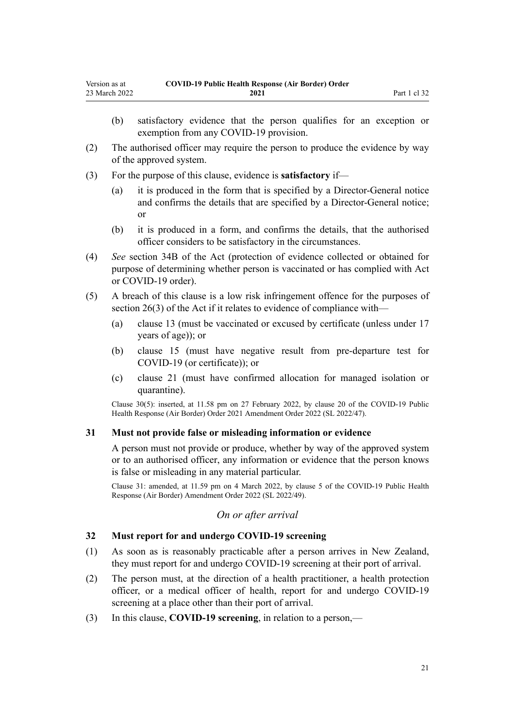- <span id="page-20-0"></span>(b) satisfactory evidence that the person qualifies for an exception or exemption from any COVID-19 provision.
- (2) The authorised officer may require the person to produce the evidence by way of the approved system.
- (3) For the purpose of this clause, evidence is **satisfactory** if—
	- (a) it is produced in the form that is specified by a Director-General notice and confirms the details that are specified by a Director-General notice; or
	- (b) it is produced in a form, and confirms the details, that the authorised officer considers to be satisfactory in the circumstances.
- (4) *See* [section 34B](http://legislation.govt.nz/pdflink.aspx?id=LMS606314) of the Act (protection of evidence collected or obtained for purpose of determining whether person is vaccinated or has complied with Act or COVID-19 order).
- (5) A breach of this clause is a low risk infringement offence for the purposes of [section 26\(3\)](http://legislation.govt.nz/pdflink.aspx?id=LMS344200) of the Act if it relates to evidence of compliance with-
	- (a) [clause 13](#page-12-0) (must be vaccinated or excused by certificate (unless under 17 years of age)); or
	- (b) [clause 15](#page-14-0) (must have negative result from pre-departure test for COVID-19 (or certificate)); or
	- (c) [clause 21](#page-16-0) (must have confirmed allocation for managed isolation or quarantine).

Clause 30(5): inserted, at 11.58 pm on 27 February 2022, by [clause 20](http://legislation.govt.nz/pdflink.aspx?id=LMS650843) of the COVID-19 Public Health Response (Air Border) Order 2021 Amendment Order 2022 (SL 2022/47).

#### **31 Must not provide false or misleading information or evidence**

A person must not provide or produce, whether by way of the approved system or to an authorised officer, any information or evidence that the person knows is false or misleading in any material particular.

Clause 31: amended, at 11.59 pm on 4 March 2022, by [clause 5](http://legislation.govt.nz/pdflink.aspx?id=LMS653778) of the COVID-19 Public Health Response (Air Border) Amendment Order 2022 (SL 2022/49).

## *On or after arrival*

#### **32 Must report for and undergo COVID-19 screening**

- (1) As soon as is reasonably practicable after a person arrives in New Zealand, they must report for and undergo COVID-19 screening at their port of arrival.
- (2) The person must, at the direction of a health practitioner, a health protection officer, or a medical officer of health, report for and undergo COVID-19 screening at a place other than their port of arrival.
- (3) In this clause, **COVID-19 screening**, in relation to a person,—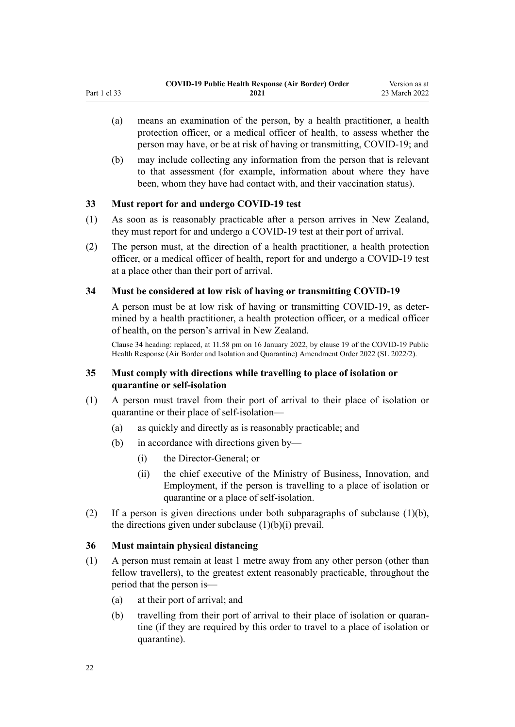- <span id="page-21-0"></span>(a) means an examination of the person, by a health practitioner, a health protection officer, or a medical officer of health, to assess whether the person may have, or be at risk of having or transmitting, COVID-19; and
- (b) may include collecting any information from the person that is relevant to that assessment (for example, information about where they have been, whom they have had contact with, and their vaccination status).

## **33 Must report for and undergo COVID-19 test**

- (1) As soon as is reasonably practicable after a person arrives in New Zealand, they must report for and undergo a COVID-19 test at their port of arrival.
- (2) The person must, at the direction of a health practitioner, a health protection officer, or a medical officer of health, report for and undergo a COVID-19 test at a place other than their port of arrival.

## **34 Must be considered at low risk of having or transmitting COVID-19**

A person must be at low risk of having or transmitting COVID-19, as deter‐ mined by a health practitioner, a health protection officer, or a medical officer of health, on the person's arrival in New Zealand.

Clause 34 heading: replaced, at 11.58 pm on 16 January 2022, by [clause 19](http://legislation.govt.nz/pdflink.aspx?id=LMS629301) of the COVID-19 Public Health Response (Air Border and Isolation and Quarantine) Amendment Order 2022 (SL 2022/2).

## **35 Must comply with directions while travelling to place of isolation or quarantine or self-isolation**

- (1) A person must travel from their port of arrival to their place of isolation or quarantine or their place of self-isolation—
	- (a) as quickly and directly as is reasonably practicable; and
	- (b) in accordance with directions given by—
		- (i) the Director-General; or
		- (ii) the chief executive of the Ministry of Business, Innovation, and Employment, if the person is travelling to a place of isolation or quarantine or a place of self-isolation.
- (2) If a person is given directions under both subparagraphs of subclause  $(1)(b)$ , the directions given under subclause  $(1)(b)(i)$  prevail.

## **36 Must maintain physical distancing**

- (1) A person must remain at least 1 metre away from any other person (other than fellow travellers), to the greatest extent reasonably practicable, throughout the period that the person is—
	- (a) at their port of arrival; and
	- (b) travelling from their port of arrival to their place of isolation or quarantine (if they are required by this order to travel to a place of isolation or quarantine).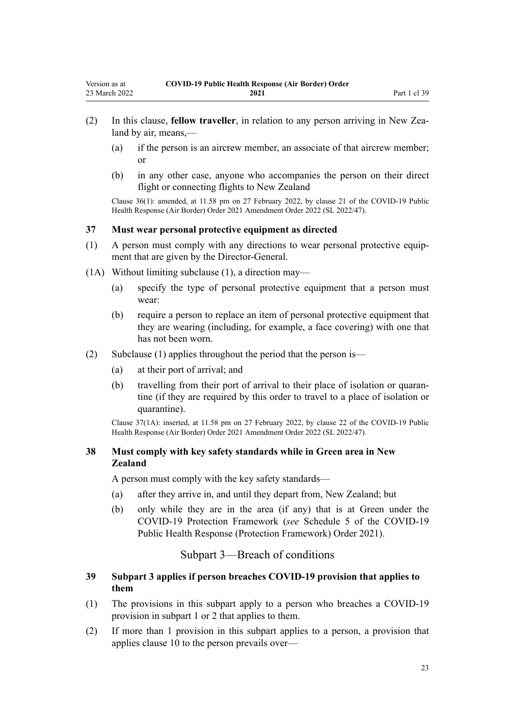- <span id="page-22-0"></span>(2) In this clause, **fellow traveller**, in relation to any person arriving in New Zea‐ land by air, means,—
	- (a) if the person is an aircrew member, an associate of that aircrew member; or
	- (b) in any other case, anyone who accompanies the person on their direct flight or connecting flights to New Zealand

Clause 36(1): amended, at 11.58 pm on 27 February 2022, by [clause 21](http://legislation.govt.nz/pdflink.aspx?id=LMS650844) of the COVID-19 Public Health Response (Air Border) Order 2021 Amendment Order 2022 (SL 2022/47).

#### **37 Must wear personal protective equipment as directed**

- (1) A person must comply with any directions to wear personal protective equip‐ ment that are given by the Director-General.
- (1A) Without limiting subclause (1), a direction may—
	- (a) specify the type of personal protective equipment that a person must wear:
	- (b) require a person to replace an item of personal protective equipment that they are wearing (including, for example, a face covering) with one that has not been worn.
- (2) Subclause (1) applies throughout the period that the person is—
	- (a) at their port of arrival; and
	- (b) travelling from their port of arrival to their place of isolation or quaran‐ tine (if they are required by this order to travel to a place of isolation or quarantine).

Clause 37(1A): inserted, at 11.58 pm on 27 February 2022, by [clause 22](http://legislation.govt.nz/pdflink.aspx?id=LMS650845) of the COVID-19 Public Health Response (Air Border) Order 2021 Amendment Order 2022 (SL 2022/47).

## **38 Must comply with key safety standards while in Green area in New Zealand**

A person must comply with the key safety standards—

- (a) after they arrive in, and until they depart from, New Zealand; but
- (b) only while they are in the area (if any) that is at Green under the COVID-19 Protection Framework (*see* [Schedule 5](http://legislation.govt.nz/pdflink.aspx?id=LMS566881) of the COVID-19 Public Health Response (Protection Framework) Order 2021).

## Subpart 3—Breach of conditions

## **39 Subpart 3 applies if person breaches COVID-19 provision that applies to them**

- (1) The provisions in this subpart apply to a person who breaches a COVID-19 provision in [subpart 1](#page-10-0) or [2](#page-12-0) that applies to them.
- (2) If more than 1 provision in this subpart applies to a person, a provision that applies [clause 10](#page-12-0) to the person prevails over—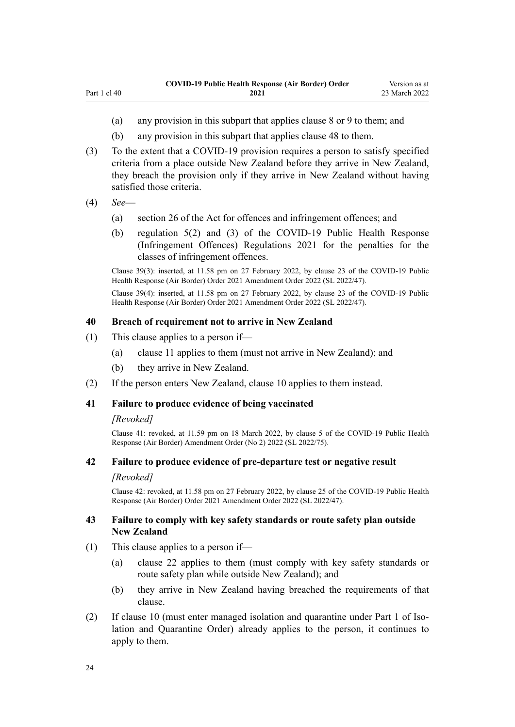- (a) any provision in this subpart that applies [clause 8](#page-10-0) or [9](#page-11-0) to them; and
- (b) any provision in this subpart that applies [clause 48](#page-25-0) to them.
- (3) To the extent that a COVID-19 provision requires a person to satisfy specified criteria from a place outside New Zealand before they arrive in New Zealand, they breach the provision only if they arrive in New Zealand without having satisfied those criteria.
- (4) *See*—

<span id="page-23-0"></span>Part 1 cl 40

- (a) [section 26](http://legislation.govt.nz/pdflink.aspx?id=LMS344200) of the Act for offences and infringement offences; and
- (b) [regulation 5\(2\) and \(3\)](http://legislation.govt.nz/pdflink.aspx?id=LMS600713) of the COVID-19 Public Health Response (Infringement Offences) Regulations 2021 for the penalties for the classes of infringement offences.

Clause 39(3): inserted, at 11.58 pm on 27 February 2022, by [clause 23](http://legislation.govt.nz/pdflink.aspx?id=LMS650846) of the COVID-19 Public Health Response (Air Border) Order 2021 Amendment Order 2022 (SL 2022/47).

Clause 39(4): inserted, at 11.58 pm on 27 February 2022, by [clause 23](http://legislation.govt.nz/pdflink.aspx?id=LMS650846) of the COVID-19 Public Health Response (Air Border) Order 2021 Amendment Order 2022 (SL 2022/47).

#### **40 Breach of requirement not to arrive in New Zealand**

- (1) This clause applies to a person if—
	- (a) [clause 11](#page-12-0) applies to them (must not arrive in New Zealand); and
	- (b) they arrive in New Zealand.
- (2) If the person enters New Zealand, [clause 10](#page-12-0) applies to them instead.

## **41 Failure to produce evidence of being vaccinated**

#### *[Revoked]*

Clause 41: revoked, at 11.59 pm on 18 March 2022, by [clause 5](http://legislation.govt.nz/pdflink.aspx?id=LMS664427) of the COVID-19 Public Health Response (Air Border) Amendment Order (No 2) 2022 (SL 2022/75).

## **42 Failure to produce evidence of pre-departure test or negative result**

#### *[Revoked]*

Clause 42: revoked, at 11.58 pm on 27 February 2022, by [clause 25](http://legislation.govt.nz/pdflink.aspx?id=LMS650848) of the COVID-19 Public Health Response (Air Border) Order 2021 Amendment Order 2022 (SL 2022/47).

## **43 Failure to comply with key safety standards or route safety plan outside New Zealand**

- (1) This clause applies to a person if—
	- (a) [clause 22](#page-16-0) applies to them (must comply with key safety standards or route safety plan while outside New Zealand); and
	- (b) they arrive in New Zealand having breached the requirements of that clause.
- (2) If [clause 10](#page-12-0) (must enter managed isolation and quarantine under [Part 1](http://legislation.govt.nz/pdflink.aspx?id=LMS401726) of Isolation and Quarantine Order) already applies to the person, it continues to apply to them.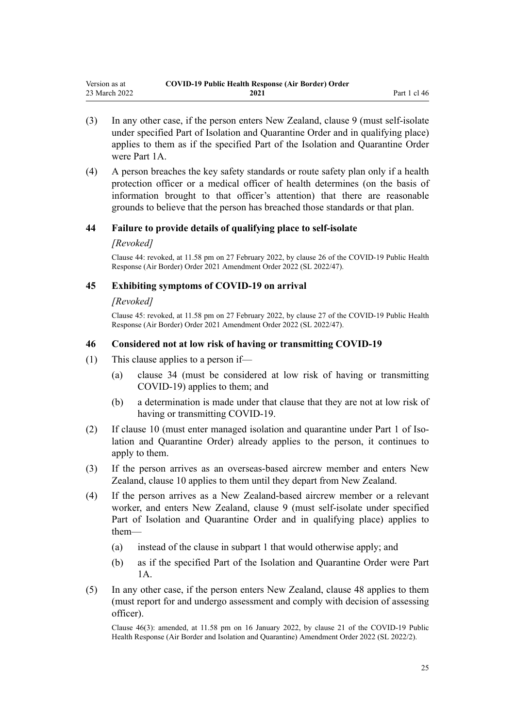- <span id="page-24-0"></span>(3) In any other case, if the person enters New Zealand, [clause 9](#page-11-0) (must self-isolate under specified Part of Isolation and Quarantine Order and in qualifying place) applies to them as if the specified Part of the Isolation and Quarantine Order were [Part 1A.](http://legislation.govt.nz/pdflink.aspx?id=LMS415267)
- (4) A person breaches the key safety standards or route safety plan only if a health protection officer or a medical officer of health determines (on the basis of information brought to that officer's attention) that there are reasonable grounds to believe that the person has breached those standards or that plan.

#### **44 Failure to provide details of qualifying place to self-isolate**

#### *[Revoked]*

Clause 44: revoked, at 11.58 pm on 27 February 2022, by [clause 26](http://legislation.govt.nz/pdflink.aspx?id=LMS650849) of the COVID-19 Public Health Response (Air Border) Order 2021 Amendment Order 2022 (SL 2022/47).

#### **45 Exhibiting symptoms of COVID-19 on arrival**

#### *[Revoked]*

Clause 45: revoked, at 11.58 pm on 27 February 2022, by [clause 27](http://legislation.govt.nz/pdflink.aspx?id=LMS650850) of the COVID-19 Public Health Response (Air Border) Order 2021 Amendment Order 2022 (SL 2022/47).

#### **46 Considered not at low risk of having or transmitting COVID-19**

- (1) This clause applies to a person if—
	- (a) [clause 34](#page-21-0) (must be considered at low risk of having or transmitting COVID-19) applies to them; and
	- (b) a determination is made under that clause that they are not at low risk of having or transmitting COVID-19.
- (2) If [clause 10](#page-12-0) (must enter managed isolation and quarantine under [Part 1](http://legislation.govt.nz/pdflink.aspx?id=LMS401726) of Isolation and Quarantine Order) already applies to the person, it continues to apply to them.
- (3) If the person arrives as an overseas-based aircrew member and enters New Zealand, [clause 10](#page-12-0) applies to them until they depart from New Zealand.
- (4) If the person arrives as a New Zealand-based aircrew member or a relevant worker, and enters New Zealand, [clause 9](#page-11-0) (must self-isolate under specified Part of Isolation and Quarantine Order and in qualifying place) applies to them—
	- (a) instead of the clause in [subpart 1](#page-10-0) that would otherwise apply; and
	- (b) as if the specified Part of the Isolation and Quarantine Order were [Part](http://legislation.govt.nz/pdflink.aspx?id=LMS415267) [1A](http://legislation.govt.nz/pdflink.aspx?id=LMS415267).
- (5) In any other case, if the person enters New Zealand, [clause 48](#page-25-0) applies to them (must report for and undergo assessment and comply with decision of assessing officer).

Clause 46(3): amended, at 11.58 pm on 16 January 2022, by [clause 21](http://legislation.govt.nz/pdflink.aspx?id=LMS629303) of the COVID-19 Public Health Response (Air Border and Isolation and Quarantine) Amendment Order 2022 (SL 2022/2).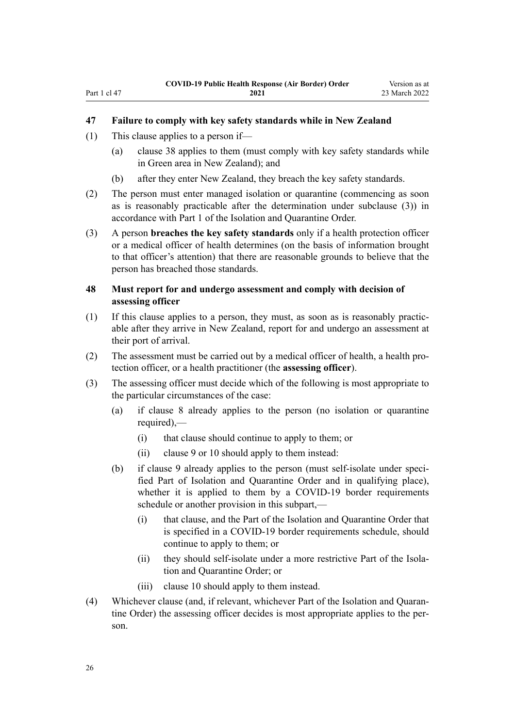## <span id="page-25-0"></span>**47 Failure to comply with key safety standards while in New Zealand**

- (1) This clause applies to a person if—
	- (a) [clause 38](#page-22-0) applies to them (must comply with key safety standards while in Green area in New Zealand); and
	- (b) after they enter New Zealand, they breach the key safety standards.
- (2) The person must enter managed isolation or quarantine (commencing as soon as is reasonably practicable after the determination under subclause (3)) in accordance with [Part 1](http://legislation.govt.nz/pdflink.aspx?id=LMS401726) of the Isolation and Quarantine Order.
- (3) A person **breaches the key safety standards** only if a health protection officer or a medical officer of health determines (on the basis of information brought to that officer's attention) that there are reasonable grounds to believe that the person has breached those standards.

## **48 Must report for and undergo assessment and comply with decision of assessing officer**

- (1) If this clause applies to a person, they must, as soon as is reasonably practic‐ able after they arrive in New Zealand, report for and undergo an assessment at their port of arrival.
- (2) The assessment must be carried out by a medical officer of health, a health pro‐ tection officer, or a health practitioner (the **assessing officer**).
- (3) The assessing officer must decide which of the following is most appropriate to the particular circumstances of the case:
	- (a) if [clause 8](#page-10-0) already applies to the person (no isolation or quarantine required),—
		- (i) that clause should continue to apply to them; or
		- (ii) [clause 9](#page-11-0) or [10](#page-12-0) should apply to them instead:
	- (b) if [clause 9](#page-11-0) already applies to the person (must self-isolate under specified Part of Isolation and Quarantine Order and in qualifying place), whether it is applied to them by a COVID-19 border requirements schedule or another provision in this subpart,—
		- (i) that clause, and the Part of the Isolation and Quarantine Order that is specified in a COVID-19 border requirements schedule, should continue to apply to them; or
		- (ii) they should self-isolate under a more restrictive Part of the Isolation and Quarantine Order; or
		- (iii) [clause 10](#page-12-0) should apply to them instead.
- (4) Whichever clause (and, if relevant, whichever Part of the Isolation and Quaran‐ tine Order) the assessing officer decides is most appropriate applies to the person.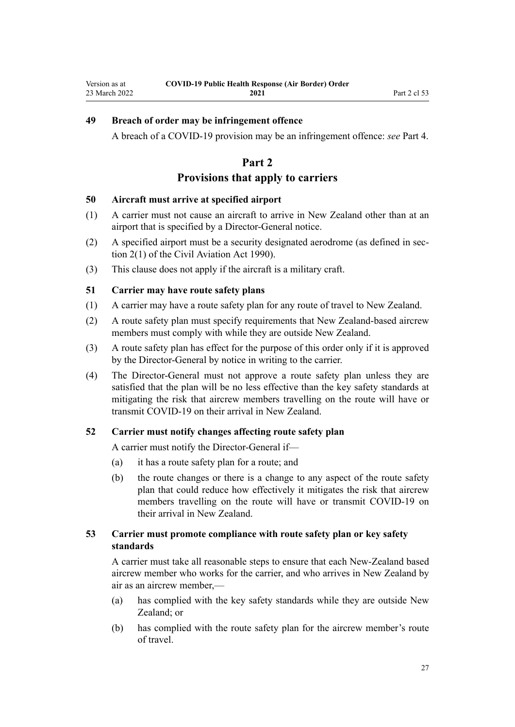## <span id="page-26-0"></span>**49 Breach of order may be infringement offence**

A breach of a COVID-19 provision may be an infringement offence: *see* [Part 4.](#page-31-0)

## **Part 2**

## **Provisions that apply to carriers**

#### **50 Aircraft must arrive at specified airport**

- (1) A carrier must not cause an aircraft to arrive in New Zealand other than at an airport that is specified by a Director-General notice.
- (2) A specified airport must be a security designated aerodrome (as defined in [sec‐](http://legislation.govt.nz/pdflink.aspx?id=DLM214692) [tion 2\(1\)](http://legislation.govt.nz/pdflink.aspx?id=DLM214692) of the Civil Aviation Act 1990).
- (3) This clause does not apply if the aircraft is a military craft.

## **51 Carrier may have route safety plans**

- (1) A carrier may have a route safety plan for any route of travel to New Zealand.
- (2) A route safety plan must specify requirements that New Zealand-based aircrew members must comply with while they are outside New Zealand.
- (3) A route safety plan has effect for the purpose of this order only if it is approved by the Director-General by notice in writing to the carrier.
- (4) The Director-General must not approve a route safety plan unless they are satisfied that the plan will be no less effective than the key safety standards at mitigating the risk that aircrew members travelling on the route will have or transmit COVID-19 on their arrival in New Zealand.

## **52 Carrier must notify changes affecting route safety plan**

A carrier must notify the Director-General if—

- (a) it has a route safety plan for a route; and
- (b) the route changes or there is a change to any aspect of the route safety plan that could reduce how effectively it mitigates the risk that aircrew members travelling on the route will have or transmit COVID-19 on their arrival in New Zealand.

## **53 Carrier must promote compliance with route safety plan or key safety standards**

A carrier must take all reasonable steps to ensure that each New-Zealand based aircrew member who works for the carrier, and who arrives in New Zealand by air as an aircrew member,—

- (a) has complied with the key safety standards while they are outside New Zealand; or
- (b) has complied with the route safety plan for the aircrew member's route of travel.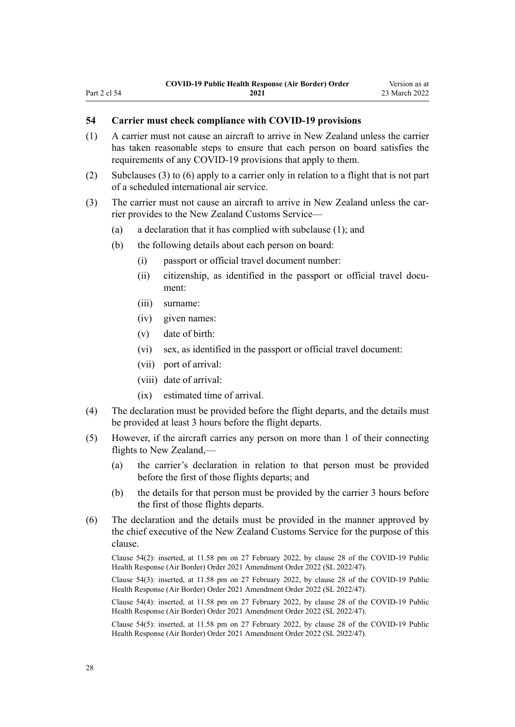## **54 Carrier must check compliance with COVID-19 provisions**

- (1) A carrier must not cause an aircraft to arrive in New Zealand unless the carrier has taken reasonable steps to ensure that each person on board satisfies the requirements of any COVID-19 provisions that apply to them.
- (2) Subclauses (3) to (6) apply to a carrier only in relation to a flight that is not part of a scheduled international air service.
- (3) The carrier must not cause an aircraft to arrive in New Zealand unless the carrier provides to the New Zealand Customs Service—
	- (a) a declaration that it has complied with subclause (1); and
	- (b) the following details about each person on board:
		- (i) passport or official travel document number:
		- (ii) citizenship, as identified in the passport or official travel document:
		- (iii) surname:

<span id="page-27-0"></span>Part 2 cl 54

- (iv) given names:
- (v) date of birth:
- (vi) sex, as identified in the passport or official travel document:
- (vii) port of arrival:
- (viii) date of arrival:
- (ix) estimated time of arrival.
- (4) The declaration must be provided before the flight departs, and the details must be provided at least 3 hours before the flight departs.
- (5) However, if the aircraft carries any person on more than 1 of their connecting flights to New Zealand,—
	- (a) the carrier's declaration in relation to that person must be provided before the first of those flights departs; and
	- (b) the details for that person must be provided by the carrier 3 hours before the first of those flights departs.
- (6) The declaration and the details must be provided in the manner approved by the chief executive of the New Zealand Customs Service for the purpose of this clause.

Clause 54(2): inserted, at 11.58 pm on 27 February 2022, by [clause 28](http://legislation.govt.nz/pdflink.aspx?id=LMS650851) of the COVID-19 Public Health Response (Air Border) Order 2021 Amendment Order 2022 (SL 2022/47).

Clause 54(3): inserted, at 11.58 pm on 27 February 2022, by [clause 28](http://legislation.govt.nz/pdflink.aspx?id=LMS650851) of the COVID-19 Public Health Response (Air Border) Order 2021 Amendment Order 2022 (SL 2022/47).

Clause 54(4): inserted, at 11.58 pm on 27 February 2022, by [clause 28](http://legislation.govt.nz/pdflink.aspx?id=LMS650851) of the COVID-19 Public Health Response (Air Border) Order 2021 Amendment Order 2022 (SL 2022/47).

Clause 54(5): inserted, at 11.58 pm on 27 February 2022, by [clause 28](http://legislation.govt.nz/pdflink.aspx?id=LMS650851) of the COVID-19 Public Health Response (Air Border) Order 2021 Amendment Order 2022 (SL 2022/47).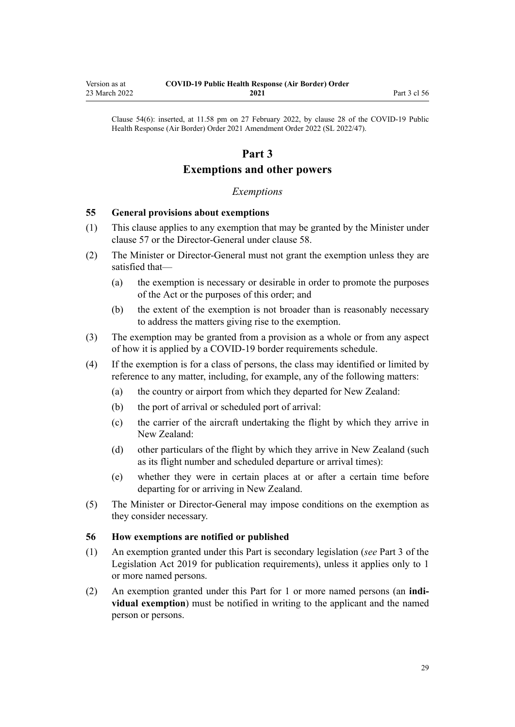Clause 54(6): inserted, at 11.58 pm on 27 February 2022, by [clause 28](http://legislation.govt.nz/pdflink.aspx?id=LMS650851) of the COVID-19 Public Health Response (Air Border) Order 2021 Amendment Order 2022 (SL 2022/47).

# **Part 3**

# **Exemptions and other powers**

## *Exemptions*

## **55 General provisions about exemptions**

<span id="page-28-0"></span>Version as at 23 March 2022

- (1) This clause applies to any exemption that may be granted by the Minister under [clause 57](#page-29-0) or the Director-General under [clause 58.](#page-29-0)
- (2) The Minister or Director-General must not grant the exemption unless they are satisfied that—
	- (a) the exemption is necessary or desirable in order to promote the purposes of the Act or the purposes of this order; and
	- (b) the extent of the exemption is not broader than is reasonably necessary to address the matters giving rise to the exemption.
- (3) The exemption may be granted from a provision as a whole or from any aspect of how it is applied by a COVID-19 border requirements schedule.
- (4) If the exemption is for a class of persons, the class may identified or limited by reference to any matter, including, for example, any of the following matters:
	- (a) the country or airport from which they departed for New Zealand:
	- (b) the port of arrival or scheduled port of arrival:
	- (c) the carrier of the aircraft undertaking the flight by which they arrive in New Zealand:
	- (d) other particulars of the flight by which they arrive in New Zealand (such as its flight number and scheduled departure or arrival times):
	- (e) whether they were in certain places at or after a certain time before departing for or arriving in New Zealand.
- (5) The Minister or Director-General may impose conditions on the exemption as they consider necessary.

#### **56 How exemptions are notified or published**

- (1) An exemption granted under this Part is secondary legislation (*see* [Part 3](http://legislation.govt.nz/pdflink.aspx?id=DLM7298343) of the Legislation Act 2019 for publication requirements), unless it applies only to 1 or more named persons.
- (2) An exemption granted under this Part for 1 or more named persons (an **indi‐ vidual exemption**) must be notified in writing to the applicant and the named person or persons.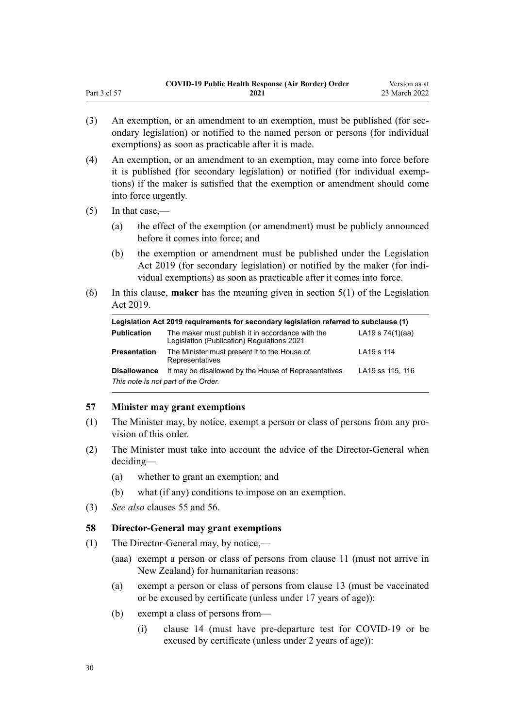- <span id="page-29-0"></span>(3) An exemption, or an amendment to an exemption, must be published (for secondary legislation) or notified to the named person or persons (for individual exemptions) as soon as practicable after it is made.
- (4) An exemption, or an amendment to an exemption, may come into force before it is published (for secondary legislation) or notified (for individual exemp‐ tions) if the maker is satisfied that the exemption or amendment should come into force urgently.
- $(5)$  In that case,—
	- (a) the effect of the exemption (or amendment) must be publicly announced before it comes into force; and
	- (b) the exemption or amendment must be published under the [Legislation](http://legislation.govt.nz/pdflink.aspx?id=DLM7298104) [Act 2019](http://legislation.govt.nz/pdflink.aspx?id=DLM7298104) (for secondary legislation) or notified by the maker (for individual exemptions) as soon as practicable after it comes into force.
- (6) In this clause, **maker** has the meaning given in [section 5\(1\)](http://legislation.govt.nz/pdflink.aspx?id=DLM7298133) of the Legislation Act 2019.

| Legislation Act 2019 requirements for secondary legislation referred to subclause (1) |                                                                                                |                    |  |
|---------------------------------------------------------------------------------------|------------------------------------------------------------------------------------------------|--------------------|--|
| <b>Publication</b>                                                                    | The maker must publish it in accordance with the<br>Legislation (Publication) Regulations 2021 | LA19 s $74(1)(aa)$ |  |
| <b>Presentation</b>                                                                   | The Minister must present it to the House of<br>Representatives                                | LA19 s 114         |  |
| <b>Disallowance</b>                                                                   | It may be disallowed by the House of Representatives                                           | LA19 ss 115, 116   |  |
| This note is not part of the Order.                                                   |                                                                                                |                    |  |

## **57 Minister may grant exemptions**

- (1) The Minister may, by notice, exempt a person or class of persons from any pro‐ vision of this order.
- (2) The Minister must take into account the advice of the Director-General when deciding—
	- (a) whether to grant an exemption; and
	- (b) what (if any) conditions to impose on an exemption.
- (3) *See also* [clauses 55](#page-28-0) and [56.](#page-28-0)

## **58 Director-General may grant exemptions**

- (1) The Director-General may, by notice,—
	- (aaa) exempt a person or class of persons from [clause 11](#page-12-0) (must not arrive in New Zealand) for humanitarian reasons:
	- (a) exempt a person or class of persons from [clause 13](#page-12-0) (must be vaccinated or be excused by certificate (unless under 17 years of age)):
	- (b) exempt a class of persons from—
		- (i) [clause 14](#page-13-0) (must have pre-departure test for COVID-19 or be excused by certificate (unless under 2 years of age)):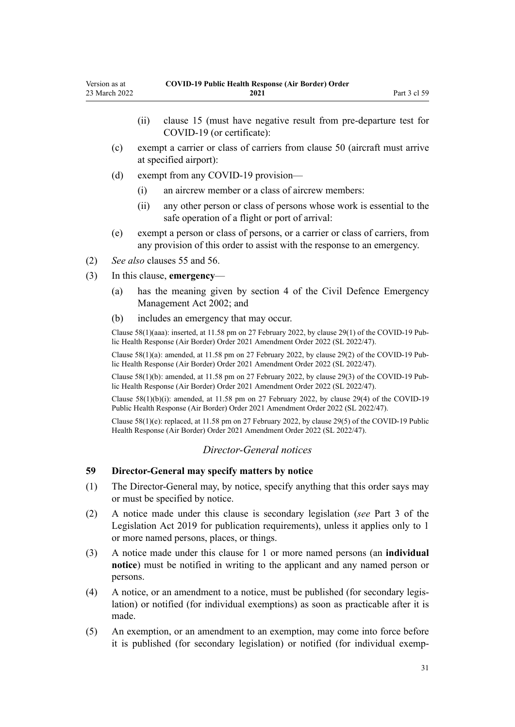- <span id="page-30-0"></span>(ii) [clause 15](#page-14-0) (must have negative result from pre-departure test for COVID-19 (or certificate):
- (c) exempt a carrier or class of carriers from [clause 50](#page-26-0) (aircraft must arrive at specified airport):
- (d) exempt from any COVID-19 provision—
	- (i) an aircrew member or a class of aircrew members:
	- (ii) any other person or class of persons whose work is essential to the safe operation of a flight or port of arrival:
- (e) exempt a person or class of persons, or a carrier or class of carriers, from any provision of this order to assist with the response to an emergency.
- (2) *See also* [clauses 55](#page-28-0) and [56.](#page-28-0)
- (3) In this clause, **emergency**
	- (a) has the meaning given by [section 4](http://legislation.govt.nz/pdflink.aspx?id=DLM149796) of the Civil Defence Emergency Management Act 2002; and
	- (b) includes an emergency that may occur.

Clause 58(1)(aaa): inserted, at 11.58 pm on 27 February 2022, by [clause 29\(1\)](http://legislation.govt.nz/pdflink.aspx?id=LMS650852) of the COVID-19 Pub‐ lic Health Response (Air Border) Order 2021 Amendment Order 2022 (SL 2022/47).

Clause 58(1)(a): amended, at 11.58 pm on 27 February 2022, by [clause 29\(2\)](http://legislation.govt.nz/pdflink.aspx?id=LMS650852) of the COVID-19 Pub‐ lic Health Response (Air Border) Order 2021 Amendment Order 2022 (SL 2022/47).

Clause 58(1)(b): amended, at 11.58 pm on 27 February 2022, by [clause 29\(3\)](http://legislation.govt.nz/pdflink.aspx?id=LMS650852) of the COVID-19 Pub‐ lic Health Response (Air Border) Order 2021 Amendment Order 2022 (SL 2022/47).

Clause  $58(1)(b)(i)$ : amended, at 11.58 pm on 27 February 2022, by [clause 29\(4\)](http://legislation.govt.nz/pdflink.aspx?id=LMS650852) of the COVID-19 Public Health Response (Air Border) Order 2021 Amendment Order 2022 (SL 2022/47).

Clause 58(1)(e): replaced, at 11.58 pm on 27 February 2022, by [clause 29\(5\)](http://legislation.govt.nz/pdflink.aspx?id=LMS650852) of the COVID-19 Public Health Response (Air Border) Order 2021 Amendment Order 2022 (SL 2022/47).

## *Director-General notices*

#### **59 Director-General may specify matters by notice**

- (1) The Director-General may, by notice, specify anything that this order says may or must be specified by notice.
- (2) A notice made under this clause is secondary legislation (*see* [Part 3](http://legislation.govt.nz/pdflink.aspx?id=DLM7298343) of the Legislation Act 2019 for publication requirements), unless it applies only to 1 or more named persons, places, or things.
- (3) A notice made under this clause for 1 or more named persons (an **individual notice**) must be notified in writing to the applicant and any named person or persons.
- (4) A notice, or an amendment to a notice, must be published (for secondary legis‐ lation) or notified (for individual exemptions) as soon as practicable after it is made.
- (5) An exemption, or an amendment to an exemption, may come into force before it is published (for secondary legislation) or notified (for individual exemp‐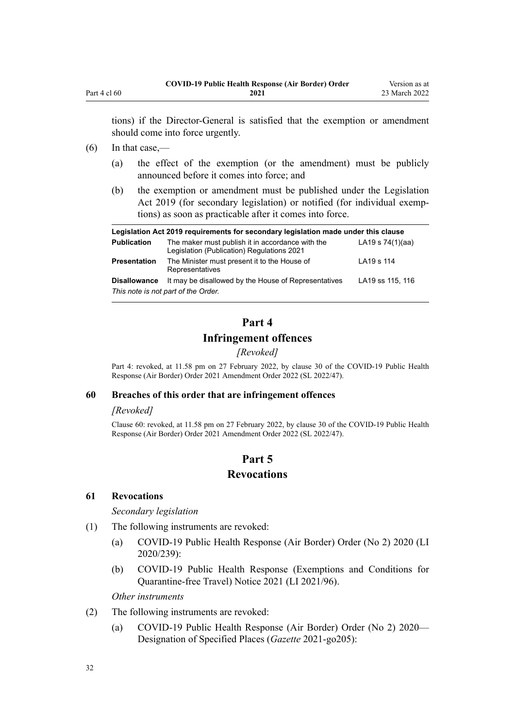<span id="page-31-0"></span>tions) if the Director-General is satisfied that the exemption or amendment should come into force urgently.

## $(6)$  In that case,—

- (a) the effect of the exemption (or the amendment) must be publicly announced before it comes into force; and
- (b) the exemption or amendment must be published under the [Legislation](http://legislation.govt.nz/pdflink.aspx?id=DLM7298104) [Act 2019](http://legislation.govt.nz/pdflink.aspx?id=DLM7298104) (for secondary legislation) or notified (for individual exemptions) as soon as practicable after it comes into force.

| Legislation Act 2019 requirements for secondary legislation made under this clause |                                                                                                |                    |  |
|------------------------------------------------------------------------------------|------------------------------------------------------------------------------------------------|--------------------|--|
| <b>Publication</b>                                                                 | The maker must publish it in accordance with the<br>Legislation (Publication) Regulations 2021 | LA19 s $74(1)(aa)$ |  |
| <b>Presentation</b>                                                                | The Minister must present it to the House of<br>Representatives                                | LA19 s 114         |  |
| <b>Disallowance</b>                                                                | It may be disallowed by the House of Representatives                                           | LA19 ss 115, 116   |  |
| This note is not part of the Order.                                                |                                                                                                |                    |  |

# **Part 4**

## **Infringement offences**

*[Revoked]*

Part 4: revoked, at 11.58 pm on 27 February 2022, by [clause 30](http://legislation.govt.nz/pdflink.aspx?id=LMS650853) of the COVID-19 Public Health Response (Air Border) Order 2021 Amendment Order 2022 (SL 2022/47).

#### **60 Breaches of this order that are infringement offences**

## *[Revoked]*

Clause 60: revoked, at 11.58 pm on 27 February 2022, by [clause 30](http://legislation.govt.nz/pdflink.aspx?id=LMS650853) of the COVID-19 Public Health Response (Air Border) Order 2021 Amendment Order 2022 (SL 2022/47).

## **Part 5**

## **Revocations**

#### **61 Revocations**

*Secondary legislation*

- (1) The following instruments are revoked:
	- (a) [COVID-19 Public Health Response \(Air Border\) Order \(No 2\) 2020](http://legislation.govt.nz/pdflink.aspx?id=LMS403345) (LI 2020/239):
	- (b) [COVID-19 Public Health Response \(Exemptions and Conditions for](http://legislation.govt.nz/pdflink.aspx?id=LMS492859) [Quarantine-free Travel\) Notice 2021](http://legislation.govt.nz/pdflink.aspx?id=LMS492859) (LI 2021/96).

#### *Other instruments*

- (2) The following instruments are revoked:
	- (a) [COVID-19 Public Health Response \(Air Border\) Order \(No 2\) 2020—](https://gazette.govt.nz/notice/id/2021-go205) [Designation of Specified Places](https://gazette.govt.nz/notice/id/2021-go205) (*Gazette* 2021-go205):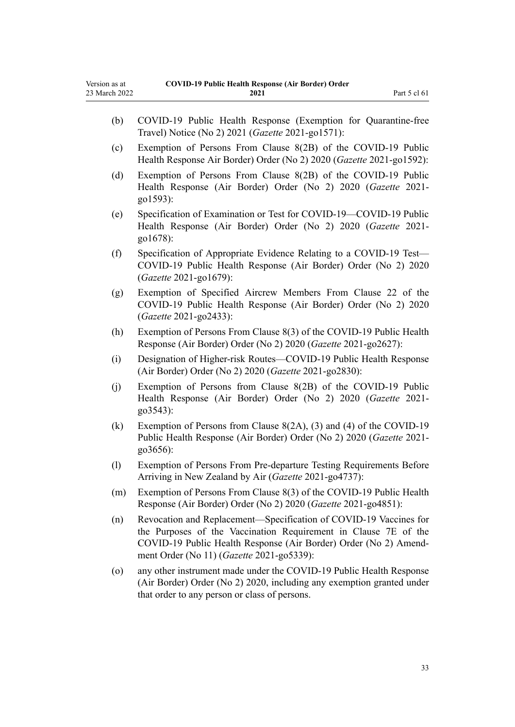- (b) [COVID-19 Public Health Response \(Exemption for Quarantine-free](https://gazette.govt.nz/notice/id/2021-go1571?year=2021=1571) [Travel\) Notice \(No 2\) 2021](https://gazette.govt.nz/notice/id/2021-go1571?year=2021=1571) (*Gazette* 2021-go1571):
- (c) [Exemption of Persons From Clause 8\(2B\) of the COVID-19 Public](https://gazette.govt.nz/notice/id/2021-go1592?year=2021=1592) [Health Response Air Border\) Order \(No 2\) 2020](https://gazette.govt.nz/notice/id/2021-go1592?year=2021=1592) (*Gazette* 2021-go1592):
- (d) [Exemption of Persons From Clause 8\(2B\) of the COVID-19 Public](https://gazette.govt.nz/notice/id/2021-go1593?year=2021=1593) [Health Response \(Air Border\) Order \(No 2\) 2020](https://gazette.govt.nz/notice/id/2021-go1593?year=2021=1593) (*Gazette* 2021 go1593):
- (e) [Specification of Examination or Test for COVID-19—COVID-19 Public](https://gazette.govt.nz/notice/id/2021-go1678?year=2021=1678) [Health Response \(Air Border\) Order \(No 2\) 2020](https://gazette.govt.nz/notice/id/2021-go1678?year=2021=1678) (*Gazette* 2021 go1678):
- (f) [Specification of Appropriate Evidence Relating to a COVID-19 Test—](https://gazette.govt.nz/notice/id/2021-go1679?year=2021=1679) [COVID-19 Public Health Response \(Air Border\) Order \(No 2\) 2020](https://gazette.govt.nz/notice/id/2021-go1679?year=2021=1679) (*Gazette* 2021-go1679):
- (g) [Exemption of Specified Aircrew Members From Clause 22 of the](https://gazette.govt.nz/notice/id/2021-go2433?year=2021=2433) [COVID-19 Public Health Response \(Air Border\) Order \(No 2\) 2020](https://gazette.govt.nz/notice/id/2021-go2433?year=2021=2433) (*Gazette* 2021-go2433):
- (h) [Exemption of Persons From Clause 8\(3\) of the COVID-19 Public Health](https://gazette.govt.nz/notice/id/2021-go2627?year=2021=2627) [Response \(Air Border\) Order \(No 2\) 2020](https://gazette.govt.nz/notice/id/2021-go2627?year=2021=2627) (*Gazette* 2021-go2627):
- (i) [Designation of Higher-risk Routes—COVID-19 Public Health Response](https://gazette.govt.nz/notice/id/2021-go2830?year=2021=2830) [\(Air Border\) Order \(No 2\) 2020](https://gazette.govt.nz/notice/id/2021-go2830?year=2021=2830) (*Gazette* 2021-go2830):
- (j) [Exemption of Persons from Clause 8\(2B\) of the COVID-19 Public](https://gazette.govt.nz/notice/id/2021-go3543?year=2021=3543) [Health Response \(Air Border\) Order \(No 2\) 2020](https://gazette.govt.nz/notice/id/2021-go3543?year=2021=3543) (*Gazette* 2021 go3543):
- (k) [Exemption of Persons from Clause 8\(2A\), \(3\) and \(4\) of the COVID-19](https://gazette.govt.nz/notice/id/2021-go3656?year=2021=3656) [Public Health Response \(Air Border\) Order \(No 2\) 2020](https://gazette.govt.nz/notice/id/2021-go3656?year=2021=3656) (*Gazette* 2021 go3656):
- (l) [Exemption of Persons From Pre-departure Testing Requirements Before](https://gazette.govt.nz/notice/id/2021-go4737?year=2021=4737) [Arriving in New Zealand by Air](https://gazette.govt.nz/notice/id/2021-go4737?year=2021=4737) (*Gazette* 2021-go4737):
- (m) [Exemption of Persons From Clause 8\(3\) of the COVID-19 Public Health](https://gazette.govt.nz/notice/id/2021-go4851?year=2021=4851) [Response \(Air Border\) Order \(No 2\) 2020](https://gazette.govt.nz/notice/id/2021-go4851?year=2021=4851) (*Gazette* 2021-go4851):
- (n) [Revocation and Replacement—Specification of COVID-19 Vaccines for](https://gazette.govt.nz/notice/id/2021-go5339?year=2021=5339) [the Purposes of the Vaccination Requirement in Clause 7E of the](https://gazette.govt.nz/notice/id/2021-go5339?year=2021=5339) [COVID-19 Public Health Response \(Air Border\) Order \(No 2\) Amend‐](https://gazette.govt.nz/notice/id/2021-go5339?year=2021=5339) [ment Order \(No 11\)](https://gazette.govt.nz/notice/id/2021-go5339?year=2021=5339) (*Gazette* 2021-go5339):
- (o) any other instrument made under the COVID-19 Public Health Response (Air Border) Order (No 2) 2020, including any exemption granted under that order to any person or class of persons.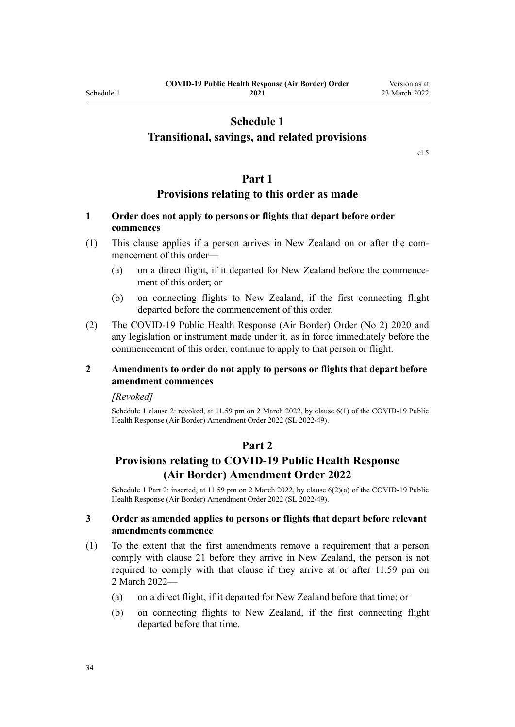# **Schedule 1**

## <span id="page-33-0"></span>**Transitional, savings, and related provisions**

[cl 5](#page-9-0)

## **Part 1**

## **Provisions relating to this order as made**

## **1 Order does not apply to persons or flights that depart before order commences**

- (1) This clause applies if a person arrives in New Zealand on or after the com‐ mencement of this order—
	- (a) on a direct flight, if it departed for New Zealand before the commence‐ ment of this order; or
	- (b) on connecting flights to New Zealand, if the first connecting flight departed before the commencement of this order.
- (2) The [COVID-19 Public Health Response \(Air Border\) Order \(No 2\) 2020](http://legislation.govt.nz/pdflink.aspx?id=LMS403345) and any legislation or instrument made under it, as in force immediately before the commencement of this order, continue to apply to that person or flight.

## **2 Amendments to order do not apply to persons or flights that depart before amendment commences**

#### *[Revoked]*

Schedule 1 clause 2: revoked, at 11.59 pm on 2 March 2022, by [clause 6\(1\)](http://legislation.govt.nz/pdflink.aspx?id=LMS653779) of the COVID-19 Public Health Response (Air Border) Amendment Order 2022 (SL 2022/49).

### **Part 2**

# **Provisions relating to COVID-19 Public Health Response (Air Border) Amendment Order 2022**

Schedule 1 Part 2: inserted, at 11.59 pm on 2 March 2022, by [clause 6\(2\)\(a\)](http://legislation.govt.nz/pdflink.aspx?id=LMS653779) of the COVID-19 Public Health Response (Air Border) Amendment Order 2022 (SL 2022/49).

#### **3 Order as amended applies to persons or flights that depart before relevant amendments commence**

- (1) To the extent that the first amendments remove a requirement that a person comply with [clause 21](#page-16-0) before they arrive in New Zealand, the person is not required to comply with that clause if they arrive at or after 11.59 pm on 2 March 2022—
	- (a) on a direct flight, if it departed for New Zealand before that time; or
	- (b) on connecting flights to New Zealand, if the first connecting flight departed before that time.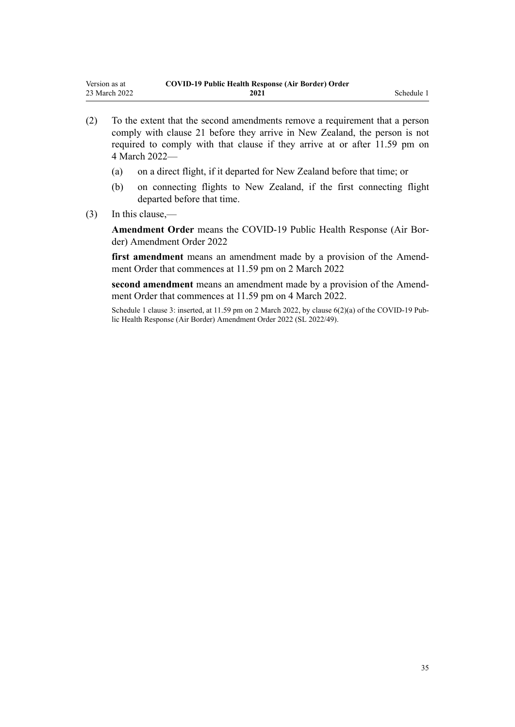- (2) To the extent that the second amendments remove a requirement that a person comply with [clause 21](#page-16-0) before they arrive in New Zealand, the person is not required to comply with that clause if they arrive at or after 11.59 pm on 4 March 2022—
	- (a) on a direct flight, if it departed for New Zealand before that time; or
	- (b) on connecting flights to New Zealand, if the first connecting flight departed before that time.
- (3) In this clause,—

**Amendment Order** means the [COVID-19 Public Health Response \(Air Bor‐](http://legislation.govt.nz/pdflink.aspx?id=LMS653771) [der\) Amendment Order 2022](http://legislation.govt.nz/pdflink.aspx?id=LMS653771)

first amendment means an amendment made by a provision of the Amendment Order that commences at 11.59 pm on 2 March 2022

second amendment means an amendment made by a provision of the Amendment Order that commences at 11.59 pm on 4 March 2022.

Schedule 1 clause 3: inserted, at 11.59 pm on 2 March 2022, by [clause 6\(2\)\(a\)](http://legislation.govt.nz/pdflink.aspx?id=LMS653779) of the COVID-19 Public Health Response (Air Border) Amendment Order 2022 (SL 2022/49).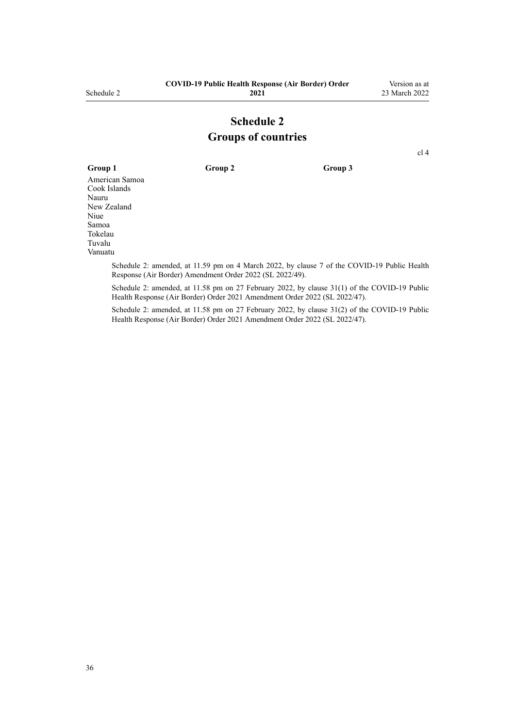# **Schedule 2 Groups of countries**

[cl 4](#page-4-0)

<span id="page-35-0"></span>**Group 1 Group 2 Group 3** American Samoa Cook Islands Nauru New Zealand Niue Samoa Tokelau Tuvalu Vanuatu

Schedule 2: amended, at 11.59 pm on 4 March 2022, by [clause 7](http://legislation.govt.nz/pdflink.aspx?id=LMS653780) of the COVID-19 Public Health Response (Air Border) Amendment Order 2022 (SL 2022/49).

Schedule 2: amended, at 11.58 pm on 27 February 2022, by [clause 31\(1\)](http://legislation.govt.nz/pdflink.aspx?id=LMS650856) of the COVID-19 Public Health Response (Air Border) Order 2021 Amendment Order 2022 (SL 2022/47).

Schedule 2: amended, at 11.58 pm on 27 February 2022, by [clause 31\(2\)](http://legislation.govt.nz/pdflink.aspx?id=LMS650856) of the COVID-19 Public Health Response (Air Border) Order 2021 Amendment Order 2022 (SL 2022/47).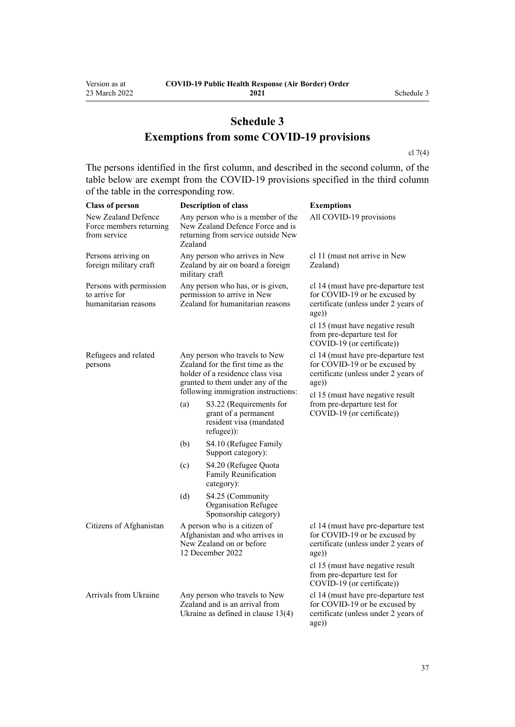# **Schedule 3 Exemptions from some COVID-19 provisions**

[cl 7\(4\)](#page-9-0)

The persons identified in the first column, and described in the second column, of the table below are exempt from the COVID-19 provisions specified in the third column of the table in the corresponding row.

| <b>Class of person</b>                                           |                                                                                                                                                                                   | <b>Description of class</b>                                                                             | <b>Exemptions</b>                                                                                                                                         |
|------------------------------------------------------------------|-----------------------------------------------------------------------------------------------------------------------------------------------------------------------------------|---------------------------------------------------------------------------------------------------------|-----------------------------------------------------------------------------------------------------------------------------------------------------------|
| New Zealand Defence<br>Force members returning<br>from service   | Any person who is a member of the<br>New Zealand Defence Force and is<br>returning from service outside New<br>Zealand                                                            |                                                                                                         | All COVID-19 provisions                                                                                                                                   |
| Persons arriving on<br>foreign military craft                    | Any person who arrives in New<br>Zealand by air on board a foreign<br>military craft                                                                                              |                                                                                                         | cl 11 (must not arrive in New<br>Zealand)                                                                                                                 |
| Persons with permission<br>to arrive for<br>humanitarian reasons | Any person who has, or is given,<br>permission to arrive in New<br>Zealand for humanitarian reasons                                                                               |                                                                                                         | cl 14 (must have pre-departure test<br>for COVID-19 or be excused by<br>certificate (unless under 2 years of<br>age))                                     |
|                                                                  |                                                                                                                                                                                   |                                                                                                         | cl 15 (must have negative result<br>from pre-departure test for<br>COVID-19 (or certificate))                                                             |
| Refugees and related<br>persons                                  | Any person who travels to New<br>Zealand for the first time as the<br>holder of a residence class visa<br>granted to them under any of the<br>following immigration instructions: |                                                                                                         | cl 14 (must have pre-departure test<br>for COVID-19 or be excused by<br>certificate (unless under 2 years of<br>age))<br>cl 15 (must have negative result |
|                                                                  | (a)                                                                                                                                                                               | S3.22 (Requirements for<br>grant of a permanent<br>resident visa (mandated<br>refugee)):                | from pre-departure test for<br>COVID-19 (or certificate))                                                                                                 |
|                                                                  | (b)                                                                                                                                                                               | S4.10 (Refugee Family<br>Support category):                                                             |                                                                                                                                                           |
|                                                                  | (c)                                                                                                                                                                               | S4.20 (Refugee Quota<br>Family Reunification<br>category):                                              |                                                                                                                                                           |
|                                                                  | (d)                                                                                                                                                                               | S4.25 (Community<br>Organisation Refugee<br>Sponsorship category)                                       |                                                                                                                                                           |
| Citizens of Afghanistan                                          | A person who is a citizen of<br>Afghanistan and who arrives in<br>New Zealand on or before<br>12 December 2022                                                                    |                                                                                                         | cl 14 (must have pre-departure test<br>for COVID-19 or be excused by<br>certificate (unless under 2 years of<br>age))                                     |
|                                                                  |                                                                                                                                                                                   |                                                                                                         | cl 15 (must have negative result<br>from pre-departure test for<br>COVID-19 (or certificate))                                                             |
| Arrivals from Ukraine                                            |                                                                                                                                                                                   | Any person who travels to New<br>Zealand and is an arrival from<br>Ukraine as defined in clause $13(4)$ | cl 14 (must have pre-departure test<br>for COVID-19 or be excused by<br>certificate (unless under 2 years of<br>age))                                     |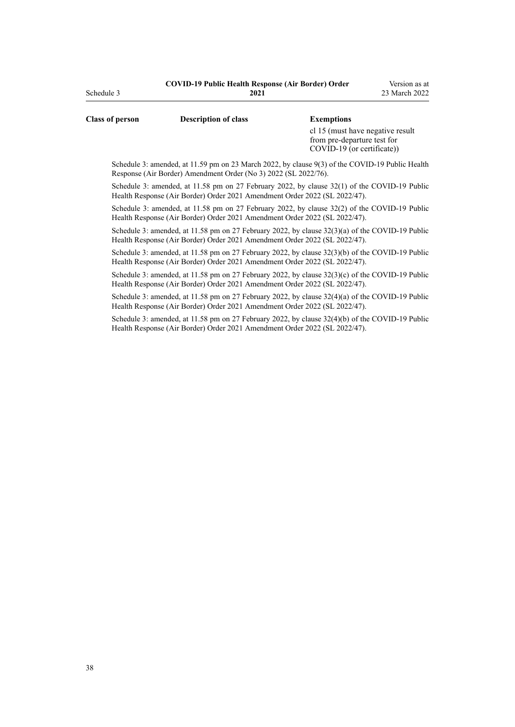| <b>Class of person</b> | <b>Description of class</b>                                     | <b>Exemptions</b>                                                                               |
|------------------------|-----------------------------------------------------------------|-------------------------------------------------------------------------------------------------|
|                        |                                                                 | cl 15 (must have negative result<br>from pre-departure test for<br>$COVID-19$ (or certificate)) |
|                        |                                                                 | Schedule 3: amended, at 11.59 pm on 23 March 2022, by clause 9(3) of the COVID-19 Public Health |
|                        | Response (Air Border) Amendment Order (No 3) 2022 (SL 2022/76). |                                                                                                 |

Schedule 3: amended, at 11.58 pm on 27 February 2022, by [clause 32\(1\)](http://legislation.govt.nz/pdflink.aspx?id=LMS650857) of the COVID-19 Public Health Response (Air Border) Order 2021 Amendment Order 2022 (SL 2022/47).

Schedule 3: amended, at 11.58 pm on 27 February 2022, by [clause 32\(2\)](http://legislation.govt.nz/pdflink.aspx?id=LMS650857) of the COVID-19 Public Health Response (Air Border) Order 2021 Amendment Order 2022 (SL 2022/47).

Schedule 3: amended, at 11.58 pm on 27 February 2022, by [clause 32\(3\)\(a\)](http://legislation.govt.nz/pdflink.aspx?id=LMS650857) of the COVID-19 Public Health Response (Air Border) Order 2021 Amendment Order 2022 (SL 2022/47).

Schedule 3: amended, at 11.58 pm on 27 February 2022, by [clause 32\(3\)\(b\)](http://legislation.govt.nz/pdflink.aspx?id=LMS650857) of the COVID-19 Public Health Response (Air Border) Order 2021 Amendment Order 2022 (SL 2022/47).

Schedule 3: amended, at 11.58 pm on 27 February 2022, by [clause 32\(3\)\(c\)](http://legislation.govt.nz/pdflink.aspx?id=LMS650857) of the COVID-19 Public Health Response (Air Border) Order 2021 Amendment Order 2022 (SL 2022/47).

Schedule 3: amended, at 11.58 pm on 27 February 2022, by [clause 32\(4\)\(a\)](http://legislation.govt.nz/pdflink.aspx?id=LMS650857) of the COVID-19 Public Health Response (Air Border) Order 2021 Amendment Order 2022 (SL 2022/47).

Schedule 3: amended, at 11.58 pm on 27 February 2022, by [clause 32\(4\)\(b\)](http://legislation.govt.nz/pdflink.aspx?id=LMS650857) of the COVID-19 Public Health Response (Air Border) Order 2021 Amendment Order 2022 (SL 2022/47).

Schedule 3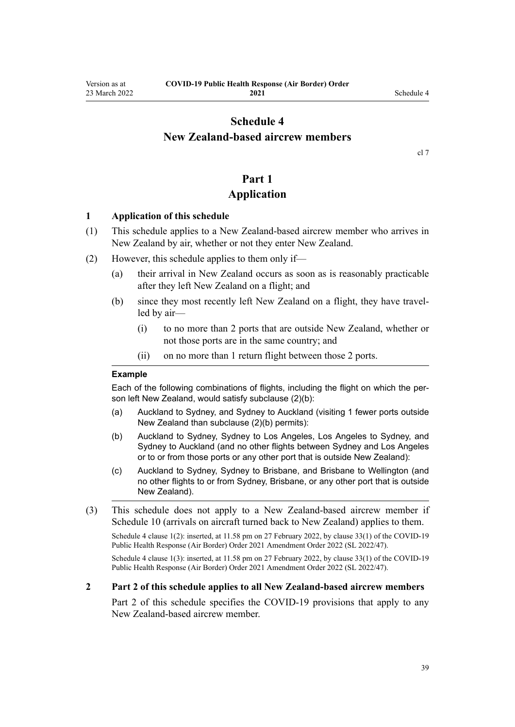## <span id="page-38-0"></span>**Schedule 4 New Zealand-based aircrew members**

[cl 7](#page-9-0)

# **Part 1**

## **Application**

#### **1 Application of this schedule**

- (1) This schedule applies to a New Zealand-based aircrew member who arrives in New Zealand by air, whether or not they enter New Zealand.
- (2) However, this schedule applies to them only if—
	- (a) their arrival in New Zealand occurs as soon as is reasonably practicable after they left New Zealand on a flight; and
	- (b) since they most recently left New Zealand on a flight, they have travelled by air—
		- (i) to no more than 2 ports that are outside New Zealand, whether or not those ports are in the same country; and
		- (ii) on no more than 1 return flight between those 2 ports.

#### **Example**

Each of the following combinations of flights, including the flight on which the person left New Zealand, would satisfy subclause (2)(b):

- (a) Auckland to Sydney, and Sydney to Auckland (visiting 1 fewer ports outside New Zealand than subclause (2)(b) permits):
- (b) Auckland to Sydney, Sydney to Los Angeles, Los Angeles to Sydney, and Sydney to Auckland (and no other flights between Sydney and Los Angeles or to or from those ports or any other port that is outside New Zealand):
- (c) Auckland to Sydney, Sydney to Brisbane, and Brisbane to Wellington (and no other flights to or from Sydney, Brisbane, or any other port that is outside New Zealand).
- (3) This schedule does not apply to a New Zealand-based aircrew member if [Schedule 10](#page-57-0) (arrivals on aircraft turned back to New Zealand) applies to them.

Schedule 4 clause 1(2): inserted, at 11.58 pm on 27 February 2022, by [clause 33\(1\)](http://legislation.govt.nz/pdflink.aspx?id=LMS650859) of the COVID-19 Public Health Response (Air Border) Order 2021 Amendment Order 2022 (SL 2022/47).

Schedule 4 clause 1(3): inserted, at 11.58 pm on 27 February 2022, by [clause 33\(1\)](http://legislation.govt.nz/pdflink.aspx?id=LMS650859) of the COVID-19 Public Health Response (Air Border) Order 2021 Amendment Order 2022 (SL 2022/47).

#### **2 Part 2 of this schedule applies to all New Zealand-based aircrew members**

[Part 2](#page-39-0) of this schedule specifies the COVID-19 provisions that apply to any New Zealand-based aircrew member.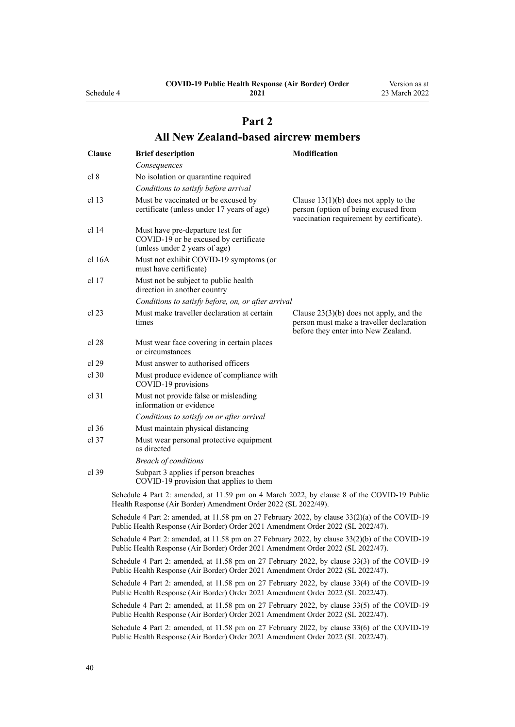<span id="page-39-0"></span>Schedule 4

**2021**

Version as at 23 March 2022

# **Part 2 All New Zealand-based aircrew members**

| <b>Clause</b> | <b>Brief description</b>                                                                                                                                                               | Modification                                                                                                                 |  |
|---------------|----------------------------------------------------------------------------------------------------------------------------------------------------------------------------------------|------------------------------------------------------------------------------------------------------------------------------|--|
|               | Consequences                                                                                                                                                                           |                                                                                                                              |  |
| cl 8          | No isolation or quarantine required                                                                                                                                                    |                                                                                                                              |  |
|               | Conditions to satisfy before arrival                                                                                                                                                   |                                                                                                                              |  |
| cl 13         | Must be vaccinated or be excused by<br>certificate (unless under 17 years of age)                                                                                                      | Clause $13(1)(b)$ does not apply to the<br>person (option of being excused from<br>vaccination requirement by certificate).  |  |
| cl 14         | Must have pre-departure test for<br>COVID-19 or be excused by certificate<br>(unless under 2 years of age)                                                                             |                                                                                                                              |  |
| cl 16A        | Must not exhibit COVID-19 symptoms (or<br>must have certificate)                                                                                                                       |                                                                                                                              |  |
| cl 17         | Must not be subject to public health<br>direction in another country                                                                                                                   |                                                                                                                              |  |
|               | Conditions to satisfy before, on, or after arrival                                                                                                                                     |                                                                                                                              |  |
| cl 23         | Must make traveller declaration at certain<br>times                                                                                                                                    | Clause $23(3)(b)$ does not apply, and the<br>person must make a traveller declaration<br>before they enter into New Zealand. |  |
| cl 28         | Must wear face covering in certain places<br>or circumstances                                                                                                                          |                                                                                                                              |  |
| cl 29         | Must answer to authorised officers                                                                                                                                                     |                                                                                                                              |  |
| $cl$ 30       | Must produce evidence of compliance with<br>COVID-19 provisions                                                                                                                        |                                                                                                                              |  |
| cl 31         | Must not provide false or misleading<br>information or evidence                                                                                                                        |                                                                                                                              |  |
|               | Conditions to satisfy on or after arrival                                                                                                                                              |                                                                                                                              |  |
| cl 36         | Must maintain physical distancing                                                                                                                                                      |                                                                                                                              |  |
| cl 37         | Must wear personal protective equipment<br>as directed                                                                                                                                 |                                                                                                                              |  |
|               | <b>Breach of conditions</b>                                                                                                                                                            |                                                                                                                              |  |
| cl 39         | Subpart 3 applies if person breaches<br>COVID-19 provision that applies to them                                                                                                        |                                                                                                                              |  |
|               | Schedule 4 Part 2: amended, at 11.59 pm on 4 March 2022, by clause 8 of the COVID-19 Public<br>Health Response (Air Border) Amendment Order 2022 (SL 2022/49).                         |                                                                                                                              |  |
|               | Schedule 4 Part 2: amended, at 11.58 pm on 27 February 2022, by clause $33(2)(a)$ of the COVID-19<br>Public Health Response (Air Border) Order 2021 Amendment Order 2022 (SL 2022/47). |                                                                                                                              |  |
|               | Schedule 4 Part 2: amended, at 11.58 pm on 27 February 2022, by clause 33(2)(b) of the COVID-19<br>Public Health Response (Air Border) Order 2021 Amendment Order 2022 (SL 2022/47).   |                                                                                                                              |  |
|               | Schedule 4 Part 2: amended, at 11.58 pm on 27 February 2022, by clause 33(3) of the COVID-19<br>Public Health Response (Air Border) Order 2021 Amendment Order 2022 (SL 2022/47).      |                                                                                                                              |  |
|               | Schedule 4 Part 2: amended, at 11.58 pm on 27 February 2022, by clause 33(4) of the COVID-19<br>Public Health Response (Air Border) Order 2021 Amendment Order 2022 (SL 2022/47).      |                                                                                                                              |  |
|               | Schedule 4 Part 2: amended, at 11.58 pm on 27 February 2022, by clause 33(5) of the COVID-19<br>Public Health Response (Air Border) Order 2021 Amendment Order 2022 (SL 2022/47).      |                                                                                                                              |  |
|               | Schedule 4 Part 2: amended, at 11.58 pm on 27 February 2022, by clause 33(6) of the COVID-19<br>Public Health Response (Air Border) Order 2021 Amendment Order 2022 (SL 2022/47).      |                                                                                                                              |  |
|               |                                                                                                                                                                                        |                                                                                                                              |  |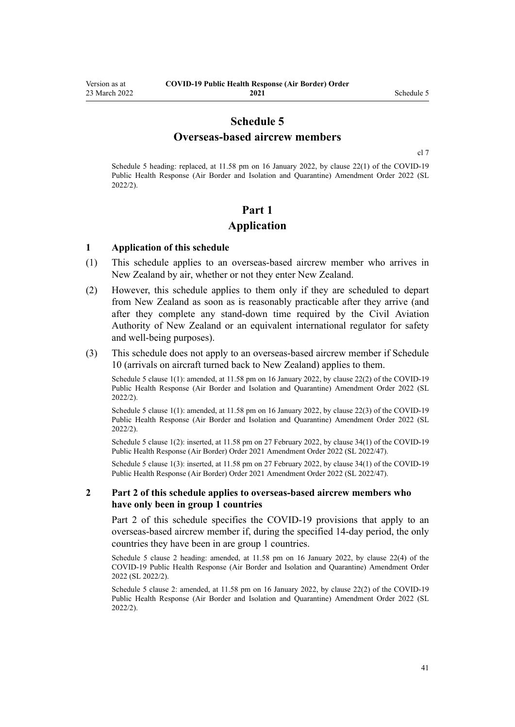## **Schedule 5 Overseas-based aircrew members**

[cl 7](#page-9-0)

<span id="page-40-0"></span>Schedule 5 heading: replaced, at 11.58 pm on 16 January 2022, by [clause 22\(1\)](http://legislation.govt.nz/pdflink.aspx?id=LMS629305) of the COVID-19 Public Health Response (Air Border and Isolation and Quarantine) Amendment Order 2022 (SL 2022/2).

# **Part 1 Application**

#### **1 Application of this schedule**

- (1) This schedule applies to an overseas-based aircrew member who arrives in New Zealand by air, whether or not they enter New Zealand.
- (2) However, this schedule applies to them only if they are scheduled to depart from New Zealand as soon as is reasonably practicable after they arrive (and after they complete any stand-down time required by the Civil Aviation Authority of New Zealand or an equivalent international regulator for safety and well-being purposes).
- (3) This schedule does not apply to an overseas-based aircrew member if [Schedule](#page-57-0) [10](#page-57-0) (arrivals on aircraft turned back to New Zealand) applies to them.

Schedule 5 clause 1(1): amended, at 11.58 pm on 16 January 2022, by [clause 22\(2\)](http://legislation.govt.nz/pdflink.aspx?id=LMS629305) of the COVID-19 Public Health Response (Air Border and Isolation and Quarantine) Amendment Order 2022 (SL 2022/2).

Schedule 5 clause 1(1): amended, at 11.58 pm on 16 January 2022, by [clause 22\(3\)](http://legislation.govt.nz/pdflink.aspx?id=LMS629305) of the COVID-19 Public Health Response (Air Border and Isolation and Quarantine) Amendment Order 2022 (SL 2022/2).

Schedule 5 clause 1(2): inserted, at 11.58 pm on 27 February 2022, by [clause 34\(1\)](http://legislation.govt.nz/pdflink.aspx?id=LMS650864) of the COVID-19 Public Health Response (Air Border) Order 2021 Amendment Order 2022 (SL 2022/47).

Schedule 5 clause 1(3): inserted, at 11.58 pm on 27 February 2022, by [clause 34\(1\)](http://legislation.govt.nz/pdflink.aspx?id=LMS650864) of the COVID-19 Public Health Response (Air Border) Order 2021 Amendment Order 2022 (SL 2022/47).

#### **2 Part 2 of this schedule applies to overseas-based aircrew members who have only been in group 1 countries**

[Part 2](#page-41-0) of this schedule specifies the COVID-19 provisions that apply to an overseas-based aircrew member if, during the specified 14-day period, the only countries they have been in are group 1 countries.

Schedule 5 clause 2 heading: amended, at 11.58 pm on 16 January 2022, by [clause 22\(4\)](http://legislation.govt.nz/pdflink.aspx?id=LMS629305) of the COVID-19 Public Health Response (Air Border and Isolation and Quarantine) Amendment Order 2022 (SL 2022/2).

Schedule 5 clause 2: amended, at 11.58 pm on 16 January 2022, by [clause 22\(2\)](http://legislation.govt.nz/pdflink.aspx?id=LMS629305) of the COVID-19 Public Health Response (Air Border and Isolation and Quarantine) Amendment Order 2022 (SL 2022/2).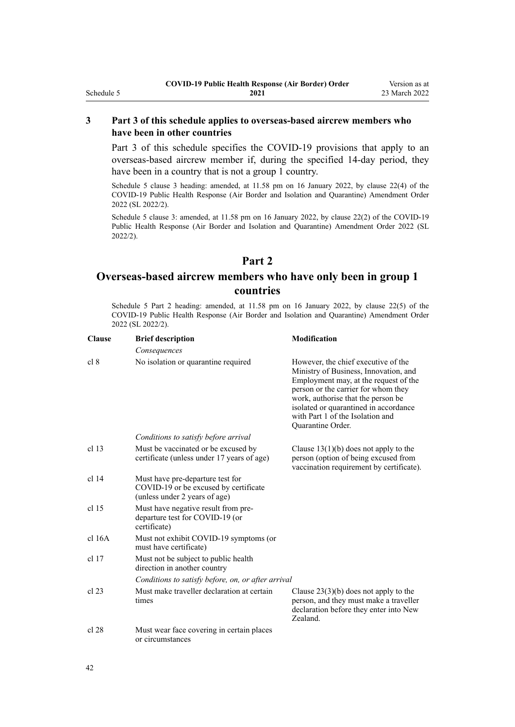## <span id="page-41-0"></span>**3 Part 3 of this schedule applies to overseas-based aircrew members who have been in other countries**

[Part 3](#page-42-0) of this schedule specifies the COVID-19 provisions that apply to an overseas-based aircrew member if, during the specified 14-day period, they have been in a country that is not a group 1 country.

Schedule 5 clause 3 heading: amended, at 11.58 pm on 16 January 2022, by [clause 22\(4\)](http://legislation.govt.nz/pdflink.aspx?id=LMS629305) of the COVID-19 Public Health Response (Air Border and Isolation and Quarantine) Amendment Order 2022 (SL 2022/2).

Schedule 5 clause 3: amended, at 11.58 pm on 16 January 2022, by [clause 22\(2\)](http://legislation.govt.nz/pdflink.aspx?id=LMS629305) of the COVID-19 Public Health Response (Air Border and Isolation and Quarantine) Amendment Order 2022 (SL 2022/2).

## **Part 2**

## **Overseas-based aircrew members who have only been in group 1 countries**

Schedule 5 Part 2 heading: amended, at 11.58 pm on 16 January 2022, by [clause 22\(5\)](http://legislation.govt.nz/pdflink.aspx?id=LMS629305) of the COVID-19 Public Health Response (Air Border and Isolation and Quarantine) Amendment Order 2022 (SL 2022/2).

| <b>Clause</b>    | <b>Brief description</b>                                                                                   | <b>Modification</b>                                                                                                                                                                                                                                                                                  |
|------------------|------------------------------------------------------------------------------------------------------------|------------------------------------------------------------------------------------------------------------------------------------------------------------------------------------------------------------------------------------------------------------------------------------------------------|
|                  | Consequences                                                                                               |                                                                                                                                                                                                                                                                                                      |
| cl 8             | No isolation or quarantine required                                                                        | However, the chief executive of the<br>Ministry of Business, Innovation, and<br>Employment may, at the request of the<br>person or the carrier for whom they<br>work, authorise that the person be<br>isolated or quarantined in accordance<br>with Part 1 of the Isolation and<br>Quarantine Order. |
|                  | Conditions to satisfy before arrival                                                                       |                                                                                                                                                                                                                                                                                                      |
| cl <sub>13</sub> | Must be vaccinated or be excused by<br>certificate (unless under 17 years of age)                          | Clause $13(1)(b)$ does not apply to the<br>person (option of being excused from<br>vaccination requirement by certificate).                                                                                                                                                                          |
| $cl$ 14          | Must have pre-departure test for<br>COVID-19 or be excused by certificate<br>(unless under 2 years of age) |                                                                                                                                                                                                                                                                                                      |
| $cl$ 15          | Must have negative result from pre-<br>departure test for COVID-19 (or<br>certificate)                     |                                                                                                                                                                                                                                                                                                      |
| cl 16A           | Must not exhibit COVID-19 symptoms (or<br>must have certificate)                                           |                                                                                                                                                                                                                                                                                                      |
| $cl$ 17          | Must not be subject to public health<br>direction in another country                                       |                                                                                                                                                                                                                                                                                                      |
|                  | Conditions to satisfy before, on, or after arrival                                                         |                                                                                                                                                                                                                                                                                                      |
| $cl$ 23          | Must make traveller declaration at certain<br>times                                                        | Clause $23(3)(b)$ does not apply to the<br>person, and they must make a traveller<br>declaration before they enter into New<br>Zealand.                                                                                                                                                              |
| cl 28            | Must wear face covering in certain places<br>or circumstances                                              |                                                                                                                                                                                                                                                                                                      |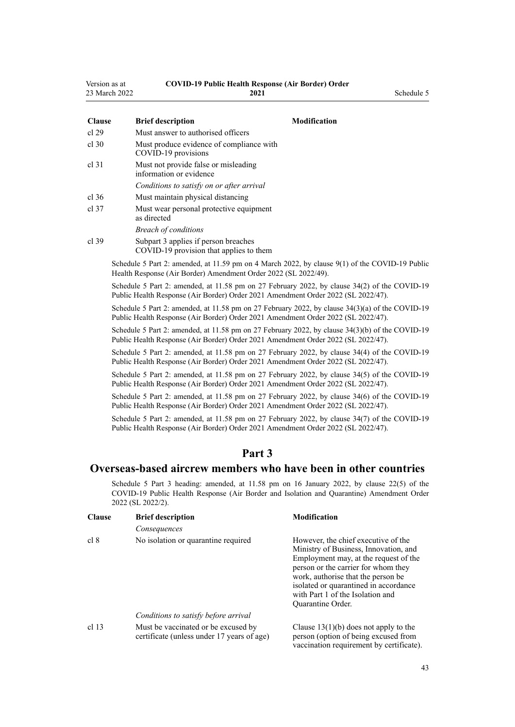<span id="page-42-0"></span>

| Version as at | <b>COVID-19 Public Health Response (Air Border) Order</b> |
|---------------|-----------------------------------------------------------|
| 221121        | <b>3031</b>                                               |

| 23 March 2022 | 2021                                                                            |              |  |  |
|---------------|---------------------------------------------------------------------------------|--------------|--|--|
| <b>Clause</b> | <b>Brief description</b>                                                        | Modification |  |  |
| cl 29         | Must answer to authorised officers                                              |              |  |  |
| cl.30         | Must produce evidence of compliance with<br>COVID-19 provisions                 |              |  |  |
| cl 31         | Must not provide false or misleading<br>information or evidence                 |              |  |  |
|               | Conditions to satisfy on or after arrival                                       |              |  |  |
| cl.36         | Must maintain physical distancing                                               |              |  |  |
| cl.37         | Must wear personal protective equipment<br>as directed                          |              |  |  |
|               | <b>Breach of conditions</b>                                                     |              |  |  |
| cl.39         | Subpart 3 applies if person breaches<br>COVID-19 provision that applies to them |              |  |  |

Schedule 5 Part 2: amended, at 11.59 pm on 4 March 2022, by [clause 9\(1\)](http://legislation.govt.nz/pdflink.aspx?id=LMS653782) of the COVID-19 Public Health Response (Air Border) Amendment Order 2022 (SL 2022/49).

Schedule 5 Part 2: amended, at 11.58 pm on 27 February 2022, by [clause 34\(2\)](http://legislation.govt.nz/pdflink.aspx?id=LMS650864) of the COVID-19 Public Health Response (Air Border) Order 2021 Amendment Order 2022 (SL 2022/47).

Schedule 5 Part 2: amended, at 11.58 pm on 27 February 2022, by [clause 34\(3\)\(a\)](http://legislation.govt.nz/pdflink.aspx?id=LMS650864) of the COVID-19 Public Health Response (Air Border) Order 2021 Amendment Order 2022 (SL 2022/47).

Schedule 5 Part 2: amended, at 11.58 pm on 27 February 2022, by [clause 34\(3\)\(b\)](http://legislation.govt.nz/pdflink.aspx?id=LMS650864) of the COVID-19 Public Health Response (Air Border) Order 2021 Amendment Order 2022 (SL 2022/47).

Schedule 5 Part 2: amended, at 11.58 pm on 27 February 2022, by [clause 34\(4\)](http://legislation.govt.nz/pdflink.aspx?id=LMS650864) of the COVID-19 Public Health Response (Air Border) Order 2021 Amendment Order 2022 (SL 2022/47).

Schedule 5 Part 2: amended, at 11.58 pm on 27 February 2022, by [clause 34\(5\)](http://legislation.govt.nz/pdflink.aspx?id=LMS650864) of the COVID-19 Public Health Response (Air Border) Order 2021 Amendment Order 2022 (SL 2022/47).

Schedule 5 Part 2: amended, at 11.58 pm on 27 February 2022, by [clause 34\(6\)](http://legislation.govt.nz/pdflink.aspx?id=LMS650864) of the COVID-19 Public Health Response (Air Border) Order 2021 Amendment Order 2022 (SL 2022/47).

Schedule 5 Part 2: amended, at 11.58 pm on 27 February 2022, by [clause 34\(7\)](http://legislation.govt.nz/pdflink.aspx?id=LMS650864) of the COVID-19 Public Health Response (Air Border) Order 2021 Amendment Order 2022 (SL 2022/47).

## **Part 3**

### **Overseas-based aircrew members who have been in other countries**

Schedule 5 Part 3 heading: amended, at 11.58 pm on 16 January 2022, by [clause 22\(5\)](http://legislation.govt.nz/pdflink.aspx?id=LMS629305) of the COVID-19 Public Health Response (Air Border and Isolation and Quarantine) Amendment Order 2022 (SL 2022/2).

| <b>Clause</b> | <b>Brief description</b>                                                          | <b>Modification</b>                                                                                                                                                                                                                                                                                  |
|---------------|-----------------------------------------------------------------------------------|------------------------------------------------------------------------------------------------------------------------------------------------------------------------------------------------------------------------------------------------------------------------------------------------------|
|               | Consequences                                                                      |                                                                                                                                                                                                                                                                                                      |
| cl 8          | No isolation or quarantine required                                               | However, the chief executive of the<br>Ministry of Business, Innovation, and<br>Employment may, at the request of the<br>person or the carrier for whom they<br>work, authorise that the person be<br>isolated or quarantined in accordance<br>with Part 1 of the Isolation and<br>Quarantine Order. |
|               | Conditions to satisfy before arrival                                              |                                                                                                                                                                                                                                                                                                      |
| cl 13         | Must be vaccinated or be excused by<br>certificate (unless under 17 years of age) | Clause $13(1)(b)$ does not apply to the<br>person (option of being excused from<br>vaccination requirement by certificate).                                                                                                                                                                          |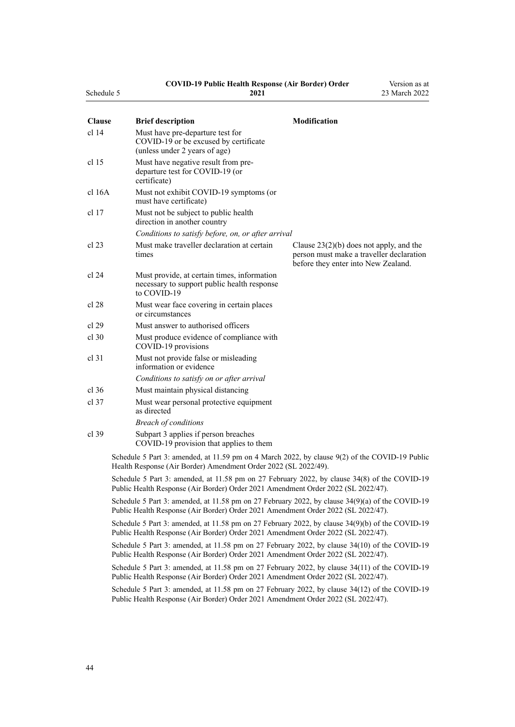#### **COVID-19 Public Health Response (Air Border) Order**

Version as at

| Schedule 5       | 2021                                                                                                                                                                                 | 23 March 2022                                                                                                                |
|------------------|--------------------------------------------------------------------------------------------------------------------------------------------------------------------------------------|------------------------------------------------------------------------------------------------------------------------------|
| <b>Clause</b>    | <b>Brief description</b>                                                                                                                                                             | <b>Modification</b>                                                                                                          |
| cl <sub>14</sub> | Must have pre-departure test for<br>COVID-19 or be excused by certificate<br>(unless under 2 years of age)                                                                           |                                                                                                                              |
| cl 15            | Must have negative result from pre-<br>departure test for COVID-19 (or<br>certificate)                                                                                               |                                                                                                                              |
| $cl$ 16A         | Must not exhibit COVID-19 symptoms (or<br>must have certificate)                                                                                                                     |                                                                                                                              |
| cl 17            | Must not be subject to public health<br>direction in another country                                                                                                                 |                                                                                                                              |
|                  | Conditions to satisfy before, on, or after arrival                                                                                                                                   |                                                                                                                              |
| cl 23            | Must make traveller declaration at certain<br>times                                                                                                                                  | Clause $23(2)(b)$ does not apply, and the<br>person must make a traveller declaration<br>before they enter into New Zealand. |
| cl 24            | Must provide, at certain times, information<br>necessary to support public health response<br>to COVID-19                                                                            |                                                                                                                              |
| cl 28            | Must wear face covering in certain places<br>or circumstances                                                                                                                        |                                                                                                                              |
| cl 29            | Must answer to authorised officers                                                                                                                                                   |                                                                                                                              |
| cl.30            | Must produce evidence of compliance with<br>COVID-19 provisions                                                                                                                      |                                                                                                                              |
| cl 31            | Must not provide false or misleading<br>information or evidence                                                                                                                      |                                                                                                                              |
|                  | Conditions to satisfy on or after arrival                                                                                                                                            |                                                                                                                              |
| $cl$ 36          | Must maintain physical distancing                                                                                                                                                    |                                                                                                                              |
| cl.37            | Must wear personal protective equipment<br>as directed                                                                                                                               |                                                                                                                              |
|                  | <b>Breach of conditions</b>                                                                                                                                                          |                                                                                                                              |
| $cl$ 39          | Subpart 3 applies if person breaches<br>COVID-19 provision that applies to them                                                                                                      |                                                                                                                              |
|                  | Schedule 5 Part 3: amended, at 11.59 pm on 4 March 2022, by clause 9(2) of the COVID-19 Public<br>Health Response (Air Border) Amendment Order 2022 (SL 2022/49).                    |                                                                                                                              |
|                  | Schedule 5 Part 3: amended, at 11.58 pm on 27 February 2022, by clause 34(8) of the COVID-19<br>Public Health Response (Air Border) Order 2021 Amendment Order 2022 (SL 2022/47).    |                                                                                                                              |
|                  | Schedule 5 Part 3: amended, at 11.58 pm on 27 February 2022, by clause 34(9)(a) of the COVID-19<br>Public Health Response (Air Border) Order 2021 Amendment Order 2022 (SL 2022/47). |                                                                                                                              |

Schedule 5 Part 3: amended, at 11.58 pm on 27 February 2022, by [clause 34\(9\)\(b\)](http://legislation.govt.nz/pdflink.aspx?id=LMS650864) of the COVID-19 Public Health Response (Air Border) Order 2021 Amendment Order 2022 (SL 2022/47).

Schedule 5 Part 3: amended, at 11.58 pm on 27 February 2022, by [clause 34\(10\)](http://legislation.govt.nz/pdflink.aspx?id=LMS650864) of the COVID-19 Public Health Response (Air Border) Order 2021 Amendment Order 2022 (SL 2022/47).

Schedule 5 Part 3: amended, at 11.58 pm on 27 February 2022, by [clause 34\(11\)](http://legislation.govt.nz/pdflink.aspx?id=LMS650864) of the COVID-19 Public Health Response (Air Border) Order 2021 Amendment Order 2022 (SL 2022/47).

Schedule 5 Part 3: amended, at 11.58 pm on 27 February 2022, by [clause 34\(12\)](http://legislation.govt.nz/pdflink.aspx?id=LMS650864) of the COVID-19 Public Health Response (Air Border) Order 2021 Amendment Order 2022 (SL 2022/47).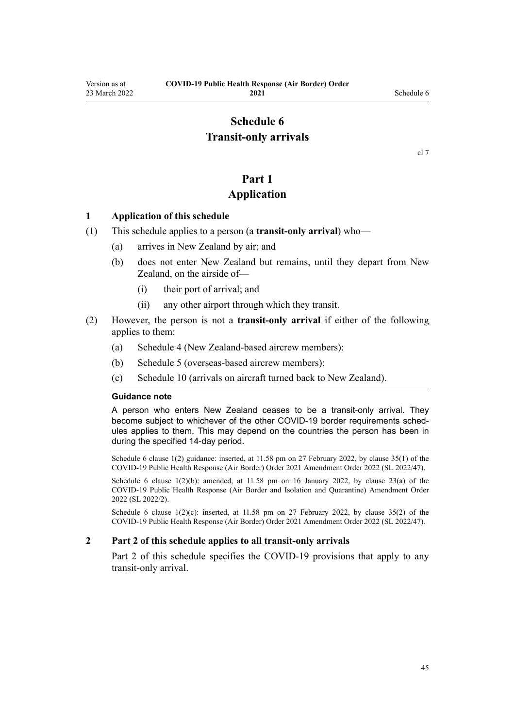## **Schedule 6 Transit-only arrivals**

### **Part 1**

### **Application**

#### <span id="page-44-0"></span>**1 Application of this schedule**

- (1) This schedule applies to a person (a **transit-only arrival**) who—
	- (a) arrives in New Zealand by air; and
	- (b) does not enter New Zealand but remains, until they depart from New Zealand, on the airside of—
		- (i) their port of arrival; and
		- (ii) any other airport through which they transit.
- (2) However, the person is not a **transit-only arrival** if either of the following applies to them:
	- (a) [Schedule 4](#page-38-0) (New Zealand-based aircrew members):
	- (b) [Schedule 5](#page-40-0) (overseas-based aircrew members):
	- (c) [Schedule 10](#page-57-0) (arrivals on aircraft turned back to New Zealand).

#### **Guidance note**

A person who enters New Zealand ceases to be a transit-only arrival. They become subject to whichever of the other COVID-19 border requirements schedules applies to them. This may depend on the countries the person has been in during the specified 14-day period.

Schedule 6 clause 1(2) guidance: inserted, at 11.58 pm on 27 February 2022, by [clause 35\(1\)](http://legislation.govt.nz/pdflink.aspx?id=LMS650867) of the COVID-19 Public Health Response (Air Border) Order 2021 Amendment Order 2022 (SL 2022/47).

Schedule 6 clause  $1(2)(b)$ : amended, at  $11.58$  pm on 16 January 2022, by [clause 23\(a\)](http://legislation.govt.nz/pdflink.aspx?id=LMS629306) of the COVID-19 Public Health Response (Air Border and Isolation and Quarantine) Amendment Order 2022 (SL 2022/2).

Schedule 6 clause  $1(2)(c)$ : inserted, at 11.58 pm on 27 February 2022, by [clause 35\(2\)](http://legislation.govt.nz/pdflink.aspx?id=LMS650867) of the COVID-19 Public Health Response (Air Border) Order 2021 Amendment Order 2022 (SL 2022/47).

#### **2 Part 2 of this schedule applies to all transit-only arrivals**

[Part 2](#page-45-0) of this schedule specifies the COVID-19 provisions that apply to any transit-only arrival.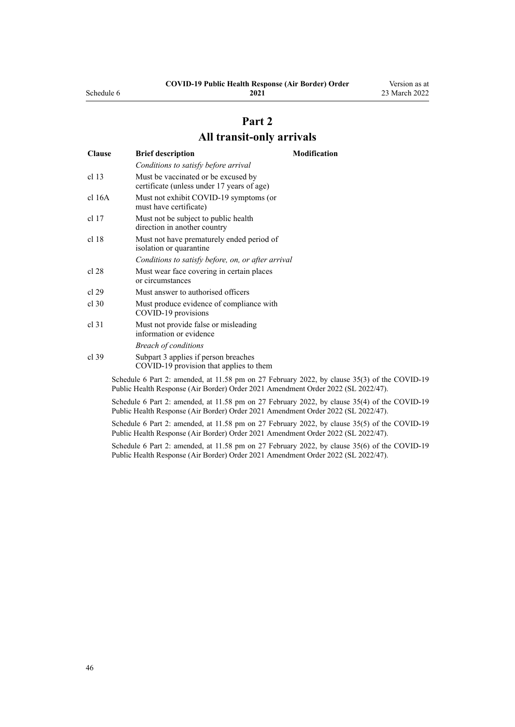|              |  | must have certificate) |  |
|--------------|--|------------------------|--|
| $\mathbf{r}$ |  |                        |  |

[cl 16A](#page-15-0) Must not exhibit COVID-19 symptoms (or

*Conditions to satisfy before arrival*

certificate (unless under 17 years of age)

[cl 13](#page-12-0) Must be vaccinated or be excused by

**Clause Brief description Modification**

[cl 17](#page-15-0) Must not be subject to public health direction in another country [cl 18](#page-15-0) Must not have prematurely ended period of isolation or quarantine *Conditions to satisfy before, on, or after arrival*

[cl 28](#page-18-0) Must wear face covering in certain places or circumstances [cl 29](#page-19-0) Must answer to authorised officers

- [cl 30](#page-19-0) Must produce evidence of compliance with COVID-19 provisions
- [cl 31](#page-20-0) Must not provide false or misleading information or evidence *Breach of conditions*
- [cl 39](#page-22-0) [Subpart 3](#page-22-0) applies if person breaches COVID-19 provision that applies to them

Schedule 6 Part 2: amended, at 11.58 pm on 27 February 2022, by [clause 35\(3\)](http://legislation.govt.nz/pdflink.aspx?id=LMS650867) of the COVID-19 Public Health Response (Air Border) Order 2021 Amendment Order 2022 (SL 2022/47).

Schedule 6 Part 2: amended, at 11.58 pm on 27 February 2022, by [clause 35\(4\)](http://legislation.govt.nz/pdflink.aspx?id=LMS650867) of the COVID-19 Public Health Response (Air Border) Order 2021 Amendment Order 2022 (SL 2022/47).

Schedule 6 Part 2: amended, at 11.58 pm on 27 February 2022, by [clause 35\(5\)](http://legislation.govt.nz/pdflink.aspx?id=LMS650867) of the COVID-19 Public Health Response (Air Border) Order 2021 Amendment Order 2022 (SL 2022/47).

Schedule 6 Part 2: amended, at 11.58 pm on 27 February 2022, by [clause 35\(6\)](http://legislation.govt.nz/pdflink.aspx?id=LMS650867) of the COVID-19 Public Health Response (Air Border) Order 2021 Amendment Order 2022 (SL 2022/47).

#### **COVID-19 Public Health Response (Air Border) Order 2021**

**Part 2 All transit-only arrivals**

Version as at 23 March 2022

46

<span id="page-45-0"></span>Schedule 6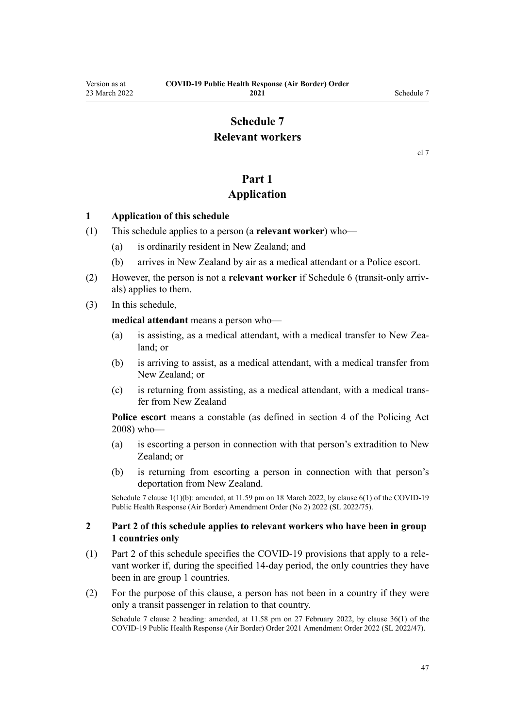## **Schedule 7 Relevant workers**

[cl 7](#page-9-0)

## **Part 1**

## **Application**

#### <span id="page-46-0"></span>**1 Application of this schedule**

- (1) This schedule applies to a person (a **relevant worker**) who—
	- (a) is ordinarily resident in New Zealand; and
	- (b) arrives in New Zealand by air as a medical attendant or a Police escort.
- (2) However, the person is not a **relevant worker** if [Schedule 6](#page-44-0) (transit-only arriv‐ als) applies to them.
- (3) In this schedule,

**medical attendant** means a person who—

- (a) is assisting, as a medical attendant, with a medical transfer to New Zealand; or
- (b) is arriving to assist, as a medical attendant, with a medical transfer from New Zealand; or
- (c) is returning from assisting, as a medical attendant, with a medical trans‐ fer from New Zealand

**Police escort** means a constable (as defined in [section 4](http://legislation.govt.nz/pdflink.aspx?id=DLM1102132) of the Policing Act 2008) who—

- (a) is escorting a person in connection with that person's extradition to New Zealand; or
- (b) is returning from escorting a person in connection with that person's deportation from New Zealand.

Schedule 7 clause 1(1)(b): amended, at 11.59 pm on 18 March 2022, by [clause 6\(1\)](http://legislation.govt.nz/pdflink.aspx?id=LMS664430) of the COVID-19 Public Health Response (Air Border) Amendment Order (No 2) 2022 (SL 2022/75).

#### **2 Part 2 of this schedule applies to relevant workers who have been in group 1 countries only**

- (1) [Part 2](#page-47-0) of this schedule specifies the COVID-19 provisions that apply to a rele‐ vant worker if, during the specified 14-day period, the only countries they have been in are group 1 countries.
- (2) For the purpose of this clause, a person has not been in a country if they were only a transit passenger in relation to that country.

Schedule 7 clause 2 heading: amended, at 11.58 pm on 27 February 2022, by [clause 36\(1\)](http://legislation.govt.nz/pdflink.aspx?id=LMS650876) of the COVID-19 Public Health Response (Air Border) Order 2021 Amendment Order 2022 (SL 2022/47).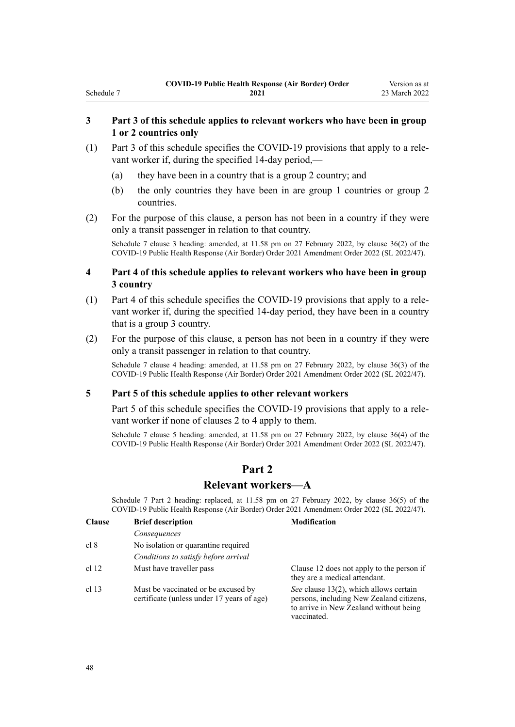#### **3 Part 3 of this schedule applies to relevant workers who have been in group 1 or 2 countries only**

- (1) [Part 3](#page-49-0) of this schedule specifies the COVID-19 provisions that apply to a rele‐ vant worker if, during the specified 14-day period,—
	- (a) they have been in a country that is a group 2 country; and
	- (b) the only countries they have been in are group 1 countries or group 2 countries.
- (2) For the purpose of this clause, a person has not been in a country if they were only a transit passenger in relation to that country.

Schedule 7 clause 3 heading: amended, at 11.58 pm on 27 February 2022, by [clause 36\(2\)](http://legislation.govt.nz/pdflink.aspx?id=LMS650876) of the COVID-19 Public Health Response (Air Border) Order 2021 Amendment Order 2022 (SL 2022/47).

#### **4 Part 4 of this schedule applies to relevant workers who have been in group 3 country**

- (1) [Part 4](#page-50-0) of this schedule specifies the COVID-19 provisions that apply to a rele‐ vant worker if, during the specified 14-day period, they have been in a country that is a group 3 country.
- (2) For the purpose of this clause, a person has not been in a country if they were only a transit passenger in relation to that country.

Schedule 7 clause 4 heading: amended, at 11.58 pm on 27 February 2022, by [clause 36\(3\)](http://legislation.govt.nz/pdflink.aspx?id=LMS650876) of the COVID-19 Public Health Response (Air Border) Order 2021 Amendment Order 2022 (SL 2022/47).

#### **5 Part 5 of this schedule applies to other relevant workers**

[Part 5](#page-51-0) of this schedule specifies the COVID-19 provisions that apply to a relevant worker if none of [clauses 2 to 4](#page-46-0) apply to them.

Schedule 7 clause 5 heading: amended, at 11.58 pm on 27 February 2022, by [clause 36\(4\)](http://legislation.govt.nz/pdflink.aspx?id=LMS650876) of the COVID-19 Public Health Response (Air Border) Order 2021 Amendment Order 2022 (SL 2022/47).

## **Part 2**

### **Relevant workers—A**

Schedule 7 Part 2 heading: replaced, at 11.58 pm on 27 February 2022, by [clause 36\(5\)](http://legislation.govt.nz/pdflink.aspx?id=LMS650876) of the COVID-19 Public Health Response (Air Border) Order 2021 Amendment Order 2022 (SL 2022/47).

| <b>Clause</b> | <b>Brief description</b>                                                          | <b>Modification</b>                                                                                                                         |
|---------------|-----------------------------------------------------------------------------------|---------------------------------------------------------------------------------------------------------------------------------------------|
|               | Consequences                                                                      |                                                                                                                                             |
| cl 8          | No isolation or quarantine required                                               |                                                                                                                                             |
|               | Conditions to satisfy before arrival                                              |                                                                                                                                             |
| cl 12         | Must have traveller pass                                                          | Clause 12 does not apply to the person if<br>they are a medical attendant.                                                                  |
| $cl$ 13       | Must be vaccinated or be excused by<br>certificate (unless under 17 years of age) | See clause 13(2), which allows certain<br>persons, including New Zealand citizens,<br>to arrive in New Zealand without being<br>vaccinated. |

<span id="page-47-0"></span>Schedule 7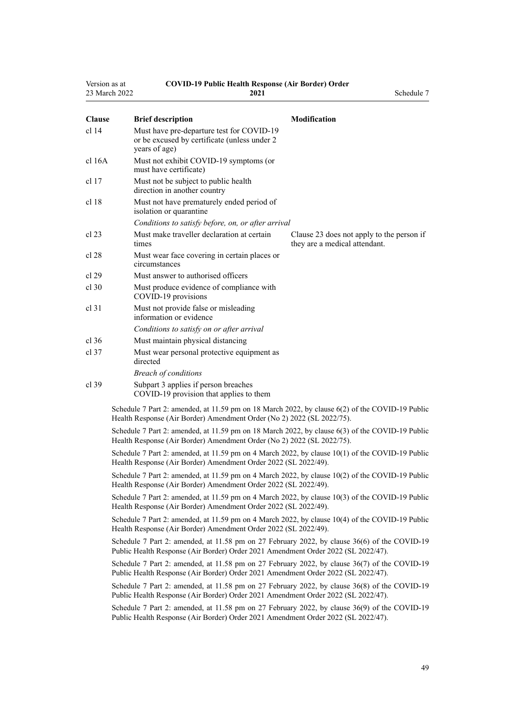| Version as at | COVID-19 Public Health Response (Air Border) Order<br>23 March 2022<br>2021                                                                                                       | Schedule 7                                                                 |
|---------------|-----------------------------------------------------------------------------------------------------------------------------------------------------------------------------------|----------------------------------------------------------------------------|
| <b>Clause</b> | <b>Brief description</b>                                                                                                                                                          | <b>Modification</b>                                                        |
| $cl$ 14       | Must have pre-departure test for COVID-19<br>or be excused by certificate (unless under 2<br>years of age)                                                                        |                                                                            |
| cl 16A        | Must not exhibit COVID-19 symptoms (or<br>must have certificate)                                                                                                                  |                                                                            |
| cl 17         | Must not be subject to public health<br>direction in another country                                                                                                              |                                                                            |
| cl 18         | Must not have prematurely ended period of<br>isolation or quarantine                                                                                                              |                                                                            |
|               | Conditions to satisfy before, on, or after arrival                                                                                                                                |                                                                            |
| cl 23         | Must make traveller declaration at certain<br>times                                                                                                                               | Clause 23 does not apply to the person if<br>they are a medical attendant. |
| cl 28         | Must wear face covering in certain places or<br>circumstances                                                                                                                     |                                                                            |
| cl 29         | Must answer to authorised officers                                                                                                                                                |                                                                            |
| $cl$ 30       | Must produce evidence of compliance with<br>COVID-19 provisions                                                                                                                   |                                                                            |
| cl 31         | Must not provide false or misleading<br>information or evidence                                                                                                                   |                                                                            |
|               | Conditions to satisfy on or after arrival                                                                                                                                         |                                                                            |
| $cl$ 36       | Must maintain physical distancing                                                                                                                                                 |                                                                            |
| cl 37         | Must wear personal protective equipment as<br>directed                                                                                                                            |                                                                            |
|               | <b>Breach of conditions</b>                                                                                                                                                       |                                                                            |
| cl.39         | Subpart 3 applies if person breaches<br>COVID-19 provision that applies to them                                                                                                   |                                                                            |
|               | Schedule 7 Part 2: amended, at 11.59 pm on 18 March 2022, by clause 6(2) of the COVID-19 Public<br>Health Response (Air Border) Amendment Order (No 2) 2022 (SL 2022/75).         |                                                                            |
|               | Schedule 7 Part 2: amended, at 11.59 pm on 18 March 2022, by clause 6(3) of the COVID-19 Public<br>Health Response (Air Border) Amendment Order (No 2) 2022 (SL 2022/75).         |                                                                            |
|               | Schedule 7 Part 2: amended, at 11.59 pm on 4 March 2022, by clause 10(1) of the COVID-19 Public<br>Health Response (Air Border) Amendment Order 2022 (SL 2022/49).                |                                                                            |
|               | Schedule 7 Part 2: amended, at 11.59 pm on 4 March 2022, by clause 10(2) of the COVID-19 Public<br>Health Response (Air Border) Amendment Order 2022 (SL 2022/49).                |                                                                            |
|               | Schedule 7 Part 2: amended, at 11.59 pm on 4 March 2022, by clause 10(3) of the COVID-19 Public<br>Health Response (Air Border) Amendment Order 2022 (SL 2022/49).                |                                                                            |
|               | Schedule 7 Part 2: amended, at 11.59 pm on 4 March 2022, by clause 10(4) of the COVID-19 Public<br>Health Response (Air Border) Amendment Order 2022 (SL 2022/49).                |                                                                            |
|               | Schedule 7 Part 2: amended, at 11.58 pm on 27 February 2022, by clause 36(6) of the COVID-19<br>Public Health Response (Air Border) Order 2021 Amendment Order 2022 (SL 2022/47). |                                                                            |
|               | Schedule 7 Part 2: amended, at 11.58 pm on 27 February 2022, by clause 36(7) of the COVID-19<br>Public Health Response (Air Border) Order 2021 Amendment Order 2022 (SL 2022/47). |                                                                            |
|               | Schedule 7 Part 2: amended, at 11.58 pm on 27 February 2022, by clause 36(8) of the COVID-19<br>Public Health Response (Air Border) Order 2021 Amendment Order 2022 (SL 2022/47). |                                                                            |
|               | Schedule 7 Part 2: amended, at 11.58 pm on 27 February 2022, by clause 36(9) of the COVID-19<br>Public Health Response (Air Border) Order 2021 Amendment Order 2022 (SL 2022/47). |                                                                            |
|               |                                                                                                                                                                                   |                                                                            |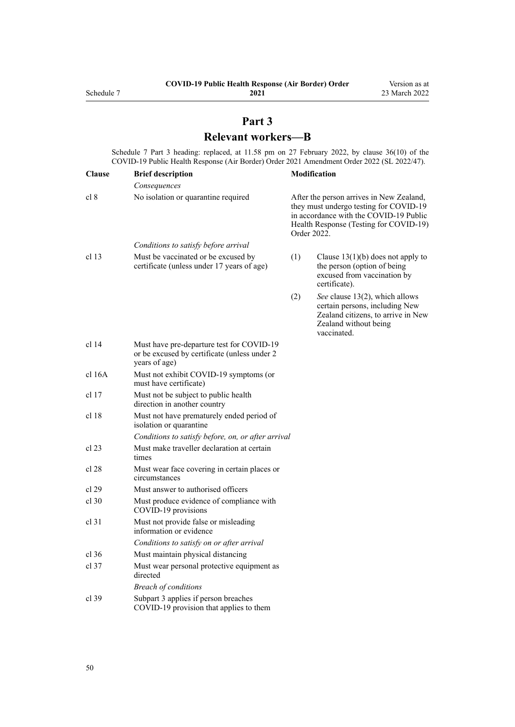# **Part 3 Relevant workers—B**

<span id="page-49-0"></span>Schedule 7 Part 3 heading: replaced, at 11.58 pm on 27 February 2022, by [clause 36\(10\)](http://legislation.govt.nz/pdflink.aspx?id=LMS650876) of the COVID-19 Public Health Response (Air Border) Order 2021 Amendment Order 2022 (SL 2022/47).

| <b>Clause</b>    | <b>Brief description</b>                                                                                   |     | <b>Modification</b>                                                                                                                                                                   |
|------------------|------------------------------------------------------------------------------------------------------------|-----|---------------------------------------------------------------------------------------------------------------------------------------------------------------------------------------|
|                  | Consequences                                                                                               |     |                                                                                                                                                                                       |
| cl 8             | No isolation or quarantine required                                                                        |     | After the person arrives in New Zealand,<br>they must undergo testing for COVID-19<br>in accordance with the COVID-19 Public<br>Health Response (Testing for COVID-19)<br>Order 2022. |
|                  | Conditions to satisfy before arrival                                                                       |     |                                                                                                                                                                                       |
| cl <sub>13</sub> | Must be vaccinated or be excused by<br>certificate (unless under 17 years of age)                          | (1) | Clause $13(1)(b)$ does not apply to<br>the person (option of being<br>excused from vaccination by<br>certificate).                                                                    |
|                  |                                                                                                            | (2) | See clause 13(2), which allows<br>certain persons, including New<br>Zealand citizens, to arrive in New<br>Zealand without being<br>vaccinated.                                        |
| cl 14            | Must have pre-departure test for COVID-19<br>or be excused by certificate (unless under 2<br>years of age) |     |                                                                                                                                                                                       |
| $cl$ 16 $A$      | Must not exhibit COVID-19 symptoms (or<br>must have certificate)                                           |     |                                                                                                                                                                                       |
| cl 17            | Must not be subject to public health<br>direction in another country                                       |     |                                                                                                                                                                                       |
| cl 18            | Must not have prematurely ended period of<br>isolation or quarantine                                       |     |                                                                                                                                                                                       |
|                  | Conditions to satisfy before, on, or after arrival                                                         |     |                                                                                                                                                                                       |
| cl 23            | Must make traveller declaration at certain<br>times                                                        |     |                                                                                                                                                                                       |
| cl 28            | Must wear face covering in certain places or<br>circumstances                                              |     |                                                                                                                                                                                       |
| cl 29            | Must answer to authorised officers                                                                         |     |                                                                                                                                                                                       |
| $cl$ 30          | Must produce evidence of compliance with<br>COVID-19 provisions                                            |     |                                                                                                                                                                                       |
| cl 31            | Must not provide false or misleading<br>information or evidence                                            |     |                                                                                                                                                                                       |
|                  | Conditions to satisfy on or after arrival                                                                  |     |                                                                                                                                                                                       |
| $cl$ 36          | Must maintain physical distancing                                                                          |     |                                                                                                                                                                                       |
| $cl$ 37          | Must wear personal protective equipment as<br>directed                                                     |     |                                                                                                                                                                                       |
|                  | <b>Breach of conditions</b>                                                                                |     |                                                                                                                                                                                       |
| cl 39            | Subpart 3 applies if person breaches<br>COVID-19 provision that applies to them                            |     |                                                                                                                                                                                       |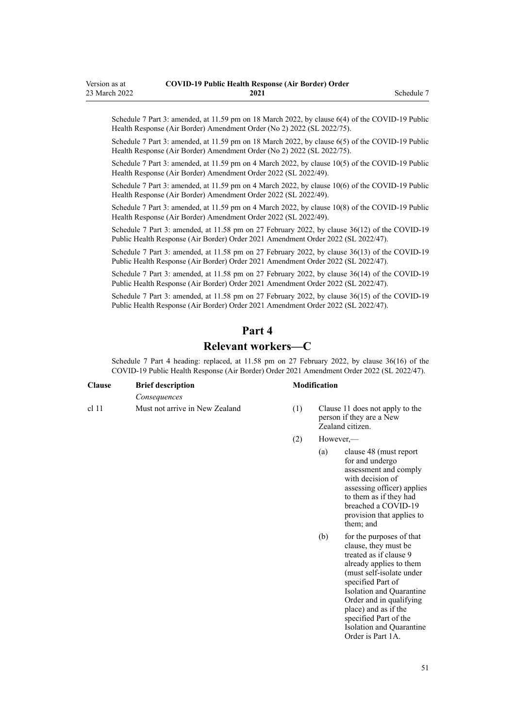<span id="page-50-0"></span>Schedule 7 Part 3: amended, at 11.59 pm on 18 March 2022, by [clause 6\(4\)](http://legislation.govt.nz/pdflink.aspx?id=LMS664430) of the COVID-19 Public Health Response (Air Border) Amendment Order (No 2) 2022 (SL 2022/75).

Schedule 7 Part 3: amended, at 11.59 pm on 18 March 2022, by [clause 6\(5\)](http://legislation.govt.nz/pdflink.aspx?id=LMS664430) of the COVID-19 Public Health Response (Air Border) Amendment Order (No 2) 2022 (SL 2022/75).

Schedule 7 Part 3: amended, at 11.59 pm on 4 March 2022, by [clause 10\(5\)](http://legislation.govt.nz/pdflink.aspx?id=LMS653792) of the COVID-19 Public Health Response (Air Border) Amendment Order 2022 (SL 2022/49).

Schedule 7 Part 3: amended, at 11.59 pm on 4 March 2022, by [clause 10\(6\)](http://legislation.govt.nz/pdflink.aspx?id=LMS653792) of the COVID-19 Public Health Response (Air Border) Amendment Order 2022 (SL 2022/49).

Schedule 7 Part 3: amended, at 11.59 pm on 4 March 2022, by [clause 10\(8\)](http://legislation.govt.nz/pdflink.aspx?id=LMS653792) of the COVID-19 Public Health Response (Air Border) Amendment Order 2022 (SL 2022/49).

Schedule 7 Part 3: amended, at 11.58 pm on 27 February 2022, by [clause 36\(12\)](http://legislation.govt.nz/pdflink.aspx?id=LMS650876) of the COVID-19 Public Health Response (Air Border) Order 2021 Amendment Order 2022 (SL 2022/47).

Schedule 7 Part 3: amended, at 11.58 pm on 27 February 2022, by [clause 36\(13\)](http://legislation.govt.nz/pdflink.aspx?id=LMS650876) of the COVID-19 Public Health Response (Air Border) Order 2021 Amendment Order 2022 (SL 2022/47).

Schedule 7 Part 3: amended, at 11.58 pm on 27 February 2022, by [clause 36\(14\)](http://legislation.govt.nz/pdflink.aspx?id=LMS650876) of the COVID-19 Public Health Response (Air Border) Order 2021 Amendment Order 2022 (SL 2022/47).

Schedule 7 Part 3: amended, at 11.58 pm on 27 February 2022, by [clause 36\(15\)](http://legislation.govt.nz/pdflink.aspx?id=LMS650876) of the COVID-19 Public Health Response (Air Border) Order 2021 Amendment Order 2022 (SL 2022/47).

# **Part 4**

## **Relevant workers—C**

Schedule 7 Part 4 heading: replaced, at 11.58 pm on 27 February 2022, by [clause 36\(16\)](http://legislation.govt.nz/pdflink.aspx?id=LMS650876) of the COVID-19 Public Health Response (Air Border) Order 2021 Amendment Order 2022 (SL 2022/47).

| <b>Clause</b> | <b>Brief description</b>       |
|---------------|--------------------------------|
|               | Consequences                   |
| $cl$ 11       | Must not arrive in New Zealand |

#### **Clause Brief description Modification**

- $(1)$  [Clause 11](#page-12-0) does not apply to the person if they are a New Zealand citizen.
- (2) However,—
	- (a) [clause 48](#page-25-0) (must report for and undergo assessment and comply with decision of assessing officer) applies to them as if they had breached a COVID-19 provision that applies to them; and
	- (b) for the purposes of that clause, they must be treated as if [clause 9](#page-11-0) already applies to them (must self-isolate under specified Part of Isolation and Quarantine Order and in qualifying place) and as if the specified Part of the Isolation and Quarantine Order is [Part 1A](http://legislation.govt.nz/pdflink.aspx?id=LMS415267).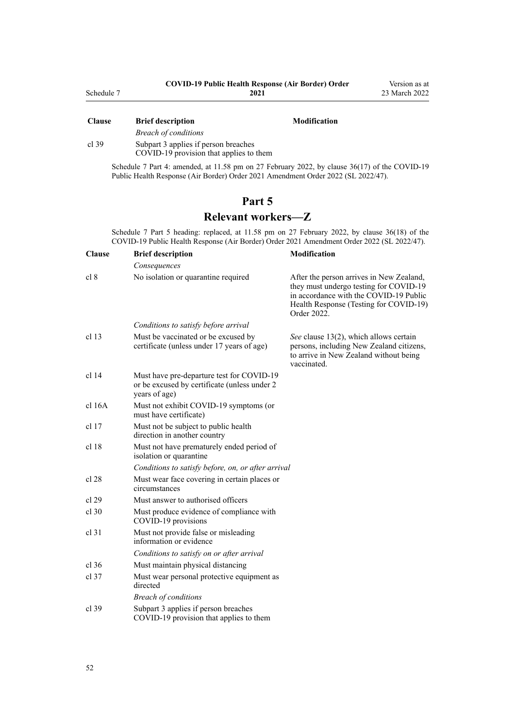<span id="page-51-0"></span>

| <b>Clause</b> | DITEL RESCLIPTION                       | мочитсанон |
|---------------|-----------------------------------------|------------|
|               | <b>Breach of conditions</b>             |            |
| cl.39         | Subpart 3 applies if person breaches    |            |
|               | COVID-19 provision that applies to them |            |

Schedule 7 Part 4: amended, at 11.58 pm on 27 February 2022, by [clause 36\(17\)](http://legislation.govt.nz/pdflink.aspx?id=LMS650876) of the COVID-19 Public Health Response (Air Border) Order 2021 Amendment Order 2022 (SL 2022/47).

## **Part 5**

## **Relevant workers—Z**

Schedule 7 Part 5 heading: replaced, at 11.58 pm on 27 February 2022, by [clause 36\(18\)](http://legislation.govt.nz/pdflink.aspx?id=LMS650876) of the COVID-19 Public Health Response (Air Border) Order 2021 Amendment Order 2022 (SL 2022/47).

| <b>Clause</b>    | <b>Brief description</b>                                                                                   | <b>Modification</b>                                                                                                                                                                   |
|------------------|------------------------------------------------------------------------------------------------------------|---------------------------------------------------------------------------------------------------------------------------------------------------------------------------------------|
|                  | Consequences                                                                                               |                                                                                                                                                                                       |
| cl 8             | No isolation or quarantine required                                                                        | After the person arrives in New Zealand,<br>they must undergo testing for COVID-19<br>in accordance with the COVID-19 Public<br>Health Response (Testing for COVID-19)<br>Order 2022. |
|                  | Conditions to satisfy before arrival                                                                       |                                                                                                                                                                                       |
| cl <sub>13</sub> | Must be vaccinated or be excused by<br>certificate (unless under 17 years of age)                          | See clause 13(2), which allows certain<br>persons, including New Zealand citizens,<br>to arrive in New Zealand without being<br>vaccinated.                                           |
| cl <sub>14</sub> | Must have pre-departure test for COVID-19<br>or be excused by certificate (unless under 2<br>years of age) |                                                                                                                                                                                       |
| cl 16A           | Must not exhibit COVID-19 symptoms (or<br>must have certificate)                                           |                                                                                                                                                                                       |
| cl 17            | Must not be subject to public health<br>direction in another country                                       |                                                                                                                                                                                       |
| cl 18            | Must not have prematurely ended period of<br>isolation or quarantine                                       |                                                                                                                                                                                       |
|                  | Conditions to satisfy before, on, or after arrival                                                         |                                                                                                                                                                                       |
| cl 28            | Must wear face covering in certain places or<br>circumstances                                              |                                                                                                                                                                                       |
| cl 29            | Must answer to authorised officers                                                                         |                                                                                                                                                                                       |
| $cl$ 30          | Must produce evidence of compliance with<br>COVID-19 provisions                                            |                                                                                                                                                                                       |
| $cl$ 31          | Must not provide false or misleading<br>information or evidence                                            |                                                                                                                                                                                       |
|                  | Conditions to satisfy on or after arrival                                                                  |                                                                                                                                                                                       |
| cl 36            | Must maintain physical distancing                                                                          |                                                                                                                                                                                       |
| $cl$ 37          | Must wear personal protective equipment as<br>directed                                                     |                                                                                                                                                                                       |
|                  | <b>Breach of conditions</b>                                                                                |                                                                                                                                                                                       |
| $cl$ 39          | Subpart 3 applies if person breaches<br>COVID-19 provision that applies to them                            |                                                                                                                                                                                       |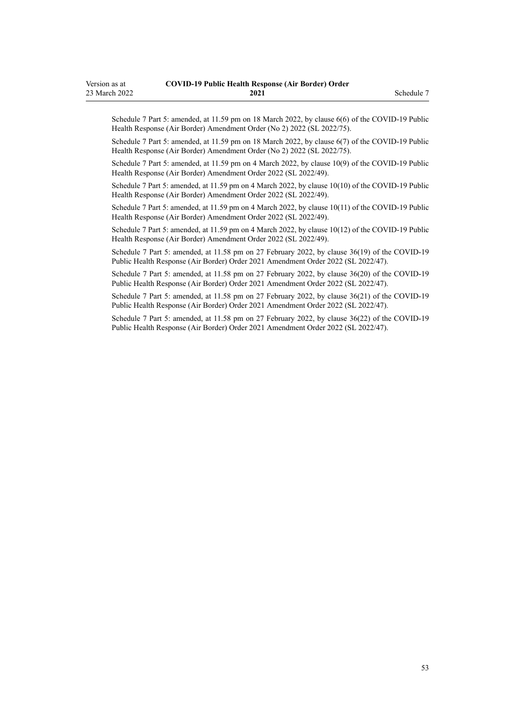Schedule 7 Part 5: amended, at 11.59 pm on 18 March 2022, by [clause 6\(6\)](http://legislation.govt.nz/pdflink.aspx?id=LMS664430) of the COVID-19 Public Health Response (Air Border) Amendment Order (No 2) 2022 (SL 2022/75).

Schedule 7 Part 5: amended, at 11.59 pm on 18 March 2022, by [clause 6\(7\)](http://legislation.govt.nz/pdflink.aspx?id=LMS664430) of the COVID-19 Public Health Response (Air Border) Amendment Order (No 2) 2022 (SL 2022/75).

Schedule 7 Part 5: amended, at 11.59 pm on 4 March 2022, by [clause 10\(9\)](http://legislation.govt.nz/pdflink.aspx?id=LMS653792) of the COVID-19 Public Health Response (Air Border) Amendment Order 2022 (SL 2022/49).

Schedule 7 Part 5: amended, at 11.59 pm on 4 March 2022, by [clause 10\(10\)](http://legislation.govt.nz/pdflink.aspx?id=LMS653792) of the COVID-19 Public Health Response (Air Border) Amendment Order 2022 (SL 2022/49).

Schedule 7 Part 5: amended, at 11.59 pm on 4 March 2022, by [clause 10\(11\)](http://legislation.govt.nz/pdflink.aspx?id=LMS653792) of the COVID-19 Public Health Response (Air Border) Amendment Order 2022 (SL 2022/49).

Schedule 7 Part 5: amended, at 11.59 pm on 4 March 2022, by [clause 10\(12\)](http://legislation.govt.nz/pdflink.aspx?id=LMS653792) of the COVID-19 Public Health Response (Air Border) Amendment Order 2022 (SL 2022/49).

Schedule 7 Part 5: amended, at 11.58 pm on 27 February 2022, by [clause 36\(19\)](http://legislation.govt.nz/pdflink.aspx?id=LMS650876) of the COVID-19 Public Health Response (Air Border) Order 2021 Amendment Order 2022 (SL 2022/47).

Schedule 7 Part 5: amended, at 11.58 pm on 27 February 2022, by [clause 36\(20\)](http://legislation.govt.nz/pdflink.aspx?id=LMS650876) of the COVID-19 Public Health Response (Air Border) Order 2021 Amendment Order 2022 (SL 2022/47).

Schedule 7 Part 5: amended, at 11.58 pm on 27 February 2022, by [clause 36\(21\)](http://legislation.govt.nz/pdflink.aspx?id=LMS650876) of the COVID-19 Public Health Response (Air Border) Order 2021 Amendment Order 2022 (SL 2022/47).

Schedule 7 Part 5: amended, at 11.58 pm on 27 February 2022, by [clause 36\(22\)](http://legislation.govt.nz/pdflink.aspx?id=LMS650876) of the COVID-19 Public Health Response (Air Border) Order 2021 Amendment Order 2022 (SL 2022/47).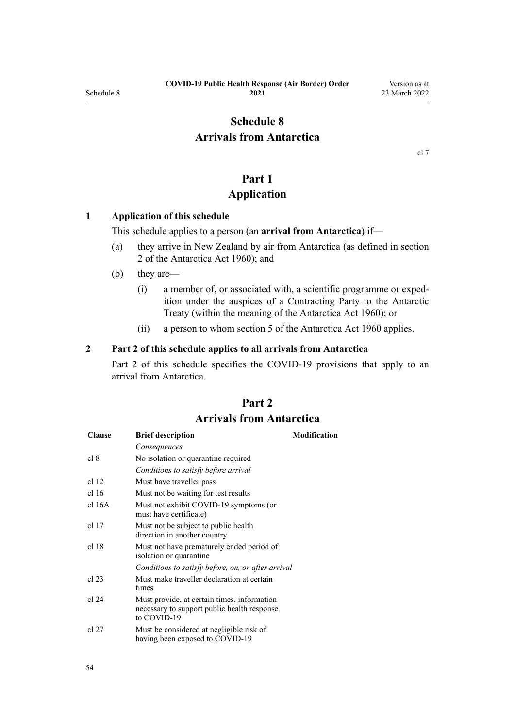# <span id="page-53-0"></span>**Schedule 8 Arrivals from Antarctica**

[cl 7](#page-9-0)

# **Part 1**

## **Application**

#### **1 Application of this schedule**

This schedule applies to a person (an **arrival from Antarctica**) if—

- (a) they arrive in New Zealand by air from Antarctica (as defined in [section](http://legislation.govt.nz/pdflink.aspx?id=DLM325200) [2](http://legislation.govt.nz/pdflink.aspx?id=DLM325200) of the Antarctica Act 1960); and
- (b) they are—
	- (i) a member of, or associated with, a scientific programme or exped‐ ition under the auspices of a Contracting Party to the Antarctic Treaty (within the meaning of the [Antarctica Act 1960\)](http://legislation.govt.nz/pdflink.aspx?id=DLM325093); or
	- (ii) a person to whom [section 5](http://legislation.govt.nz/pdflink.aspx?id=DLM325218) of the Antarctica Act 1960 applies.

#### **2 Part 2 of this schedule applies to all arrivals from Antarctica**

Part 2 of this schedule specifies the COVID-19 provisions that apply to an arrival from Antarctica.

# **Part 2 Arrivals from Antarctica**

| <b>Clause</b>    | <b>Brief description</b>                                                                                  | <b>Modification</b> |
|------------------|-----------------------------------------------------------------------------------------------------------|---------------------|
|                  | Consequences                                                                                              |                     |
| cl 8             | No isolation or quarantine required                                                                       |                     |
|                  | Conditions to satisfy before arrival                                                                      |                     |
| cl 12            | Must have traveller pass                                                                                  |                     |
| cl <sub>16</sub> | Must not be waiting for test results                                                                      |                     |
| cl 16A           | Must not exhibit COVID-19 symptoms (or<br>must have certificate)                                          |                     |
| cl 17            | Must not be subject to public health.<br>direction in another country                                     |                     |
| cl 18            | Must not have prematurely ended period of<br>isolation or quarantine                                      |                     |
|                  | Conditions to satisfy before, on, or after arrival                                                        |                     |
| cl 23            | Must make traveller declaration at certain<br>times                                                       |                     |
| cl 24            | Must provide, at certain times, information<br>necessary to support public health response<br>to COVID-19 |                     |
| cl 27            | Must be considered at negligible risk of<br>having been exposed to COVID-19                               |                     |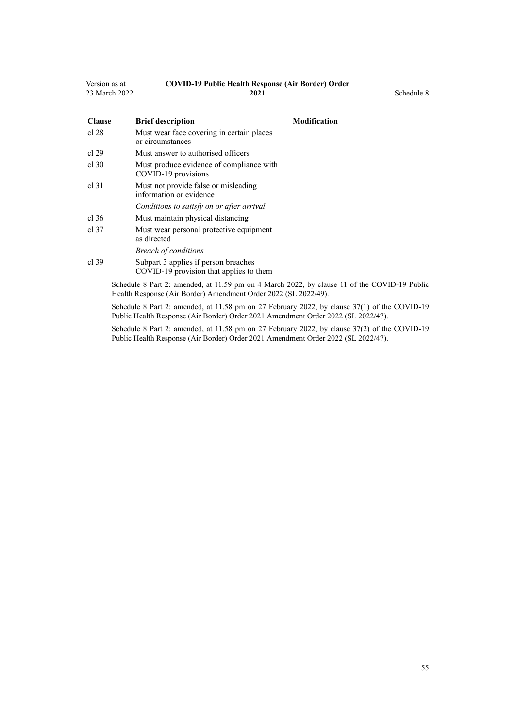| Version as at | <b>COVID-19 Public Health Response (Air Border) Order</b> |            |
|---------------|-----------------------------------------------------------|------------|
| 23 March 2022 | 2021                                                      | Schedule 8 |

| <b>Clause</b>    | <b>Brief description</b><br><b>Modification</b>                                                                                                                 |
|------------------|-----------------------------------------------------------------------------------------------------------------------------------------------------------------|
| cl 28            | Must wear face covering in certain places<br>or circumstances                                                                                                   |
| cl 29            | Must answer to authorised officers                                                                                                                              |
| cl.30            | Must produce evidence of compliance with<br>COVID-19 provisions                                                                                                 |
| cl <sub>31</sub> | Must not provide false or misleading<br>information or evidence                                                                                                 |
|                  | Conditions to satisfy on or after arrival                                                                                                                       |
| cl.36            | Must maintain physical distancing                                                                                                                               |
| cl.37            | Must wear personal protective equipment<br>as directed                                                                                                          |
|                  | <b>Breach of conditions</b>                                                                                                                                     |
| $cl$ 39          | Subpart 3 applies if person breaches<br>COVID-19 provision that applies to them                                                                                 |
|                  | Schedule 8 Part 2: amended, at 11.59 pm on 4 March 2022, by clause 11 of the COVID-19 Public<br>Health Response (Air Border) Amendment Order 2022 (SL 2022/49). |

Schedule 8 Part 2: amended, at 11.58 pm on 27 February 2022, by [clause 37\(1\)](http://legislation.govt.nz/pdflink.aspx?id=LMS650878) of the COVID-19 Public Health Response (Air Border) Order 2021 Amendment Order 2022 (SL 2022/47).

Schedule 8 Part 2: amended, at 11.58 pm on 27 February 2022, by [clause 37\(2\)](http://legislation.govt.nz/pdflink.aspx?id=LMS650878) of the COVID-19 Public Health Response (Air Border) Order 2021 Amendment Order 2022 (SL 2022/47).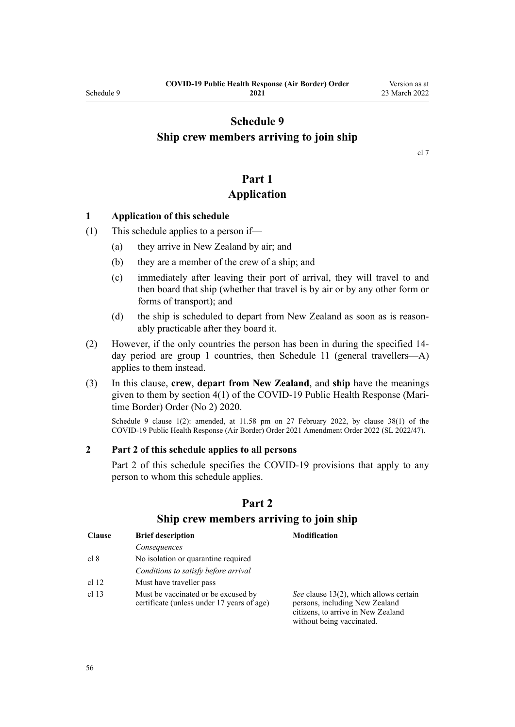## <span id="page-55-0"></span>**Schedule 9 Ship crew members arriving to join ship**

[cl 7](#page-9-0)

## **Part 1 Application**

#### **1 Application of this schedule**

- (1) This schedule applies to a person if—
	- (a) they arrive in New Zealand by air; and
	- (b) they are a member of the crew of a ship; and
	- (c) immediately after leaving their port of arrival, they will travel to and then board that ship (whether that travel is by air or by any other form or forms of transport); and
	- (d) the ship is scheduled to depart from New Zealand as soon as is reasonably practicable after they board it.
- (2) However, if the only countries the person has been in during the specified 14 day period are group 1 countries, then [Schedule 11](#page-59-0) (general travellers—A) applies to them instead.
- (3) In this clause, **crew**, **depart from New Zealand**, and **ship** have the meanings given to them by [section 4\(1\)](http://legislation.govt.nz/pdflink.aspx?id=LMS403543) of the COVID-19 Public Health Response (Mari‐ time Border) Order (No 2) 2020.

Schedule 9 clause 1(2): amended, at 11.58 pm on 27 February 2022, by [clause 38\(1\)](http://legislation.govt.nz/pdflink.aspx?id=LMS650881) of the COVID-19 Public Health Response (Air Border) Order 2021 Amendment Order 2022 (SL 2022/47).

#### **2 Part 2 of this schedule applies to all persons**

Part 2 of this schedule specifies the COVID-19 provisions that apply to any person to whom this schedule applies.

| <b>Clause</b>    | <b>Brief description</b>                                                          | <b>Modification</b>                                                                                                                         |
|------------------|-----------------------------------------------------------------------------------|---------------------------------------------------------------------------------------------------------------------------------------------|
|                  | Consequences                                                                      |                                                                                                                                             |
| cl 8             | No isolation or quarantine required                                               |                                                                                                                                             |
|                  | Conditions to satisfy before arrival                                              |                                                                                                                                             |
| cl 12            | Must have traveller pass                                                          |                                                                                                                                             |
| cl <sub>13</sub> | Must be vaccinated or be excused by<br>certificate (unless under 17 years of age) | See clause 13(2), which allows certain<br>persons, including New Zealand<br>citizens, to arrive in New Zealand<br>without being vaccinated. |

#### **Part 2**

#### **Ship crew members arriving to join ship**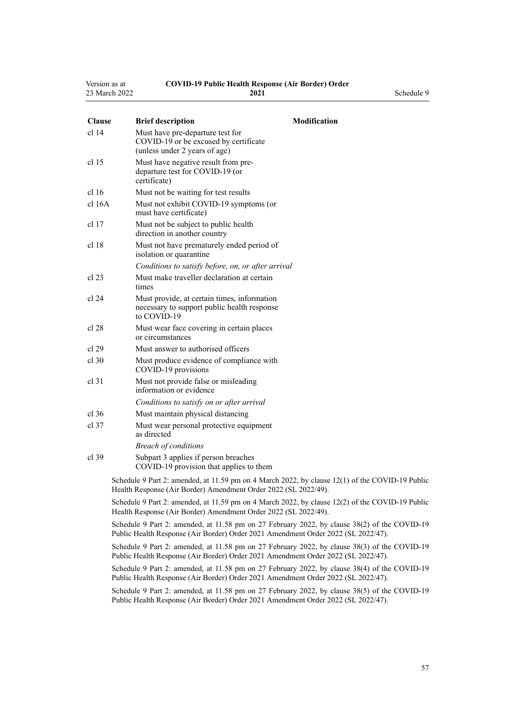| Version as at | <b>COVID-19 Public Health Response (Air Border) Order</b> |            |
|---------------|-----------------------------------------------------------|------------|
| 23 March 2022 | 2021                                                      | Schedule 9 |

| <b>Clause</b>    | <b>Brief description</b>                                                                                   | <b>Modification</b> |
|------------------|------------------------------------------------------------------------------------------------------------|---------------------|
| cl <sub>14</sub> | Must have pre-departure test for<br>COVID-19 or be excused by certificate<br>(unless under 2 years of age) |                     |
| cl <sub>15</sub> | Must have negative result from pre-<br>departure test for COVID-19 (or                                     |                     |

|         | certificate)                                                         |
|---------|----------------------------------------------------------------------|
| cl 16   | Must not be waiting for test results                                 |
| cl 16A  | Must not exhibit COVID-19 symptoms (or<br>must have certificate)     |
| $cl$ 17 | Must not be subject to public health<br>direction in another country |
| cl 18   | Must not have prematurely ended period of<br>isolation or quarantine |
|         | Conditions to satisfy before, on, or after arrival                   |
| $cl$ 23 | Must make traveller declaration at certain<br>times                  |

| cl 24 | Must provide, at certain times, information |
|-------|---------------------------------------------|
|       | necessary to support public health response |
|       | to COVID-19                                 |

| cl 28 | Must wear face covering in certain places |
|-------|-------------------------------------------|
|       | or circumstances                          |

- [cl 29](#page-19-0) Must answer to authorised officers
- [cl 30](#page-19-0) Must produce evidence of compliance with COVID-19 provisions
- [cl 31](#page-20-0) Must not provide false or misleading information or evidence *Conditions to satisfy on or after arrival*
- [cl 36](#page-21-0) Must maintain physical distancing
- [cl 37](#page-22-0) Must wear personal protective equipment as directed *Breach of conditions*
- [cl 39](#page-22-0) [Subpart 3](#page-22-0) applies if person breaches COVID-19 provision that applies to them

Schedule 9 Part 2: amended, at 11.59 pm on 4 March 2022, by [clause 12\(1\)](http://legislation.govt.nz/pdflink.aspx?id=LMS653795) of the COVID-19 Public Health Response (Air Border) Amendment Order 2022 (SL 2022/49).

Schedule 9 Part 2: amended, at 11.59 pm on 4 March 2022, by [clause 12\(2\)](http://legislation.govt.nz/pdflink.aspx?id=LMS653795) of the COVID-19 Public Health Response (Air Border) Amendment Order 2022 (SL 2022/49).

Schedule 9 Part 2: amended, at 11.58 pm on 27 February 2022, by [clause 38\(2\)](http://legislation.govt.nz/pdflink.aspx?id=LMS650881) of the COVID-19 Public Health Response (Air Border) Order 2021 Amendment Order 2022 (SL 2022/47).

Schedule 9 Part 2: amended, at 11.58 pm on 27 February 2022, by [clause 38\(3\)](http://legislation.govt.nz/pdflink.aspx?id=LMS650881) of the COVID-19 Public Health Response (Air Border) Order 2021 Amendment Order 2022 (SL 2022/47).

Schedule 9 Part 2: amended, at 11.58 pm on 27 February 2022, by [clause 38\(4\)](http://legislation.govt.nz/pdflink.aspx?id=LMS650881) of the COVID-19 Public Health Response (Air Border) Order 2021 Amendment Order 2022 (SL 2022/47).

Schedule 9 Part 2: amended, at 11.58 pm on 27 February 2022, by [clause 38\(5\)](http://legislation.govt.nz/pdflink.aspx?id=LMS650881) of the COVID-19 Public Health Response (Air Border) Order 2021 Amendment Order 2022 (SL 2022/47).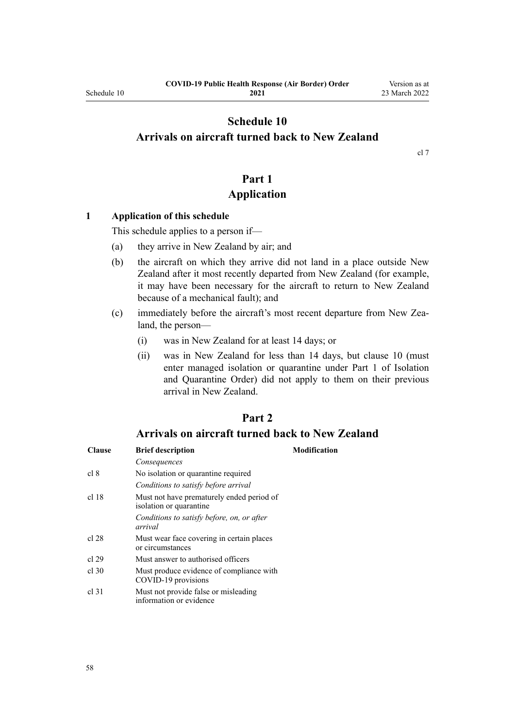## <span id="page-57-0"></span>**Schedule 10 Arrivals on aircraft turned back to New Zealand**

[cl 7](#page-9-0)

## **Part 1 Application**

#### **1 Application of this schedule**

This schedule applies to a person if—

- (a) they arrive in New Zealand by air; and
- (b) the aircraft on which they arrive did not land in a place outside New Zealand after it most recently departed from New Zealand (for example, it may have been necessary for the aircraft to return to New Zealand because of a mechanical fault); and
- (c) immediately before the aircraft's most recent departure from New Zea‐ land, the person—
	- (i) was in New Zealand for at least 14 days; or
	- (ii) was in New Zealand for less than 14 days, but [clause 10](#page-12-0) (must enter managed isolation or quarantine under [Part 1](http://legislation.govt.nz/pdflink.aspx?id=LMS401726) of Isolation and Quarantine Order) did not apply to them on their previous arrival in New Zealand.

## **Part 2**

## **Arrivals on aircraft turned back to New Zealand**

| <b>Clause</b> | <b>Brief description</b>                                             | <b>Modification</b> |
|---------------|----------------------------------------------------------------------|---------------------|
|               | Consequences                                                         |                     |
| cl 8          | No isolation or quarantine required                                  |                     |
|               | Conditions to satisfy before arrival                                 |                     |
| cl 18         | Must not have prematurely ended period of<br>isolation or quarantine |                     |
|               | Conditions to satisfy before, on, or after<br>arrival                |                     |
| cl 28         | Must wear face covering in certain places<br>or circumstances        |                     |
| cl 29         | Must answer to authorised officers                                   |                     |
| $cl$ 30       | Must produce evidence of compliance with<br>COVID-19 provisions      |                     |
| cl.31         | Must not provide false or misleading<br>information or evidence      |                     |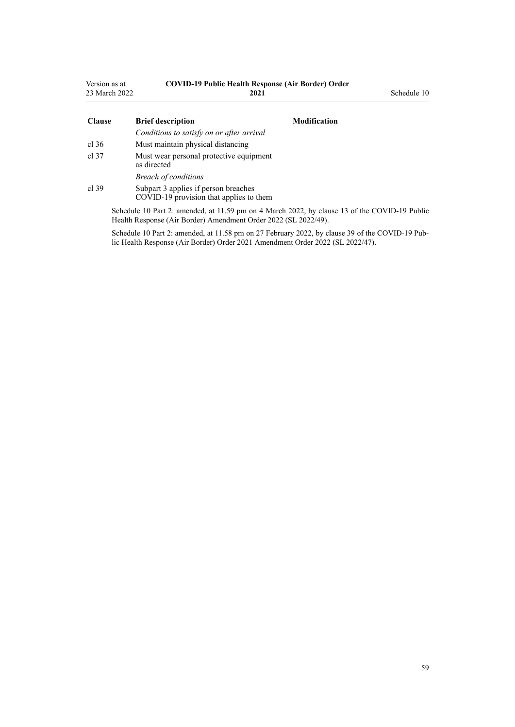| Version as at<br>23 March 2022 | <b>COVID-19 Public Health Response (Air Border) Order</b><br>2021               |                     | Schedule 10 |
|--------------------------------|---------------------------------------------------------------------------------|---------------------|-------------|
| <b>Clause</b>                  | <b>Brief description</b>                                                        | <b>Modification</b> |             |
|                                | Conditions to satisfy on or after arrival                                       |                     |             |
| cl.36                          | Must maintain physical distancing                                               |                     |             |
| cl.37                          | Must wear personal protective equipment<br>as directed                          |                     |             |
|                                | <b>Breach of conditions</b>                                                     |                     |             |
| cl.39                          | Subpart 3 applies if person breaches<br>COVID-19 provision that applies to them |                     |             |

Schedule 10 Part 2: amended, at 11.59 pm on 4 March 2022, by [clause 13](http://legislation.govt.nz/pdflink.aspx?id=LMS653796) of the COVID-19 Public Health Response (Air Border) Amendment Order 2022 (SL 2022/49).

Schedule 10 Part 2: amended, at 11.58 pm on 27 February 2022, by [clause 39](http://legislation.govt.nz/pdflink.aspx?id=LMS650882) of the COVID-19 Public Health Response (Air Border) Order 2021 Amendment Order 2022 (SL 2022/47).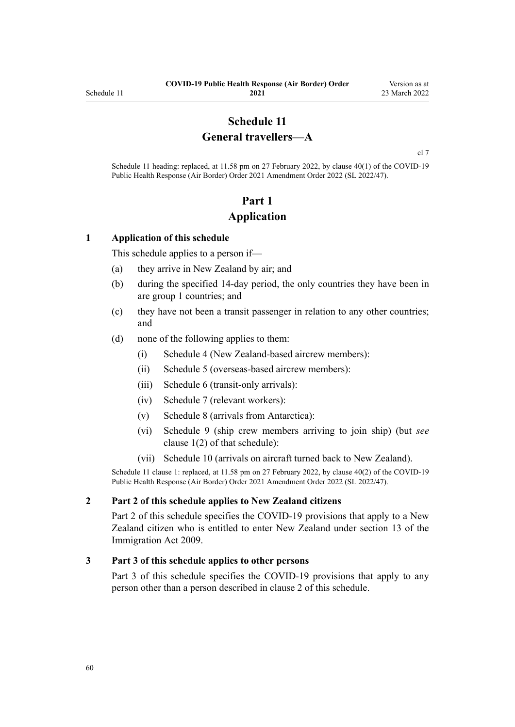## **Schedule 11 General travellers—A**

[cl 7](#page-9-0)

<span id="page-59-0"></span>Schedule 11 heading: replaced, at 11.58 pm on 27 February 2022, by [clause 40\(1\)](http://legislation.govt.nz/pdflink.aspx?id=LMS650887) of the COVID-19 Public Health Response (Air Border) Order 2021 Amendment Order 2022 (SL 2022/47).

# **Part 1 Application**

#### **1 Application of this schedule**

This schedule applies to a person if—

- (a) they arrive in New Zealand by air; and
- (b) during the specified 14-day period, the only countries they have been in are group 1 countries; and
- (c) they have not been a transit passenger in relation to any other countries; and
- (d) none of the following applies to them:
	- (i) [Schedule 4](#page-38-0) (New Zealand-based aircrew members):
	- (ii) [Schedule 5](#page-40-0) (overseas-based aircrew members):
	- (iii) [Schedule 6](#page-44-0) (transit-only arrivals):
	- (iv) [Schedule 7](#page-46-0) (relevant workers):
	- (v) [Schedule 8](#page-53-0) (arrivals from Antarctica):
	- (vi) [Schedule 9](#page-55-0) (ship crew members arriving to join ship) (but *see* [clause 1\(2\)](#page-55-0) of that schedule):
	- (vii) [Schedule 10](#page-57-0) (arrivals on aircraft turned back to New Zealand).

Schedule 11 clause 1: replaced, at 11.58 pm on 27 February 2022, by [clause 40\(2\)](http://legislation.govt.nz/pdflink.aspx?id=LMS650887) of the COVID-19 Public Health Response (Air Border) Order 2021 Amendment Order 2022 (SL 2022/47).

#### **2 Part 2 of this schedule applies to New Zealand citizens**

[Part 2](#page-60-0) of this schedule specifies the COVID-19 provisions that apply to a New Zealand citizen who is entitled to enter New Zealand under [section 13](http://legislation.govt.nz/pdflink.aspx?id=DLM1440595) of the Immigration Act 2009.

#### **3 Part 3 of this schedule applies to other persons**

[Part 3](#page-61-0) of this schedule specifies the COVID-19 provisions that apply to any person other than a person described in clause 2 of this schedule.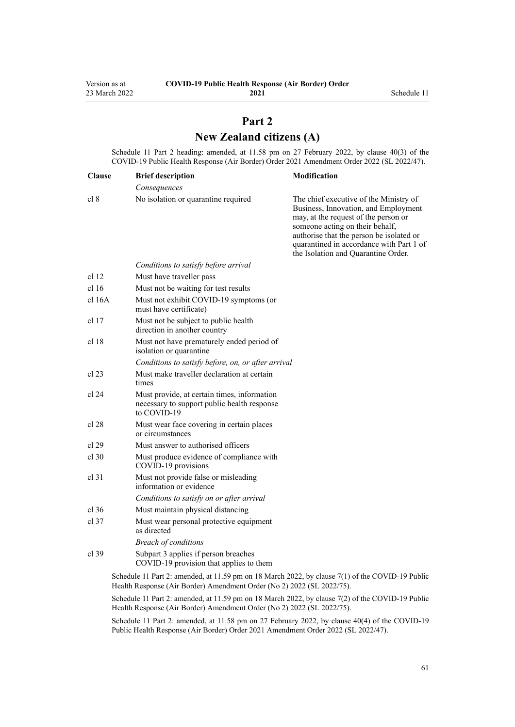## **Part 2 New Zealand citizens (A)**

<span id="page-60-0"></span>Schedule 11 Part 2 heading: amended, at 11.58 pm on 27 February 2022, by [clause 40\(3\)](http://legislation.govt.nz/pdflink.aspx?id=LMS650887) of the COVID-19 Public Health Response (Air Border) Order 2021 Amendment Order 2022 (SL 2022/47).

| <b>Clause</b>    | <b>Brief description</b>                                                                                  | Modification                                                                                                                                                                                                                                                                             |
|------------------|-----------------------------------------------------------------------------------------------------------|------------------------------------------------------------------------------------------------------------------------------------------------------------------------------------------------------------------------------------------------------------------------------------------|
|                  | Consequences                                                                                              |                                                                                                                                                                                                                                                                                          |
| cl 8             | No isolation or quarantine required                                                                       | The chief executive of the Ministry of<br>Business, Innovation, and Employment<br>may, at the request of the person or<br>someone acting on their behalf,<br>authorise that the person be isolated or<br>quarantined in accordance with Part 1 of<br>the Isolation and Quarantine Order. |
|                  | Conditions to satisfy before arrival                                                                      |                                                                                                                                                                                                                                                                                          |
| cl <sub>12</sub> | Must have traveller pass                                                                                  |                                                                                                                                                                                                                                                                                          |
| cl <sub>16</sub> | Must not be waiting for test results                                                                      |                                                                                                                                                                                                                                                                                          |
| $cl$ 16A         | Must not exhibit COVID-19 symptoms (or<br>must have certificate)                                          |                                                                                                                                                                                                                                                                                          |
| $cl$ 17          | Must not be subject to public health<br>direction in another country                                      |                                                                                                                                                                                                                                                                                          |
| cl 18            | Must not have prematurely ended period of<br>isolation or quarantine                                      |                                                                                                                                                                                                                                                                                          |
|                  | Conditions to satisfy before, on, or after arrival                                                        |                                                                                                                                                                                                                                                                                          |
| cl 23            | Must make traveller declaration at certain<br>times                                                       |                                                                                                                                                                                                                                                                                          |
| cl 24            | Must provide, at certain times, information<br>necessary to support public health response<br>to COVID-19 |                                                                                                                                                                                                                                                                                          |
| cl 28            | Must wear face covering in certain places<br>or circumstances                                             |                                                                                                                                                                                                                                                                                          |
| cl 29            | Must answer to authorised officers                                                                        |                                                                                                                                                                                                                                                                                          |
| $cl$ 30          | Must produce evidence of compliance with<br>COVID-19 provisions                                           |                                                                                                                                                                                                                                                                                          |
| $cl$ 31          | Must not provide false or misleading<br>information or evidence                                           |                                                                                                                                                                                                                                                                                          |
|                  | Conditions to satisfy on or after arrival                                                                 |                                                                                                                                                                                                                                                                                          |
| $cl$ 36          | Must maintain physical distancing                                                                         |                                                                                                                                                                                                                                                                                          |
| $cl$ 37          | Must wear personal protective equipment<br>as directed                                                    |                                                                                                                                                                                                                                                                                          |
|                  | <b>Breach of conditions</b>                                                                               |                                                                                                                                                                                                                                                                                          |
| $cl$ 39          | Subpart 3 applies if person breaches<br>COVID-19 provision that applies to them                           |                                                                                                                                                                                                                                                                                          |
|                  | Schedule 11 Part 2: amended, at 11.59 pm on 18 March 2022, by clause 7(1) of the COVID-19 Public          |                                                                                                                                                                                                                                                                                          |

Health Response (Air Border) Amendment Order (No 2) 2022 (SL 2022/75).

Schedule 11 Part 2: amended, at 11.59 pm on 18 March 2022, by [clause 7\(2\)](http://legislation.govt.nz/pdflink.aspx?id=LMS664433) of the COVID-19 Public Health Response (Air Border) Amendment Order (No 2) 2022 (SL 2022/75).

Schedule 11 Part 2: amended, at 11.58 pm on 27 February 2022, by [clause 40\(4\)](http://legislation.govt.nz/pdflink.aspx?id=LMS650887) of the COVID-19 Public Health Response (Air Border) Order 2021 Amendment Order 2022 (SL 2022/47).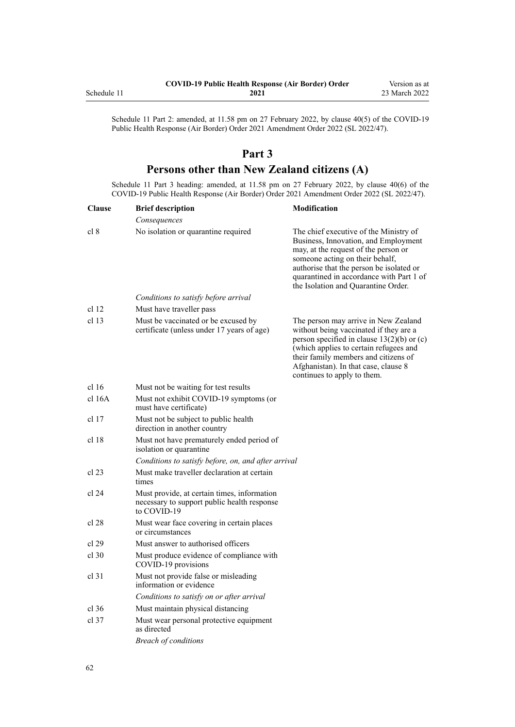<span id="page-61-0"></span>

|             | <b>COVID-19 Public Health Response (Air Border) Order</b> | Version as at |
|-------------|-----------------------------------------------------------|---------------|
| Schedule 11 | 2021                                                      | 23 March 2022 |

Schedule 11 Part 2: amended, at 11.58 pm on 27 February 2022, by [clause 40\(5\)](http://legislation.govt.nz/pdflink.aspx?id=LMS650887) of the COVID-19 Public Health Response (Air Border) Order 2021 Amendment Order 2022 (SL 2022/47).

## **Part 3**

# **Persons other than New Zealand citizens (A)**

Schedule 11 Part 3 heading: amended, at 11.58 pm on 27 February 2022, by [clause 40\(6\)](http://legislation.govt.nz/pdflink.aspx?id=LMS650887) of the COVID-19 Public Health Response (Air Border) Order 2021 Amendment Order 2022 (SL 2022/47).

| <b>Clause</b>    | <b>Brief description</b>                                                                                  | <b>Modification</b>                                                                                                                                                                                                                                                                      |
|------------------|-----------------------------------------------------------------------------------------------------------|------------------------------------------------------------------------------------------------------------------------------------------------------------------------------------------------------------------------------------------------------------------------------------------|
|                  | Consequences                                                                                              |                                                                                                                                                                                                                                                                                          |
| cl 8             | No isolation or quarantine required                                                                       | The chief executive of the Ministry of<br>Business, Innovation, and Employment<br>may, at the request of the person or<br>someone acting on their behalf,<br>authorise that the person be isolated or<br>quarantined in accordance with Part 1 of<br>the Isolation and Quarantine Order. |
|                  | Conditions to satisfy before arrival                                                                      |                                                                                                                                                                                                                                                                                          |
| cl <sub>12</sub> | Must have traveller pass                                                                                  |                                                                                                                                                                                                                                                                                          |
| cl <sub>13</sub> | Must be vaccinated or be excused by<br>certificate (unless under 17 years of age)                         | The person may arrive in New Zealand<br>without being vaccinated if they are a<br>person specified in clause $13(2)(b)$ or (c)<br>(which applies to certain refugees and<br>their family members and citizens of<br>Afghanistan). In that case, clause 8<br>continues to apply to them.  |
| cl 16            | Must not be waiting for test results                                                                      |                                                                                                                                                                                                                                                                                          |
| $cl$ 16A         | Must not exhibit COVID-19 symptoms (or<br>must have certificate)                                          |                                                                                                                                                                                                                                                                                          |
| cl <sub>17</sub> | Must not be subject to public health<br>direction in another country                                      |                                                                                                                                                                                                                                                                                          |
| cl <sub>18</sub> | Must not have prematurely ended period of<br>isolation or quarantine                                      |                                                                                                                                                                                                                                                                                          |
|                  | Conditions to satisfy before, on, and after arrival                                                       |                                                                                                                                                                                                                                                                                          |
| $cl$ 23          | Must make traveller declaration at certain<br>times                                                       |                                                                                                                                                                                                                                                                                          |
| cl 24            | Must provide, at certain times, information<br>necessary to support public health response<br>to COVID-19 |                                                                                                                                                                                                                                                                                          |
| cl 28            | Must wear face covering in certain places<br>or circumstances                                             |                                                                                                                                                                                                                                                                                          |
| cl 29            | Must answer to authorised officers                                                                        |                                                                                                                                                                                                                                                                                          |
| cl.30            | Must produce evidence of compliance with<br>COVID-19 provisions                                           |                                                                                                                                                                                                                                                                                          |
| cl <sub>31</sub> | Must not provide false or misleading<br>information or evidence                                           |                                                                                                                                                                                                                                                                                          |
|                  | Conditions to satisfy on or after arrival                                                                 |                                                                                                                                                                                                                                                                                          |
| cl.36            | Must maintain physical distancing                                                                         |                                                                                                                                                                                                                                                                                          |
| cl.37            | Must wear personal protective equipment<br>as directed                                                    |                                                                                                                                                                                                                                                                                          |
|                  | <b>Breach of conditions</b>                                                                               |                                                                                                                                                                                                                                                                                          |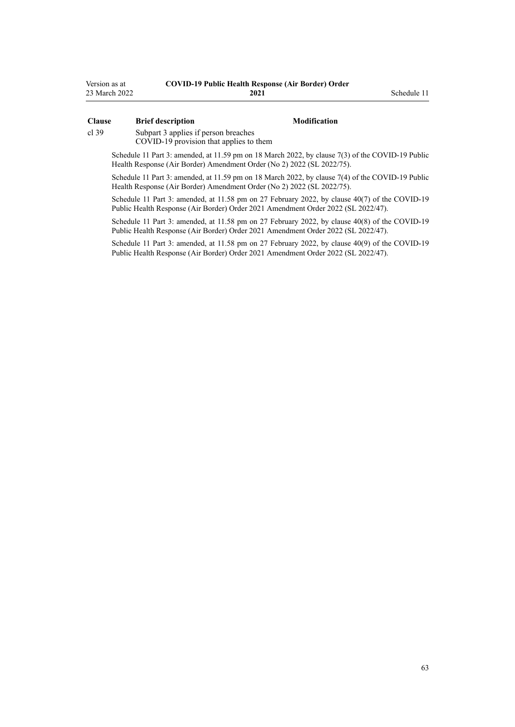| Version as at | <b>COVID-19 Public Health Response (Air Border) Order</b> |
|---------------|-----------------------------------------------------------|
| 23 March 2022 | 2021                                                      |

#### **Clause Brief description Modification**

**2021** Schedule 11

[cl 39](#page-22-0) [Subpart 3](#page-22-0) applies if person breaches

COVID-19 provision that applies to them

Schedule 11 Part 3: amended, at 11.59 pm on 18 March 2022, by [clause 7\(3\)](http://legislation.govt.nz/pdflink.aspx?id=LMS664433) of the COVID-19 Public Health Response (Air Border) Amendment Order (No 2) 2022 (SL 2022/75).

Schedule 11 Part 3: amended, at 11.59 pm on 18 March 2022, by [clause 7\(4\)](http://legislation.govt.nz/pdflink.aspx?id=LMS664433) of the COVID-19 Public Health Response (Air Border) Amendment Order (No 2) 2022 (SL 2022/75).

Schedule 11 Part 3: amended, at 11.58 pm on 27 February 2022, by [clause 40\(7\)](http://legislation.govt.nz/pdflink.aspx?id=LMS650887) of the COVID-19 Public Health Response (Air Border) Order 2021 Amendment Order 2022 (SL 2022/47).

Schedule 11 Part 3: amended, at 11.58 pm on 27 February 2022, by [clause 40\(8\)](http://legislation.govt.nz/pdflink.aspx?id=LMS650887) of the COVID-19 Public Health Response (Air Border) Order 2021 Amendment Order 2022 (SL 2022/47).

Schedule 11 Part 3: amended, at 11.58 pm on 27 February 2022, by [clause 40\(9\)](http://legislation.govt.nz/pdflink.aspx?id=LMS650887) of the COVID-19 Public Health Response (Air Border) Order 2021 Amendment Order 2022 (SL 2022/47).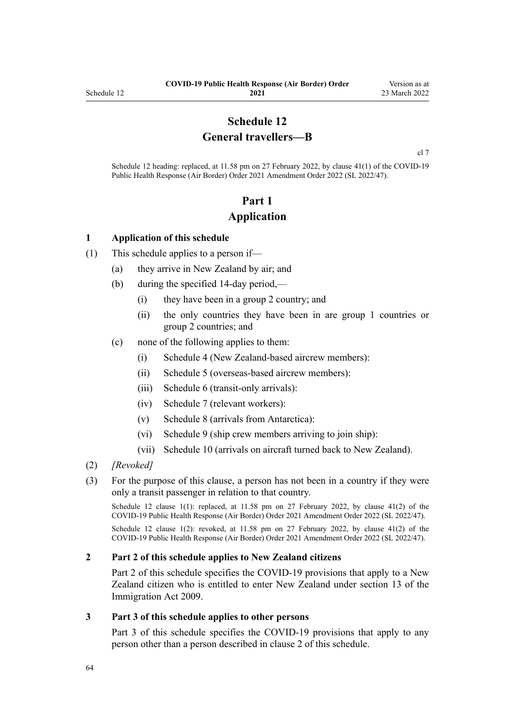## **Schedule 12 General travellers—B**

[cl 7](#page-9-0)

Schedule 12 heading: replaced, at 11.58 pm on 27 February 2022, by [clause 41\(1\)](http://legislation.govt.nz/pdflink.aspx?id=LMS650896) of the COVID-19 Public Health Response (Air Border) Order 2021 Amendment Order 2022 (SL 2022/47).

# **Part 1 Application**

#### **1 Application of this schedule**

- (1) This schedule applies to a person if—
	- (a) they arrive in New Zealand by air; and
	- (b) during the specified 14-day period,—
		- (i) they have been in a group 2 country; and
		- (ii) the only countries they have been in are group 1 countries or group 2 countries; and
	- (c) none of the following applies to them:
		- (i) [Schedule 4](#page-38-0) (New Zealand-based aircrew members):
		- (ii) [Schedule 5](#page-40-0) (overseas-based aircrew members):
		- (iii) [Schedule 6](#page-44-0) (transit-only arrivals):
		- (iv) [Schedule 7](#page-46-0) (relevant workers):
		- (v) [Schedule 8](#page-53-0) (arrivals from Antarctica):
		- (vi) [Schedule 9](#page-55-0) (ship crew members arriving to join ship):
		- (vii) [Schedule 10](#page-57-0) (arrivals on aircraft turned back to New Zealand).
- (2) *[Revoked]*
- (3) For the purpose of this clause, a person has not been in a country if they were only a transit passenger in relation to that country.

Schedule 12 clause 1(1): replaced, at 11.58 pm on 27 February 2022, by [clause 41\(2\)](http://legislation.govt.nz/pdflink.aspx?id=LMS650896) of the COVID-19 Public Health Response (Air Border) Order 2021 Amendment Order 2022 (SL 2022/47).

Schedule 12 clause 1(2): revoked, at 11.58 pm on 27 February 2022, by [clause 41\(2\)](http://legislation.govt.nz/pdflink.aspx?id=LMS650896) of the COVID-19 Public Health Response (Air Border) Order 2021 Amendment Order 2022 (SL 2022/47).

#### **2 Part 2 of this schedule applies to New Zealand citizens**

[Part 2](#page-64-0) of this schedule specifies the COVID-19 provisions that apply to a New Zealand citizen who is entitled to enter New Zealand under [section 13](http://legislation.govt.nz/pdflink.aspx?id=DLM1440595) of the Immigration Act 2009.

#### **3 Part 3 of this schedule applies to other persons**

[Part 3](#page-65-0) of this schedule specifies the COVID-19 provisions that apply to any person other than a person described in clause 2 of this schedule.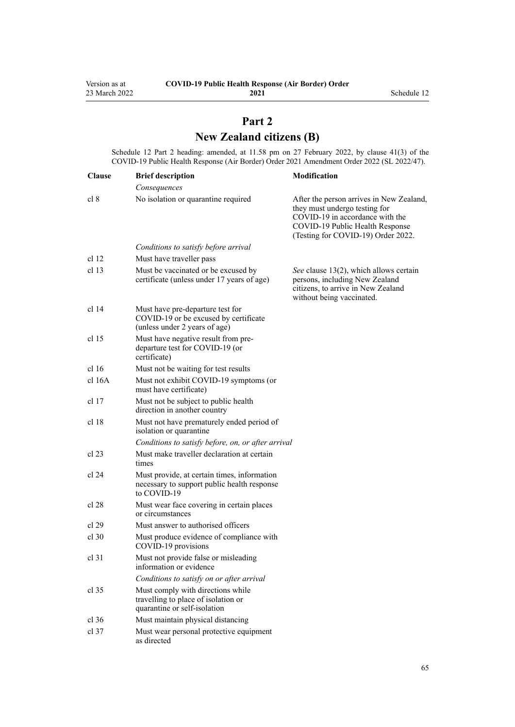# **Part 2 New Zealand citizens (B)**

<span id="page-64-0"></span>Schedule 12 Part 2 heading: amended, at 11.58 pm on 27 February 2022, by [clause 41\(3\)](http://legislation.govt.nz/pdflink.aspx?id=LMS650896) of the COVID-19 Public Health Response (Air Border) Order 2021 Amendment Order 2022 (SL 2022/47).

| <b>Clause</b>    | <b>Brief description</b>                                                                                   | Modification                                                                                                                                                                          |
|------------------|------------------------------------------------------------------------------------------------------------|---------------------------------------------------------------------------------------------------------------------------------------------------------------------------------------|
|                  | Consequences                                                                                               |                                                                                                                                                                                       |
| cl 8             | No isolation or quarantine required                                                                        | After the person arrives in New Zealand,<br>they must undergo testing for<br>COVID-19 in accordance with the<br>COVID-19 Public Health Response<br>(Testing for COVID-19) Order 2022. |
|                  | Conditions to satisfy before arrival                                                                       |                                                                                                                                                                                       |
| cl <sub>12</sub> | Must have traveller pass                                                                                   |                                                                                                                                                                                       |
| cl <sub>13</sub> | Must be vaccinated or be excused by<br>certificate (unless under 17 years of age)                          | See clause 13(2), which allows certain<br>persons, including New Zealand<br>citizens, to arrive in New Zealand<br>without being vaccinated.                                           |
| cl 14            | Must have pre-departure test for<br>COVID-19 or be excused by certificate<br>(unless under 2 years of age) |                                                                                                                                                                                       |
| cl <sub>15</sub> | Must have negative result from pre-<br>departure test for COVID-19 (or<br>certificate)                     |                                                                                                                                                                                       |
| cl 16            | Must not be waiting for test results                                                                       |                                                                                                                                                                                       |
| cl 16A           | Must not exhibit COVID-19 symptoms (or<br>must have certificate)                                           |                                                                                                                                                                                       |
| cl <sub>17</sub> | Must not be subject to public health<br>direction in another country                                       |                                                                                                                                                                                       |
| cl <sub>18</sub> | Must not have prematurely ended period of<br>isolation or quarantine                                       |                                                                                                                                                                                       |
|                  | Conditions to satisfy before, on, or after arrival                                                         |                                                                                                                                                                                       |
| cl 23            | Must make traveller declaration at certain<br>times                                                        |                                                                                                                                                                                       |
| cl 24            | Must provide, at certain times, information<br>necessary to support public health response<br>to COVID-19  |                                                                                                                                                                                       |
| cl 28            | Must wear face covering in certain places<br>or circumstances                                              |                                                                                                                                                                                       |
| cl 29            | Must answer to authorised officers                                                                         |                                                                                                                                                                                       |
| $cl$ 30          | Must produce evidence of compliance with<br>COVID-19 provisions                                            |                                                                                                                                                                                       |
| $cl$ 31          | Must not provide false or misleading<br>information or evidence                                            |                                                                                                                                                                                       |
|                  | Conditions to satisfy on or after arrival                                                                  |                                                                                                                                                                                       |
| $cl$ 35          | Must comply with directions while<br>travelling to place of isolation or<br>quarantine or self-isolation   |                                                                                                                                                                                       |
| $cl$ 36          | Must maintain physical distancing                                                                          |                                                                                                                                                                                       |
| $cl$ 37          | Must wear personal protective equipment<br>as directed                                                     |                                                                                                                                                                                       |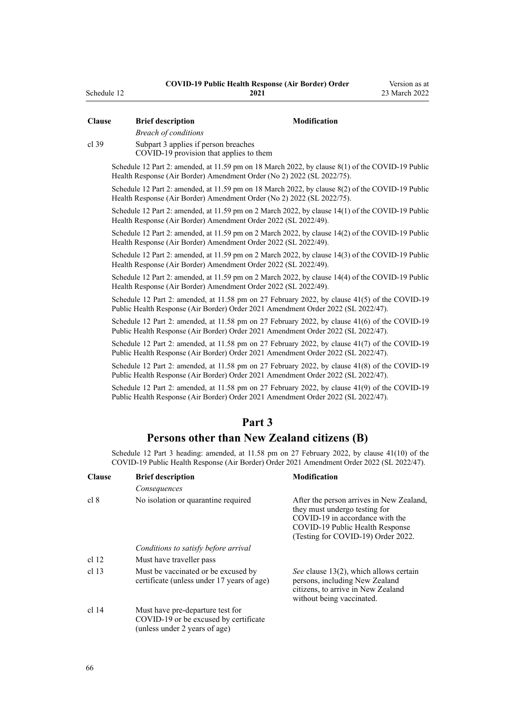| <b>Clause</b>                                                                              | <b>Brief description</b>                                                                                                                                                           | Modification                                                                                                                                                                          |  |  |
|--------------------------------------------------------------------------------------------|------------------------------------------------------------------------------------------------------------------------------------------------------------------------------------|---------------------------------------------------------------------------------------------------------------------------------------------------------------------------------------|--|--|
| $cl$ 39                                                                                    | <b>Breach of conditions</b><br>Subpart 3 applies if person breaches                                                                                                                |                                                                                                                                                                                       |  |  |
|                                                                                            | COVID-19 provision that applies to them                                                                                                                                            |                                                                                                                                                                                       |  |  |
|                                                                                            | Schedule 12 Part 2: amended, at 11.59 pm on 18 March 2022, by clause 8(1) of the COVID-19 Public<br>Health Response (Air Border) Amendment Order (No 2) 2022 (SL 2022/75).         |                                                                                                                                                                                       |  |  |
|                                                                                            | Schedule 12 Part 2: amended, at 11.59 pm on 18 March 2022, by clause 8(2) of the COVID-19 Public<br>Health Response (Air Border) Amendment Order (No 2) 2022 (SL 2022/75).         |                                                                                                                                                                                       |  |  |
|                                                                                            | Schedule 12 Part 2: amended, at 11.59 pm on 2 March 2022, by clause 14(1) of the COVID-19 Public<br>Health Response (Air Border) Amendment Order 2022 (SL 2022/49).                |                                                                                                                                                                                       |  |  |
|                                                                                            | Schedule 12 Part 2: amended, at 11.59 pm on 2 March 2022, by clause 14(2) of the COVID-19 Public<br>Health Response (Air Border) Amendment Order 2022 (SL 2022/49).                |                                                                                                                                                                                       |  |  |
|                                                                                            | Schedule 12 Part 2: amended, at 11.59 pm on 2 March 2022, by clause 14(3) of the COVID-19 Public<br>Health Response (Air Border) Amendment Order 2022 (SL 2022/49).                |                                                                                                                                                                                       |  |  |
|                                                                                            | Schedule 12 Part 2: amended, at 11.59 pm on 2 March 2022, by clause 14(4) of the COVID-19 Public<br>Health Response (Air Border) Amendment Order 2022 (SL 2022/49).                |                                                                                                                                                                                       |  |  |
|                                                                                            | Schedule 12 Part 2: amended, at 11.58 pm on 27 February 2022, by clause 41(5) of the COVID-19<br>Public Health Response (Air Border) Order 2021 Amendment Order 2022 (SL 2022/47). |                                                                                                                                                                                       |  |  |
|                                                                                            | Schedule 12 Part 2: amended, at 11.58 pm on 27 February 2022, by clause 41(6) of the COVID-19<br>Public Health Response (Air Border) Order 2021 Amendment Order 2022 (SL 2022/47). |                                                                                                                                                                                       |  |  |
|                                                                                            | Schedule 12 Part 2: amended, at 11.58 pm on 27 February 2022, by clause 41(7) of the COVID-19<br>Public Health Response (Air Border) Order 2021 Amendment Order 2022 (SL 2022/47). |                                                                                                                                                                                       |  |  |
|                                                                                            | Schedule 12 Part 2: amended, at 11.58 pm on 27 February 2022, by clause 41(8) of the COVID-19<br>Public Health Response (Air Border) Order 2021 Amendment Order 2022 (SL 2022/47). |                                                                                                                                                                                       |  |  |
|                                                                                            | Schedule 12 Part 2: amended, at 11.58 pm on 27 February 2022, by clause 41(9) of the COVID-19<br>Public Health Response (Air Border) Order 2021 Amendment Order 2022 (SL 2022/47). |                                                                                                                                                                                       |  |  |
|                                                                                            | Part 3                                                                                                                                                                             |                                                                                                                                                                                       |  |  |
|                                                                                            | Persons other than New Zealand citizens (B)                                                                                                                                        |                                                                                                                                                                                       |  |  |
|                                                                                            | Schedule 12 Part 3 heading: amended, at 11.58 pm on 27 February 2022, by clause 41(10) of the                                                                                      |                                                                                                                                                                                       |  |  |
| COVID-19 Public Health Response (Air Border) Order 2021 Amendment Order 2022 (SL 2022/47). |                                                                                                                                                                                    |                                                                                                                                                                                       |  |  |
| <b>Clause</b>                                                                              | <b>Brief description</b>                                                                                                                                                           | Modification                                                                                                                                                                          |  |  |
|                                                                                            | Consequences                                                                                                                                                                       |                                                                                                                                                                                       |  |  |
| cl 8                                                                                       | No isolation or quarantine required                                                                                                                                                | After the person arrives in New Zealand,<br>they must undergo testing for<br>COVID-19 in accordance with the<br>COVID-19 Public Health Response<br>(Testing for COVID-19) Order 2022. |  |  |
|                                                                                            | Conditions to satisfy before arrival                                                                                                                                               |                                                                                                                                                                                       |  |  |
| cl <sub>12</sub>                                                                           | Must have traveller pass                                                                                                                                                           |                                                                                                                                                                                       |  |  |
| cl <sub>13</sub>                                                                           | Must be vaccinated or be excused by<br>certificate (unless under 17 years of age)                                                                                                  | See clause 13(2), which allows certain<br>persons, including New Zealand<br>citizens, to arrive in New Zealand<br>without being vaccinated.                                           |  |  |
| cl 14                                                                                      | Must have pre-departure test for<br>COVID-19 or be excused by certificate<br>(unless under 2 years of age)                                                                         |                                                                                                                                                                                       |  |  |

<span id="page-65-0"></span>Schedule 12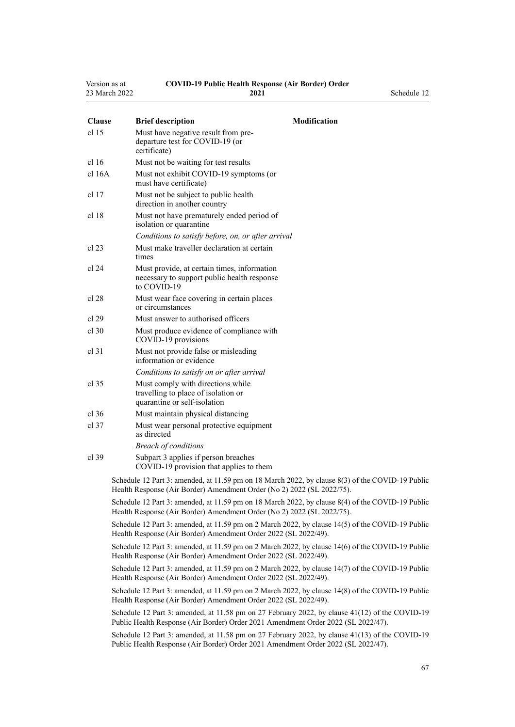| Version as at | <b>COVID-19 Public Health Response (Air Border) Order</b> |             |
|---------------|-----------------------------------------------------------|-------------|
| 23 March 2022 | 2021                                                      | Schedule 12 |

| <b>Clause</b> | <b>Brief description</b>                                                               | <b>Modification</b> |
|---------------|----------------------------------------------------------------------------------------|---------------------|
| cl 15         | Must have negative result from pre-<br>departure test for COVID-19 (or<br>certificate) |                     |
| cl 16         | Must not be waiting for test results                                                   |                     |
| cl 16A        | Must not exhibit COVID-19 symptoms (or<br>must have certificate)                       |                     |
| cl 17         | Must not be subject to public health<br>direction in another country                   |                     |
| cl 18         | Must not have prematurely ended period of<br>isolation or quarantine                   |                     |
|               | Conditions to satisfy before, on, or after arrival                                     |                     |
| cl 23         | Must make traveller declaration at certain<br>times                                    |                     |

- [cl 24](#page-17-0) Must provide, at certain times, information necessary to support public health response to COVID-19
- [cl 28](#page-18-0) Must wear face covering in certain places or circumstances
- [cl 29](#page-19-0) Must answer to authorised officers
- [cl 30](#page-19-0) Must produce evidence of compliance with COVID-19 provisions
- [cl 31](#page-20-0) Must not provide false or misleading information or evidence

*Conditions to satisfy on or after arrival*

- [cl 35](#page-21-0) Must comply with directions while travelling to place of isolation or quarantine or self-isolation
- [cl 36](#page-21-0) Must maintain physical distancing
- [cl 37](#page-22-0) Must wear personal protective equipment as directed *Breach of conditions*
- [cl 39](#page-22-0) [Subpart 3](#page-22-0) applies if person breaches COVID-19 provision that applies to them

Schedule 12 Part 3: amended, at 11.59 pm on 18 March 2022, by [clause 8\(3\)](http://legislation.govt.nz/pdflink.aspx?id=LMS664436) of the COVID-19 Public Health Response (Air Border) Amendment Order (No 2) 2022 (SL 2022/75).

Schedule 12 Part 3: amended, at 11.59 pm on 18 March 2022, by [clause 8\(4\)](http://legislation.govt.nz/pdflink.aspx?id=LMS664436) of the COVID-19 Public Health Response (Air Border) Amendment Order (No 2) 2022 (SL 2022/75).

Schedule 12 Part 3: amended, at 11.59 pm on 2 March 2022, by [clause 14\(5\)](http://legislation.govt.nz/pdflink.aspx?id=LMS653803) of the COVID-19 Public Health Response (Air Border) Amendment Order 2022 (SL 2022/49).

Schedule 12 Part 3: amended, at 11.59 pm on 2 March 2022, by [clause 14\(6\)](http://legislation.govt.nz/pdflink.aspx?id=LMS653803) of the COVID-19 Public Health Response (Air Border) Amendment Order 2022 (SL 2022/49).

Schedule 12 Part 3: amended, at 11.59 pm on 2 March 2022, by [clause 14\(7\)](http://legislation.govt.nz/pdflink.aspx?id=LMS653803) of the COVID-19 Public Health Response (Air Border) Amendment Order 2022 (SL 2022/49).

Schedule 12 Part 3: amended, at 11.59 pm on 2 March 2022, by [clause 14\(8\)](http://legislation.govt.nz/pdflink.aspx?id=LMS653803) of the COVID-19 Public Health Response (Air Border) Amendment Order 2022 (SL 2022/49).

Schedule 12 Part 3: amended, at 11.58 pm on 27 February 2022, by [clause 41\(12\)](http://legislation.govt.nz/pdflink.aspx?id=LMS650896) of the COVID-19 Public Health Response (Air Border) Order 2021 Amendment Order 2022 (SL 2022/47).

Schedule 12 Part 3: amended, at 11.58 pm on 27 February 2022, by [clause 41\(13\)](http://legislation.govt.nz/pdflink.aspx?id=LMS650896) of the COVID-19 Public Health Response (Air Border) Order 2021 Amendment Order 2022 (SL 2022/47).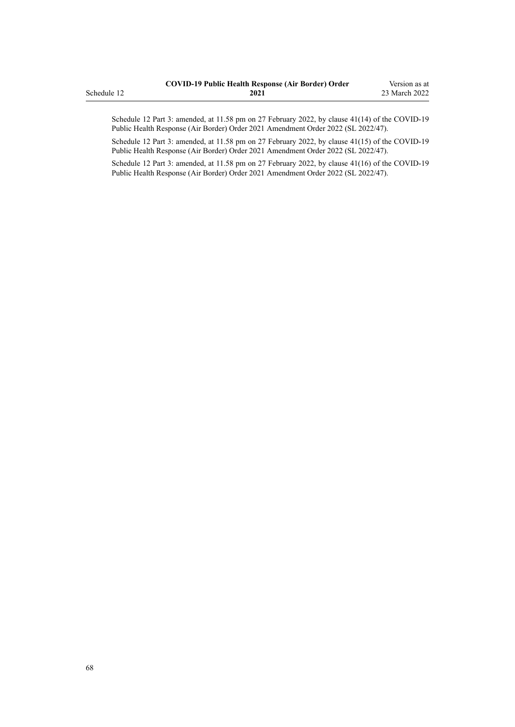|             | <b>COVID-19 Public Health Response (Air Border) Order</b> | Version as at |
|-------------|-----------------------------------------------------------|---------------|
| Schedule 12 | 2021                                                      | 23 March 2022 |

Schedule 12 Part 3: amended, at 11.58 pm on 27 February 2022, by [clause 41\(14\)](http://legislation.govt.nz/pdflink.aspx?id=LMS650896) of the COVID-19 Public Health Response (Air Border) Order 2021 Amendment Order 2022 (SL 2022/47).

Schedule 12 Part 3: amended, at 11.58 pm on 27 February 2022, by [clause 41\(15\)](http://legislation.govt.nz/pdflink.aspx?id=LMS650896) of the COVID-19 Public Health Response (Air Border) Order 2021 Amendment Order 2022 (SL 2022/47).

Schedule 12 Part 3: amended, at 11.58 pm on 27 February 2022, by [clause 41\(16\)](http://legislation.govt.nz/pdflink.aspx?id=LMS650896) of the COVID-19 Public Health Response (Air Border) Order 2021 Amendment Order 2022 (SL 2022/47).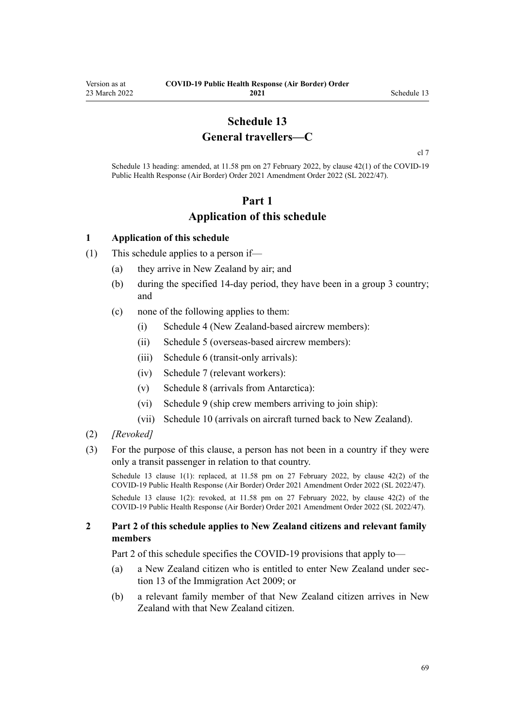## **Schedule 13 General travellers—C**

[cl 7](#page-9-0)

<span id="page-68-0"></span>Schedule 13 heading: amended, at 11.58 pm on 27 February 2022, by [clause 42\(1\)](http://legislation.govt.nz/pdflink.aspx?id=LMS650901) of the COVID-19 Public Health Response (Air Border) Order 2021 Amendment Order 2022 (SL 2022/47).

## **Part 1 Application of this schedule**

#### **1 Application of this schedule**

- (1) This schedule applies to a person if—
	- (a) they arrive in New Zealand by air; and
	- (b) during the specified 14-day period, they have been in a group 3 country; and
	- (c) none of the following applies to them:
		- (i) [Schedule 4](#page-38-0) (New Zealand-based aircrew members):
		- (ii) [Schedule 5](#page-40-0) (overseas-based aircrew members):
		- (iii) [Schedule 6](#page-44-0) (transit-only arrivals):
		- (iv) [Schedule 7](#page-46-0) (relevant workers):
		- (v) [Schedule 8](#page-53-0) (arrivals from Antarctica):
		- (vi) [Schedule 9](#page-55-0) (ship crew members arriving to join ship):
		- (vii) [Schedule 10](#page-57-0) (arrivals on aircraft turned back to New Zealand).
- (2) *[Revoked]*
- (3) For the purpose of this clause, a person has not been in a country if they were only a transit passenger in relation to that country.

Schedule 13 clause 1(1): replaced, at 11.58 pm on 27 February 2022, by [clause 42\(2\)](http://legislation.govt.nz/pdflink.aspx?id=LMS650901) of the COVID-19 Public Health Response (Air Border) Order 2021 Amendment Order 2022 (SL 2022/47).

Schedule 13 clause 1(2): revoked, at 11.58 pm on 27 February 2022, by [clause 42\(2\)](http://legislation.govt.nz/pdflink.aspx?id=LMS650901) of the COVID-19 Public Health Response (Air Border) Order 2021 Amendment Order 2022 (SL 2022/47).

#### **2 Part 2 of this schedule applies to New Zealand citizens and relevant family members**

[Part 2](#page-69-0) of this schedule specifies the COVID-19 provisions that apply to—

- (a) a New Zealand citizen who is entitled to enter New Zealand under [sec‐](http://legislation.govt.nz/pdflink.aspx?id=DLM1440595) [tion 13](http://legislation.govt.nz/pdflink.aspx?id=DLM1440595) of the Immigration Act 2009; or
- (b) a relevant family member of that New Zealand citizen arrives in New Zealand with that New Zealand citizen.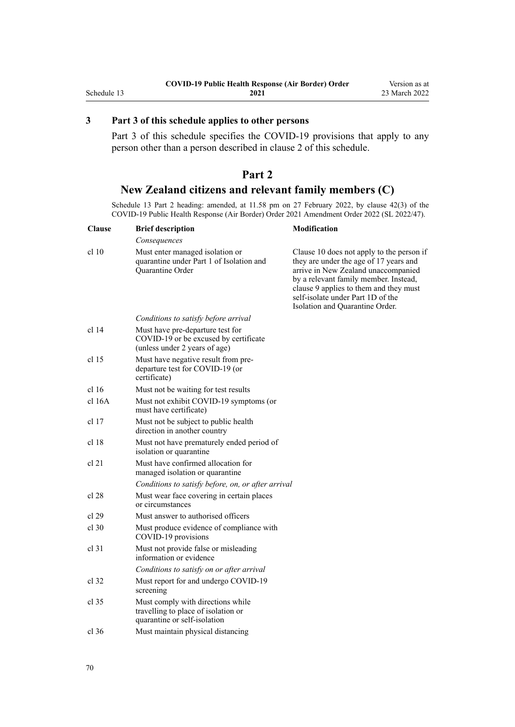## <span id="page-69-0"></span>**3 Part 3 of this schedule applies to other persons**

[Part 3](#page-70-0) of this schedule specifies the COVID-19 provisions that apply to any person other than a person described in [clause 2](#page-68-0) of this schedule.

## **Part 2 New Zealand citizens and relevant family members (C)**

Schedule 13 Part 2 heading: amended, at 11.58 pm on 27 February 2022, by [clause 42\(3\)](http://legislation.govt.nz/pdflink.aspx?id=LMS650901) of the COVID-19 Public Health Response (Air Border) Order 2021 Amendment Order 2022 (SL 2022/47).

| <b>Clause</b>    | <b>Brief description</b>                                                                                   | Modification                                                                                                                                                                                                                                                                          |
|------------------|------------------------------------------------------------------------------------------------------------|---------------------------------------------------------------------------------------------------------------------------------------------------------------------------------------------------------------------------------------------------------------------------------------|
|                  | Consequences                                                                                               |                                                                                                                                                                                                                                                                                       |
| cl 10            | Must enter managed isolation or<br>quarantine under Part 1 of Isolation and<br>Quarantine Order            | Clause 10 does not apply to the person if<br>they are under the age of 17 years and<br>arrive in New Zealand unaccompanied<br>by a relevant family member. Instead,<br>clause 9 applies to them and they must<br>self-isolate under Part 1D of the<br>Isolation and Quarantine Order. |
|                  | Conditions to satisfy before arrival                                                                       |                                                                                                                                                                                                                                                                                       |
| cl 14            | Must have pre-departure test for<br>COVID-19 or be excused by certificate<br>(unless under 2 years of age) |                                                                                                                                                                                                                                                                                       |
| cl <sub>15</sub> | Must have negative result from pre-<br>departure test for COVID-19 (or<br>certificate)                     |                                                                                                                                                                                                                                                                                       |
| cl 16            | Must not be waiting for test results                                                                       |                                                                                                                                                                                                                                                                                       |
| cl 16A           | Must not exhibit COVID-19 symptoms (or<br>must have certificate)                                           |                                                                                                                                                                                                                                                                                       |
| cl 17            | Must not be subject to public health<br>direction in another country                                       |                                                                                                                                                                                                                                                                                       |
| cl 18            | Must not have prematurely ended period of<br>isolation or quarantine                                       |                                                                                                                                                                                                                                                                                       |
| cl 21            | Must have confirmed allocation for<br>managed isolation or quarantine                                      |                                                                                                                                                                                                                                                                                       |
|                  | Conditions to satisfy before, on, or after arrival                                                         |                                                                                                                                                                                                                                                                                       |
| cl 28            | Must wear face covering in certain places<br>or circumstances                                              |                                                                                                                                                                                                                                                                                       |
| cl 29            | Must answer to authorised officers                                                                         |                                                                                                                                                                                                                                                                                       |
| $cl$ 30          | Must produce evidence of compliance with<br>COVID-19 provisions                                            |                                                                                                                                                                                                                                                                                       |
| $cl$ 31          | Must not provide false or misleading<br>information or evidence                                            |                                                                                                                                                                                                                                                                                       |
|                  | Conditions to satisfy on or after arrival                                                                  |                                                                                                                                                                                                                                                                                       |
| cl 32            | Must report for and undergo COVID-19<br>screening                                                          |                                                                                                                                                                                                                                                                                       |
| $cl$ 35          | Must comply with directions while<br>travelling to place of isolation or<br>quarantine or self-isolation   |                                                                                                                                                                                                                                                                                       |
| $cl$ 36          | Must maintain physical distancing                                                                          |                                                                                                                                                                                                                                                                                       |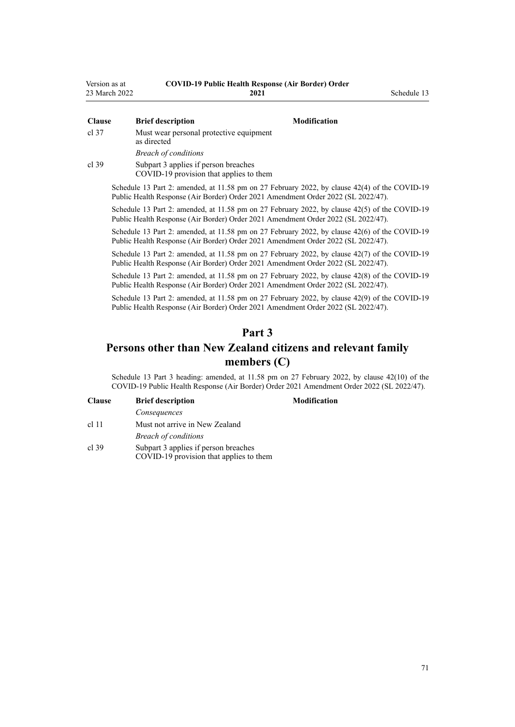<span id="page-70-0"></span>

| Version as at | <b>COVID-19 Public Health Response (Air Border) Order</b> |             |
|---------------|-----------------------------------------------------------|-------------|
| 23 March 2022 | 2021                                                      | Schedule 13 |

| <b>Clause</b> | <b>Brief description</b><br><b>Modification</b>                                                                                                                                    |
|---------------|------------------------------------------------------------------------------------------------------------------------------------------------------------------------------------|
| cl 37         | Must wear personal protective equipment<br>as directed                                                                                                                             |
|               | <b>Breach of conditions</b>                                                                                                                                                        |
| cl 39         | Subpart 3 applies if person breaches<br>COVID-19 provision that applies to them                                                                                                    |
|               | Schedule 13 Part 2: amended, at 11.58 pm on 27 February 2022, by clause 42(4) of the COVID-19<br>Public Health Response (Air Border) Order 2021 Amendment Order 2022 (SL 2022/47). |
|               | Schedule 13 Part 2: amended, at 11.58 pm on 27 February 2022, by clause 42(5) of the COVID-19<br>Public Health Response (Air Border) Order 2021 Amendment Order 2022 (SL 2022/47). |
|               | Schedule 13 Part 2: amended, at 11.58 pm on 27 February 2022, by clause 42(6) of the COVID-19<br>Public Health Response (Air Border) Order 2021 Amendment Order 2022 (SL 2022/47). |
|               | Schedule 13 Part 2: amended, at 11.58 pm on 27 February 2022, by clause 42(7) of the COVID-19<br>Public Health Response (Air Border) Order 2021 Amendment Order 2022 (SL 2022/47). |
|               | Schedule 13 Part 2: amended, at 11.58 pm on 27 February 2022, by clause 42(8) of the COVID-19                                                                                      |

Public Health Response (Air Border) Order 2021 Amendment Order 2022 (SL 2022/47). Schedule 13 Part 2: amended, at 11.58 pm on 27 February 2022, by [clause 42\(9\)](http://legislation.govt.nz/pdflink.aspx?id=LMS650901) of the COVID-19 Public Health Response (Air Border) Order 2021 Amendment Order 2022 (SL 2022/47).

## **Part 3**

## **Persons other than New Zealand citizens and relevant family members (C)**

Schedule 13 Part 3 heading: amended, at 11.58 pm on 27 February 2022, by [clause 42\(10\)](http://legislation.govt.nz/pdflink.aspx?id=LMS650901) of the COVID-19 Public Health Response (Air Border) Order 2021 Amendment Order 2022 (SL 2022/47).

| <b>Clause</b> | <b>Brief description</b>       |  |
|---------------|--------------------------------|--|
|               | Consequences                   |  |
| $cl$ 11       | Must not arrive in New Zealand |  |
|               | <b>Breach of conditions</b>    |  |

[cl 39](#page-22-0) [Subpart 3](#page-22-0) applies if person breaches COVID-19 provision that applies to them

#### **Clause Brief description Modification**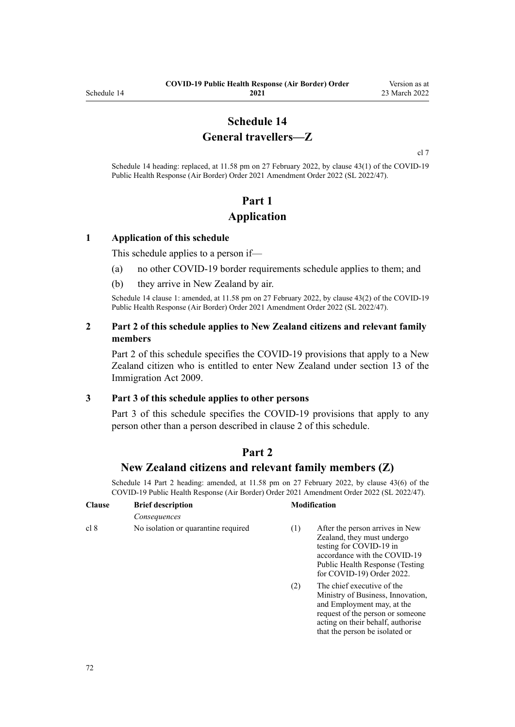## **Schedule 14 General travellers—Z**

[cl 7](#page-9-0)

Schedule 14 heading: replaced, at 11.58 pm on 27 February 2022, by [clause 43\(1\)](http://legislation.govt.nz/pdflink.aspx?id=LMS650909) of the COVID-19 Public Health Response (Air Border) Order 2021 Amendment Order 2022 (SL 2022/47).

# **Part 1 Application**

#### **1 Application of this schedule**

This schedule applies to a person if—

- (a) no other COVID-19 border requirements schedule applies to them; and
- (b) they arrive in New Zealand by air.

Schedule 14 clause 1: amended, at 11.58 pm on 27 February 2022, by [clause 43\(2\)](http://legislation.govt.nz/pdflink.aspx?id=LMS650909) of the COVID-19 Public Health Response (Air Border) Order 2021 Amendment Order 2022 (SL 2022/47).

#### **2 Part 2 of this schedule applies to New Zealand citizens and relevant family members**

Part 2 of this schedule specifies the COVID-19 provisions that apply to a New Zealand citizen who is entitled to enter New Zealand under [section 13](http://legislation.govt.nz/pdflink.aspx?id=DLM1440595) of the Immigration Act 2009.

#### **3 Part 3 of this schedule applies to other persons**

[Part 3](#page-73-0) of this schedule specifies the COVID-19 provisions that apply to any person other than a person described in clause 2 of this schedule.

## **Part 2**

### **New Zealand citizens and relevant family members (Z)**

Schedule 14 Part 2 heading: amended, at 11.58 pm on 27 February 2022, by [clause 43\(6\)](http://legislation.govt.nz/pdflink.aspx?id=LMS650909) of the COVID-19 Public Health Response (Air Border) Order 2021 Amendment Order 2022 (SL 2022/47).

| <b>Clause</b> | <b>Brief description</b>            |     | <b>Modification</b>                                                                                                                                                                       |  |
|---------------|-------------------------------------|-----|-------------------------------------------------------------------------------------------------------------------------------------------------------------------------------------------|--|
|               | Consequences                        |     |                                                                                                                                                                                           |  |
| cl 8          | No isolation or quarantine required | (1) | After the person arrives in New<br>Zealand, they must undergo<br>testing for COVID-19 in<br>accordance with the COVID-19<br>Public Health Response (Testing)<br>for COVID-19) Order 2022. |  |
|               |                                     | (2) | The chief executive of the                                                                                                                                                                |  |

(2) The chief executive of the Ministry of Business, Innovation, and Employment may, at the request of the person or someone acting on their behalf, authorise that the person be isolated or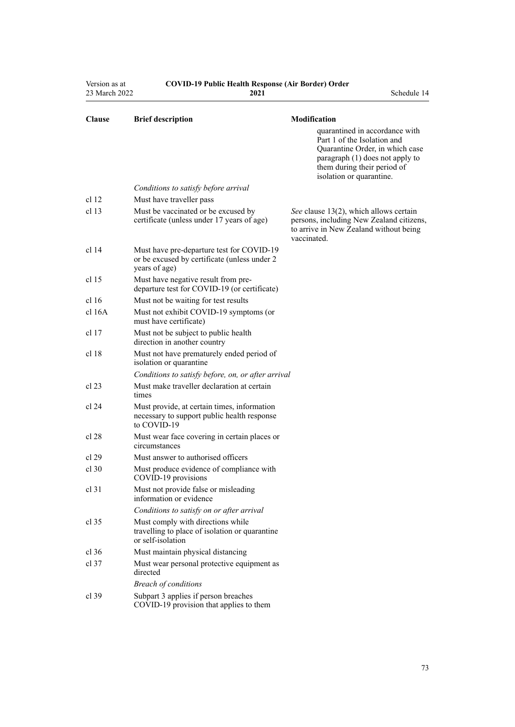| Version as at<br>23 March 2022 | <b>COVID-19 Public Health Response (Air Border) Order</b><br>2021                                          | Schedule 14                                                                                                                                                                                                    |
|--------------------------------|------------------------------------------------------------------------------------------------------------|----------------------------------------------------------------------------------------------------------------------------------------------------------------------------------------------------------------|
| <b>Clause</b>                  | <b>Brief description</b>                                                                                   | Modification<br>quarantined in accordance with<br>Part 1 of the Isolation and<br>Quarantine Order, in which case<br>paragraph (1) does not apply to<br>them during their period of<br>isolation or quarantine. |
|                                | Conditions to satisfy before arrival                                                                       |                                                                                                                                                                                                                |
| cl <sub>12</sub>               | Must have traveller pass                                                                                   |                                                                                                                                                                                                                |
| cl <sub>13</sub>               | Must be vaccinated or be excused by<br>certificate (unless under 17 years of age)                          | See clause 13(2), which allows certain<br>persons, including New Zealand citizens,<br>to arrive in New Zealand without being<br>vaccinated.                                                                    |
| cl <sub>14</sub>               | Must have pre-departure test for COVID-19<br>or be excused by certificate (unless under 2<br>years of age) |                                                                                                                                                                                                                |
| cl <sub>15</sub>               | Must have negative result from pre-<br>departure test for COVID-19 (or certificate)                        |                                                                                                                                                                                                                |
| cl <sub>16</sub>               | Must not be waiting for test results                                                                       |                                                                                                                                                                                                                |
| $cl$ 16A                       | Must not exhibit COVID-19 symptoms (or<br>must have certificate)                                           |                                                                                                                                                                                                                |
| cl <sub>17</sub>               | Must not be subject to public health<br>direction in another country                                       |                                                                                                                                                                                                                |
| cl 18                          | Must not have prematurely ended period of<br>isolation or quarantine                                       |                                                                                                                                                                                                                |
|                                | Conditions to satisfy before, on, or after arrival                                                         |                                                                                                                                                                                                                |
| cl 23                          | Must make traveller declaration at certain<br>times                                                        |                                                                                                                                                                                                                |
| cl 24                          | Must provide, at certain times, information<br>necessary to support public health response<br>to COVID-19  |                                                                                                                                                                                                                |
| cl 28                          | Must wear face covering in certain places or<br>circumstances                                              |                                                                                                                                                                                                                |
| cl 29                          | Must answer to authorised officers                                                                         |                                                                                                                                                                                                                |
| cl 30                          | Must produce evidence of compliance with<br>COVID-19 provisions                                            |                                                                                                                                                                                                                |
| $cl$ 31                        | Must not provide false or misleading<br>information or evidence                                            |                                                                                                                                                                                                                |
|                                | Conditions to satisfy on or after arrival                                                                  |                                                                                                                                                                                                                |
| $cl$ 35                        | Must comply with directions while<br>travelling to place of isolation or quarantine<br>or self-isolation   |                                                                                                                                                                                                                |
| $cl$ 36                        | Must maintain physical distancing                                                                          |                                                                                                                                                                                                                |
| $cl$ 37                        | Must wear personal protective equipment as<br>directed                                                     |                                                                                                                                                                                                                |
|                                | <b>Breach of conditions</b>                                                                                |                                                                                                                                                                                                                |
| $cl$ 39                        | Subpart 3 applies if person breaches<br>COVID-19 provision that applies to them                            |                                                                                                                                                                                                                |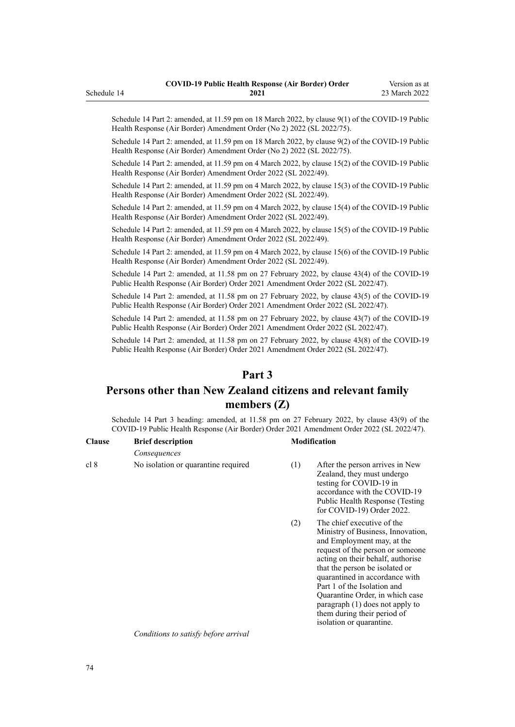Schedule 14 Part 2: amended, at 11.59 pm on 18 March 2022, by [clause 9\(1\)](http://legislation.govt.nz/pdflink.aspx?id=LMS664439) of the COVID-19 Public Health Response (Air Border) Amendment Order (No 2) 2022 (SL 2022/75).

Schedule 14 Part 2: amended, at 11.59 pm on 18 March 2022, by [clause 9\(2\)](http://legislation.govt.nz/pdflink.aspx?id=LMS664439) of the COVID-19 Public Health Response (Air Border) Amendment Order (No 2) 2022 (SL 2022/75).

Schedule 14 Part 2: amended, at 11.59 pm on 4 March 2022, by [clause 15\(2\)](http://legislation.govt.nz/pdflink.aspx?id=LMS653815) of the COVID-19 Public Health Response (Air Border) Amendment Order 2022 (SL 2022/49).

Schedule 14 Part 2: amended, at 11.59 pm on 4 March 2022, by [clause 15\(3\)](http://legislation.govt.nz/pdflink.aspx?id=LMS653815) of the COVID-19 Public Health Response (Air Border) Amendment Order 2022 (SL 2022/49).

Schedule 14 Part 2: amended, at 11.59 pm on 4 March 2022, by [clause 15\(4\)](http://legislation.govt.nz/pdflink.aspx?id=LMS653815) of the COVID-19 Public Health Response (Air Border) Amendment Order 2022 (SL 2022/49).

Schedule 14 Part 2: amended, at 11.59 pm on 4 March 2022, by [clause 15\(5\)](http://legislation.govt.nz/pdflink.aspx?id=LMS653815) of the COVID-19 Public Health Response (Air Border) Amendment Order 2022 (SL 2022/49).

Schedule 14 Part 2: amended, at 11.59 pm on 4 March 2022, by [clause 15\(6\)](http://legislation.govt.nz/pdflink.aspx?id=LMS653815) of the COVID-19 Public Health Response (Air Border) Amendment Order 2022 (SL 2022/49).

Schedule 14 Part 2: amended, at 11.58 pm on 27 February 2022, by [clause 43\(4\)](http://legislation.govt.nz/pdflink.aspx?id=LMS650909) of the COVID-19 Public Health Response (Air Border) Order 2021 Amendment Order 2022 (SL 2022/47).

Schedule 14 Part 2: amended, at 11.58 pm on 27 February 2022, by [clause 43\(5\)](http://legislation.govt.nz/pdflink.aspx?id=LMS650909) of the COVID-19 Public Health Response (Air Border) Order 2021 Amendment Order 2022 (SL 2022/47).

Schedule 14 Part 2: amended, at 11.58 pm on 27 February 2022, by [clause 43\(7\)](http://legislation.govt.nz/pdflink.aspx?id=LMS650909) of the COVID-19 Public Health Response (Air Border) Order 2021 Amendment Order 2022 (SL 2022/47).

Schedule 14 Part 2: amended, at 11.58 pm on 27 February 2022, by [clause 43\(8\)](http://legislation.govt.nz/pdflink.aspx?id=LMS650909) of the COVID-19 Public Health Response (Air Border) Order 2021 Amendment Order 2022 (SL 2022/47).

# **Part 3**

# **Persons other than New Zealand citizens and relevant family members (Z)**

Schedule 14 Part 3 heading: amended, at 11.58 pm on 27 February 2022, by [clause 43\(9\)](http://legislation.govt.nz/pdflink.aspx?id=LMS650909) of the COVID-19 Public Health Response (Air Border) Order 2021 Amendment Order 2022 (SL 2022/47).

| <b>Clause</b> | <b>Brief description</b><br>Consequences | <b>Modification</b> |                                                                                                                                                                                          |
|---------------|------------------------------------------|---------------------|------------------------------------------------------------------------------------------------------------------------------------------------------------------------------------------|
|               |                                          |                     |                                                                                                                                                                                          |
| cl 8          | No isolation or quarantine required      | (1)                 | After the person arrives in New<br>Zealand, they must undergo<br>testing for COVID-19 in<br>accordance with the COVID-19<br>Public Health Response (Testing<br>for COVID-19) Order 2022. |

(2) The chief executive of the Ministry of Business, Innovation, and Employment may, at the request of the person or someone acting on their behalf, authorise that the person be isolated or quarantined in accordance with [Part 1](http://legislation.govt.nz/pdflink.aspx?id=LMS401726) of the Isolation and Quarantine Order, in which case paragraph (1) does not apply to them during their period of isolation or quarantine.

*Conditions to satisfy before arrival*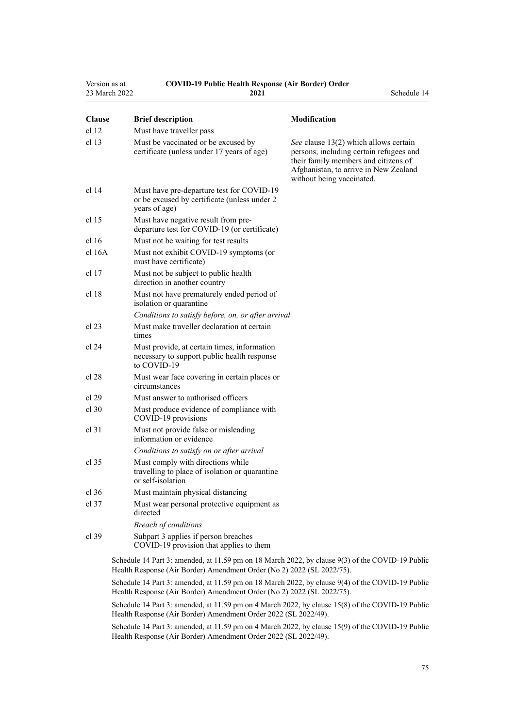| Version as at<br>23 March 2022 | <b>COVID-19 Public Health Response (Air Border) Order</b><br>2021                                          | Schedule 14                                                                                                                                                                                    |
|--------------------------------|------------------------------------------------------------------------------------------------------------|------------------------------------------------------------------------------------------------------------------------------------------------------------------------------------------------|
| <b>Clause</b>                  | <b>Brief description</b>                                                                                   | <b>Modification</b>                                                                                                                                                                            |
| cl 12                          | Must have traveller pass                                                                                   |                                                                                                                                                                                                |
| cl <sub>13</sub>               | Must be vaccinated or be excused by<br>certificate (unless under 17 years of age)                          | See clause 13(2) which allows certain<br>persons, including certain refugees and<br>their family members and citizens of<br>Afghanistan, to arrive in New Zealand<br>without being vaccinated. |
| cl 14                          | Must have pre-departure test for COVID-19<br>or be excused by certificate (unless under 2<br>years of age) |                                                                                                                                                                                                |
| cl 15                          | Must have negative result from pre-<br>departure test for COVID-19 (or certificate)                        |                                                                                                                                                                                                |
| cl 16                          | Must not be waiting for test results                                                                       |                                                                                                                                                                                                |
| $cl$ 16A                       | Must not exhibit COVID-19 symptoms (or<br>must have certificate)                                           |                                                                                                                                                                                                |
| cl 17                          | Must not be subject to public health<br>direction in another country                                       |                                                                                                                                                                                                |
| cl 18                          | Must not have prematurely ended period of<br>isolation or quarantine                                       |                                                                                                                                                                                                |
|                                | Conditions to satisfy before, on, or after arrival                                                         |                                                                                                                                                                                                |
| cl 23                          | Must make traveller declaration at certain<br>times                                                        |                                                                                                                                                                                                |
| cl 24                          | Must provide, at certain times, information<br>necessary to support public health response<br>to COVID-19  |                                                                                                                                                                                                |
| cl 28                          | Must wear face covering in certain places or<br>circumstances                                              |                                                                                                                                                                                                |
| cl 29                          | Must answer to authorised officers                                                                         |                                                                                                                                                                                                |
| $cl$ 30                        | Must produce evidence of compliance with<br>COVID-19 provisions                                            |                                                                                                                                                                                                |
| $cl$ 31                        | Must not provide false or misleading<br>information or evidence                                            |                                                                                                                                                                                                |
|                                | Conditions to satisfy on or after arrival                                                                  |                                                                                                                                                                                                |
| $cl$ 35                        | Must comply with directions while<br>travelling to place of isolation or quarantine<br>or self-isolation   |                                                                                                                                                                                                |
| $cl$ 36                        | Must maintain physical distancing                                                                          |                                                                                                                                                                                                |
| $cl$ 37                        | Must wear personal protective equipment as<br>directed                                                     |                                                                                                                                                                                                |
|                                | <b>Breach of conditions</b>                                                                                |                                                                                                                                                                                                |
| $cl$ 39                        | Subpart 3 applies if person breaches<br>COVID-19 provision that applies to them                            |                                                                                                                                                                                                |
|                                | Schedule 14 Part 3: amended at 11.59 pm on $18$ March $2022$ by clause $9(3)$ of the COVID-19 Public       |                                                                                                                                                                                                |

ule 14 Part 3: amended, at 11.59 pm on 18 March 2022, by [clause 9\(3\)](http://legislation.govt.nz/pdflink.aspx?id=LMS664439) of the COVID-19 Public Health Response (Air Border) Amendment Order (No 2) 2022 (SL 2022/75).

Schedule 14 Part 3: amended, at 11.59 pm on 18 March 2022, by [clause 9\(4\)](http://legislation.govt.nz/pdflink.aspx?id=LMS664439) of the COVID-19 Public Health Response (Air Border) Amendment Order (No 2) 2022 (SL 2022/75).

Schedule 14 Part 3: amended, at 11.59 pm on 4 March 2022, by [clause 15\(8\)](http://legislation.govt.nz/pdflink.aspx?id=LMS653815) of the COVID-19 Public Health Response (Air Border) Amendment Order 2022 (SL 2022/49).

Schedule 14 Part 3: amended, at 11.59 pm on 4 March 2022, by [clause 15\(9\)](http://legislation.govt.nz/pdflink.aspx?id=LMS653815) of the COVID-19 Public Health Response (Air Border) Amendment Order 2022 (SL 2022/49).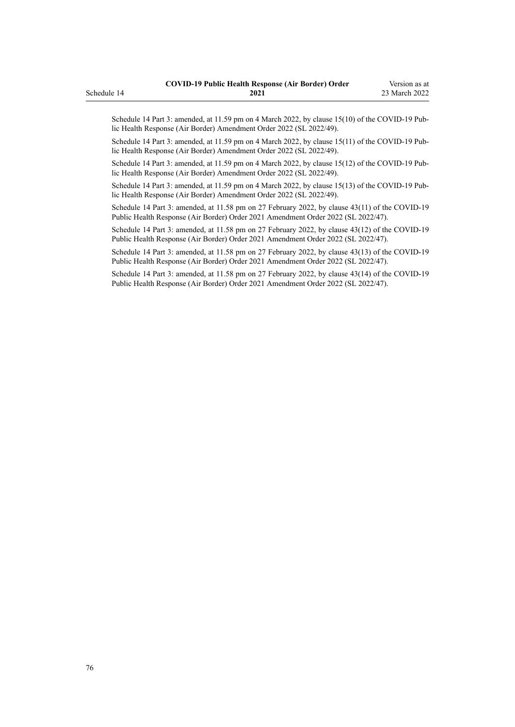Schedule 14 Part 3: amended, at 11.59 pm on 4 March 2022, by [clause 15\(10\)](http://legislation.govt.nz/pdflink.aspx?id=LMS653815) of the COVID-19 Public Health Response (Air Border) Amendment Order 2022 (SL 2022/49).

Schedule 14 Part 3: amended, at 11.59 pm on 4 March 2022, by [clause 15\(11\)](http://legislation.govt.nz/pdflink.aspx?id=LMS653815) of the COVID-19 Public Health Response (Air Border) Amendment Order 2022 (SL 2022/49).

Schedule 14 Part 3: amended, at 11.59 pm on 4 March 2022, by [clause 15\(12\)](http://legislation.govt.nz/pdflink.aspx?id=LMS653815) of the COVID-19 Pub‐ lic Health Response (Air Border) Amendment Order 2022 (SL 2022/49).

Schedule 14 Part 3: amended, at 11.59 pm on 4 March 2022, by [clause 15\(13\)](http://legislation.govt.nz/pdflink.aspx?id=LMS653815) of the COVID-19 Public Health Response (Air Border) Amendment Order 2022 (SL 2022/49).

Schedule 14 Part 3: amended, at 11.58 pm on 27 February 2022, by [clause 43\(11\)](http://legislation.govt.nz/pdflink.aspx?id=LMS650909) of the COVID-19 Public Health Response (Air Border) Order 2021 Amendment Order 2022 (SL 2022/47).

Schedule 14 Part 3: amended, at 11.58 pm on 27 February 2022, by [clause 43\(12\)](http://legislation.govt.nz/pdflink.aspx?id=LMS650909) of the COVID-19 Public Health Response (Air Border) Order 2021 Amendment Order 2022 (SL 2022/47).

Schedule 14 Part 3: amended, at 11.58 pm on 27 February 2022, by [clause 43\(13\)](http://legislation.govt.nz/pdflink.aspx?id=LMS650909) of the COVID-19 Public Health Response (Air Border) Order 2021 Amendment Order 2022 (SL 2022/47).

Schedule 14 Part 3: amended, at 11.58 pm on 27 February 2022, by [clause 43\(14\)](http://legislation.govt.nz/pdflink.aspx?id=LMS650909) of the COVID-19 Public Health Response (Air Border) Order 2021 Amendment Order 2022 (SL 2022/47).

Schedule 14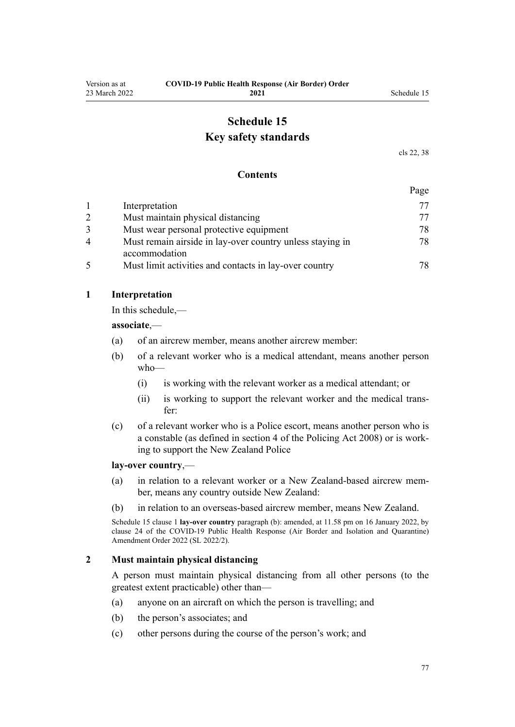# **Schedule 15 Key safety standards**

[cls 22,](#page-16-0) [38](#page-22-0)

#### **Contents**

|   |                                                                            | Page |
|---|----------------------------------------------------------------------------|------|
|   | Interpretation                                                             | 77   |
|   | Must maintain physical distancing                                          | 77   |
|   | Must wear personal protective equipment                                    | 78   |
| 4 | Must remain airside in lay-over country unless staying in<br>accommodation | 78   |
|   | Must limit activities and contacts in lay-over country                     | 78   |

#### **1 Interpretation**

In this schedule,—

**associate**,—

- (a) of an aircrew member, means another aircrew member:
- (b) of a relevant worker who is a medical attendant, means another person who—
	- (i) is working with the relevant worker as a medical attendant; or
	- (ii) is working to support the relevant worker and the medical trans‐ fer:
- (c) of a relevant worker who is a Police escort, means another person who is a constable (as defined in [section 4](http://legislation.govt.nz/pdflink.aspx?id=DLM1102132) of the Policing Act 2008) or is work‐ ing to support the New Zealand Police

#### **lay-over country**,—

- (a) in relation to a relevant worker or a New Zealand-based aircrew mem‐ ber, means any country outside New Zealand:
- (b) in relation to an overseas-based aircrew member, means New Zealand.

Schedule 15 clause 1 **lay-over country** paragraph (b): amended, at 11.58 pm on 16 January 2022, by [clause 24](http://legislation.govt.nz/pdflink.aspx?id=LMS629308) of the COVID-19 Public Health Response (Air Border and Isolation and Quarantine) Amendment Order 2022 (SL 2022/2).

#### **2 Must maintain physical distancing**

A person must maintain physical distancing from all other persons (to the greatest extent practicable) other than—

- (a) anyone on an aircraft on which the person is travelling; and
- (b) the person's associates; and
- (c) other persons during the course of the person's work; and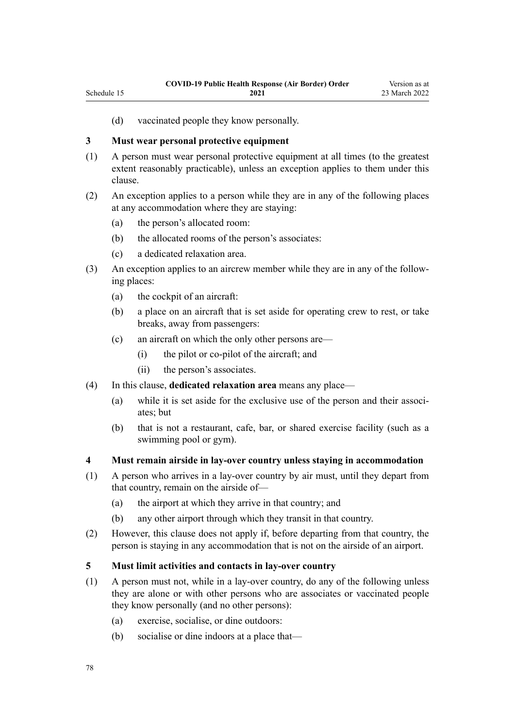(d) vaccinated people they know personally.

## **3 Must wear personal protective equipment**

<span id="page-77-0"></span>Schedule 15

- (1) A person must wear personal protective equipment at all times (to the greatest extent reasonably practicable), unless an exception applies to them under this clause.
- (2) An exception applies to a person while they are in any of the following places at any accommodation where they are staying:
	- (a) the person's allocated room:
	- (b) the allocated rooms of the person's associates:
	- (c) a dedicated relaxation area.
- (3) An exception applies to an aircrew member while they are in any of the follow‐ ing places:
	- (a) the cockpit of an aircraft:
	- (b) a place on an aircraft that is set aside for operating crew to rest, or take breaks, away from passengers:
	- (c) an aircraft on which the only other persons are—
		- (i) the pilot or co-pilot of the aircraft; and
		- (ii) the person's associates.
- (4) In this clause, **dedicated relaxation area** means any place—
	- (a) while it is set aside for the exclusive use of the person and their associates; but
	- (b) that is not a restaurant, cafe, bar, or shared exercise facility (such as a swimming pool or gym).

### **4 Must remain airside in lay-over country unless staying in accommodation**

- (1) A person who arrives in a lay-over country by air must, until they depart from that country, remain on the airside of—
	- (a) the airport at which they arrive in that country; and
	- (b) any other airport through which they transit in that country.
- (2) However, this clause does not apply if, before departing from that country, the person is staying in any accommodation that is not on the airside of an airport.

### **5 Must limit activities and contacts in lay-over country**

- (1) A person must not, while in a lay-over country, do any of the following unless they are alone or with other persons who are associates or vaccinated people they know personally (and no other persons):
	- (a) exercise, socialise, or dine outdoors:
	- (b) socialise or dine indoors at a place that—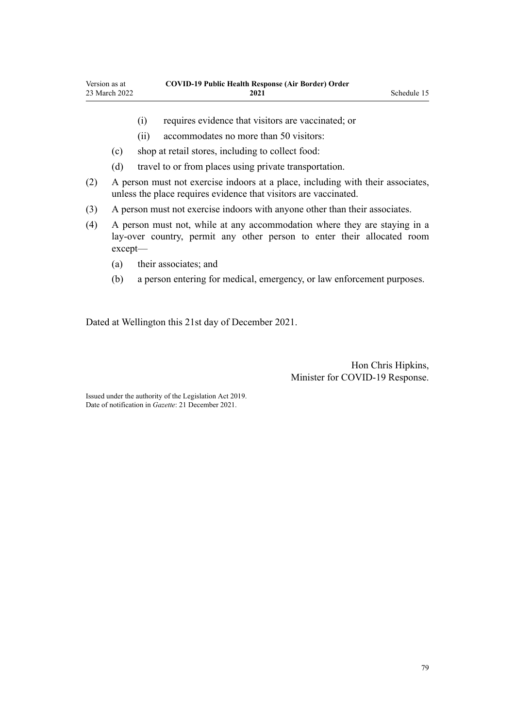- 
- (i) requires evidence that visitors are vaccinated; or
- (ii) accommodates no more than 50 visitors:
- (c) shop at retail stores, including to collect food:
- (d) travel to or from places using private transportation.
- (2) A person must not exercise indoors at a place, including with their associates, unless the place requires evidence that visitors are vaccinated.
- (3) A person must not exercise indoors with anyone other than their associates.
- (4) A person must not, while at any accommodation where they are staying in a lay-over country, permit any other person to enter their allocated room except—
	- (a) their associates; and
	- (b) a person entering for medical, emergency, or law enforcement purposes.

Dated at Wellington this 21st day of December 2021.

Hon Chris Hipkins, Minister for COVID-19 Response.

Issued under the authority of the [Legislation Act 2019](http://legislation.govt.nz/pdflink.aspx?id=DLM7298104). Date of notification in *Gazette*: 21 December 2021.